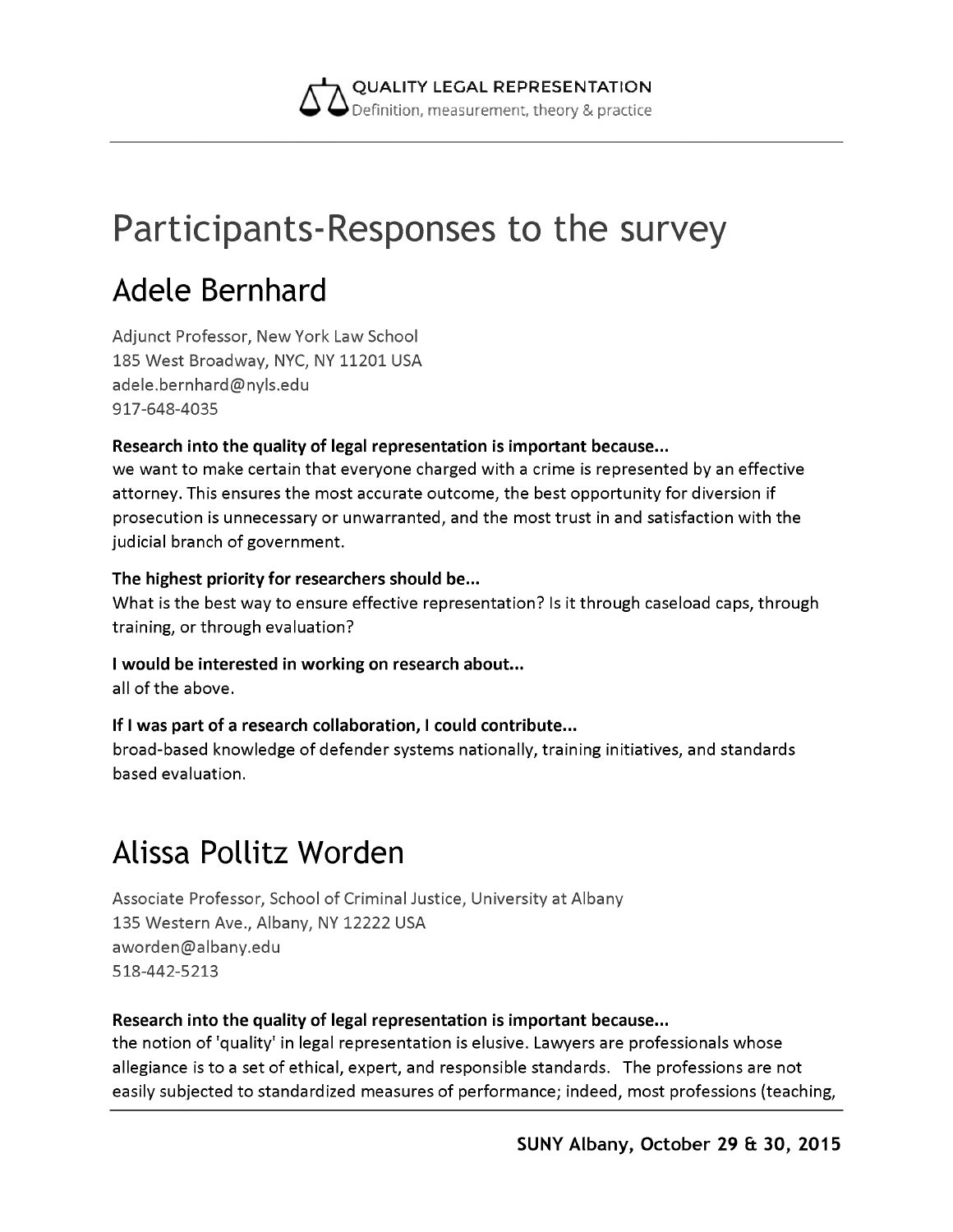

# **Participants-Responses to the survey**

# **Adele Bernhard**

Adjunct Professor, New York Law School 185 West Broadway, NYC, NY 11201 USA [adele.bernhard@nyls.edu](mailto:adele.bernhard@nyls.edu) 917-648-4035

#### **Research into the quality of legal representation is important because...**

we want to make certain that everyone charged with a crime is represented by an effective attorney. This ensures the most accurate outcome, the best opportunity for diversion if prosecution is unnecessary or unwarranted, and the most trust in and satisfaction with the judicial branch of government.

#### **The highest priority for researchers should be...**

What is the best way to ensure effective representation? Is it through caseload caps, through training, or through evaluation?

#### **I would be interested in working on research about...**

all of the above.

#### **If I was part of a research collaboration, I could contribute...**

broad-based knowledge of defender systems nationally, training initiatives, and standards based evaluation.

## **Alissa Pollitz Worden**

Associate Professor, School of Criminal Justice, University at Albany 135 Western Ave., Albany, NY 12222 USA [aworden@albany.edu](mailto:aworden@albany.edu) 518-442-5213

#### **Research into the quality of legal representation is important because...**

the notion of 'quality' in legal representation is elusive. Lawyers are professionals whose allegiance is to a set of ethical, expert, and responsible standards. The professions are not easily subjected to standardized measures of performance; indeed, most professions (teaching,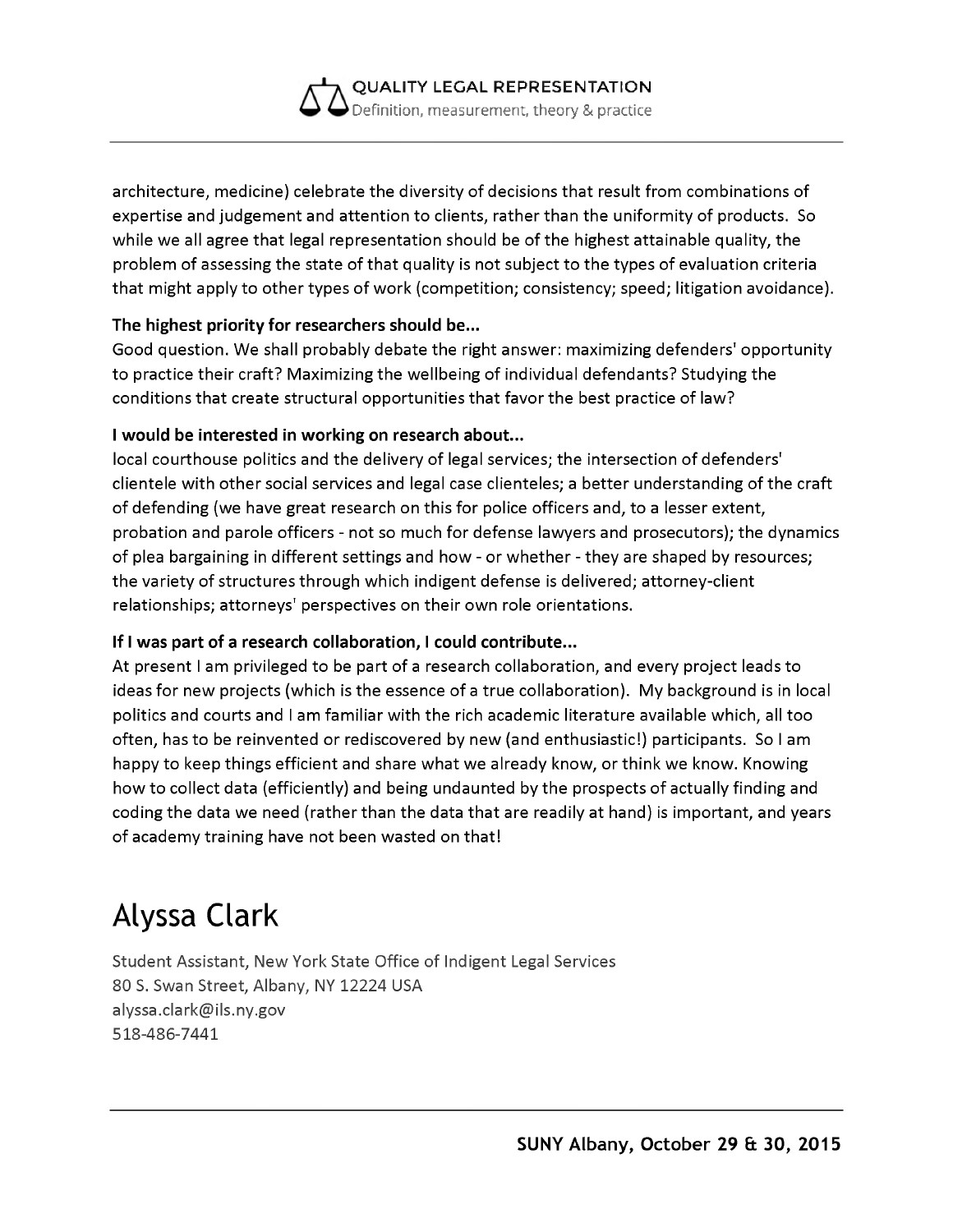

architecture, medicine) celebrate the diversity of decisions that result from combinations of expertise and judgement and attention to clients, rather than the uniformity of products. So while we all agree that legal representation should be of the highest attainable quality, the problem of assessing the state of that quality is not subject to the types of evaluation criteria that might apply to other types of work (competition; consistency; speed; litigation avoidance).

#### **The highest priority for researchers should be...**

Good question. We shall probably debate the right answer: maximizing defenders' opportunity to practice their craft? Maximizing the wellbeing of individual defendants? Studying the conditions that create structural opportunities that favor the best practice of law?

#### **I would be interested in working on research about...**

local courthouse politics and the delivery of legal services; the intersection of defenders' clientele with other social services and legal case clienteles; a better understanding of the craft of defending (we have great research on this for police officers and, to a lesser extent, probation and parole officers - not so much for defense lawyers and prosecutors); the dynamics of plea bargaining in different settings and how - or whether - they are shaped by resources; the variety of structures through which indigent defense is delivered; attorney-client relationships; attorneys' perspectives on their own role orientations.

#### **If I was part of a research collaboration, I could contribute...**

At present I am privileged to be part of a research collaboration, and every project leads to ideas for new projects (which is the essence of a true collaboration). My background is in local politics and courts and I am familiar with the rich academic literature available which, all too often, has to be reinvented or rediscovered by new (and enthusiastic!) participants. So I am happy to keep things efficient and share what we already know, or think we know. Knowing how to collect data (efficiently) and being undaunted by the prospects of actually finding and coding the data we need (rather than the data that are readily at hand) is important, and years of academy training have not been wasted on that!

# **Alyssa Clark**

Student Assistant, New York State Office of Indigent Legal Services 80 S. Swan Street, Albany, NY 12224 USA [alyssa.clark@ils.ny.gov](mailto:alyssa.clark@ils.ny.gov) 518-486-7441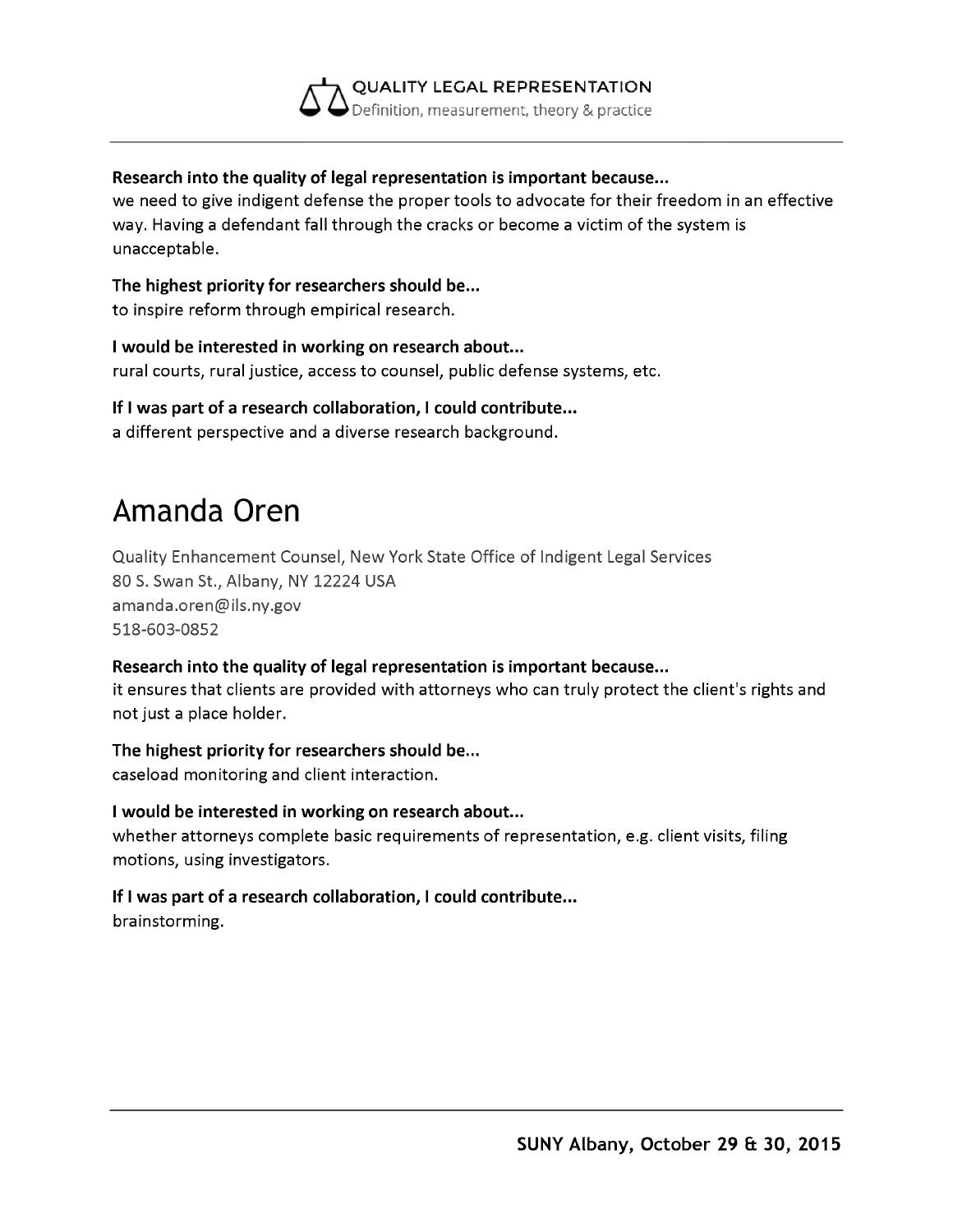

#### **Research into the quality of legal representation is important because...**

we need to give indigent defense the proper tools to advocate for their freedom in an effective way. Having a defendant fall through the cracks or become a victim of the system is unacceptable.

#### **The highest priority for researchers should be...**

to inspire reform through empirical research.

**I would be interested in working on research about...** rural courts, rural justice, access to counsel, public defense systems, etc.

#### **If I was part of a research collaboration, I could contribute...**

a different perspective and a diverse research background.

### **Amanda Oren**

Quality Enhancement Counsel, New York State Office of Indigent Legal Services 80 S. Swan St., Albany, NY 12224 USA [amanda.oren@ils.ny.gov](mailto:amanda.oren@ils.ny.gov) 518-603-0852

#### **Research into the quality of legal representation is important because...**

it ensures that clients are provided with attorneys who can truly protect the client's rights and not just a place holder.

#### **The highest priority for researchers should be...**

caseload monitoring and client interaction.

#### **I would be interested in working on research about...**

whether attorneys complete basic requirements of representation, e.g. client visits, filing motions, using investigators.

### **If I was part of a research collaboration, I could contribute...**

brainstorming.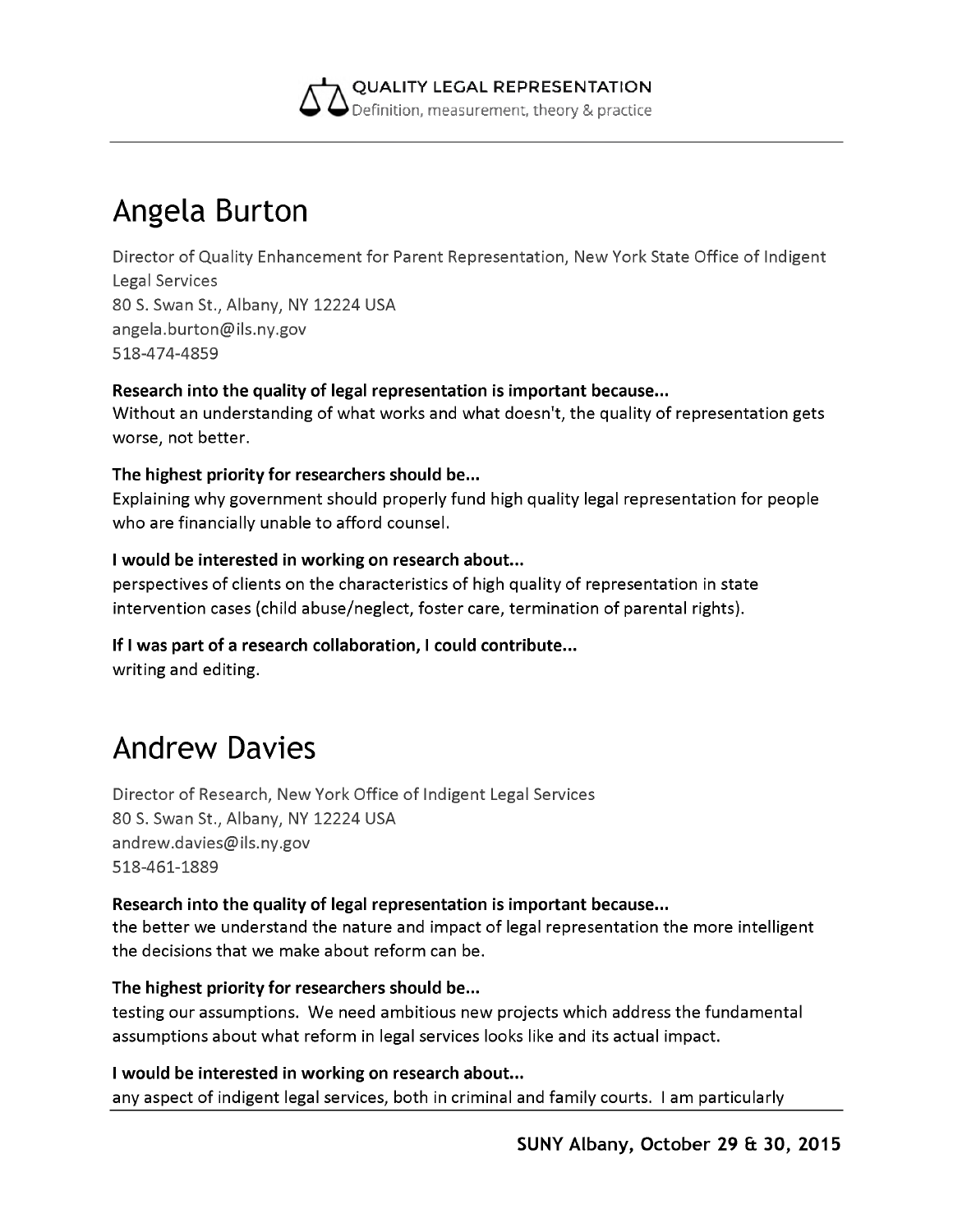

### **Angela Burton**

Director of Quality Enhancement for Parent Representation, New York State Office of Indigent Legal Services 80 S. Swan St., Albany, NY 12224 USA [angela.burton@ils.ny.gov](mailto:angela.burton@ils.ny.gov) 518-474-4859

#### **Research into the quality of legal representation is important because...**

Without an understanding of what works and what doesn't, the quality of representation gets worse, not better.

#### **The highest priority for researchers should be...**

Explaining why government should properly fund high quality legal representation for people who are financially unable to afford counsel.

#### **I would be interested in working on research about...**

perspectives of clients on the characteristics of high quality of representation in state intervention cases (child abuse/neglect, foster care, termination of parental rights).

### **If I was part of a research collaboration, I could contribute...**

writing and editing.

### **Andrew Davies**

Director of Research, New York Office of Indigent Legal Services 80 S. Swan St., Albany, NY 12224 USA [andrew.davies@ils.ny.gov](mailto:andrew.davies@ils.ny.gov) 518-461-1889

#### **Research into the quality of legal representation is important because...**

the better we understand the nature and impact of legal representation the more intelligent the decisions that we make about reform can be.

#### **The highest priority for researchers should be...**

testing our assumptions. We need ambitious new projects which address the fundamental assumptions about what reform in legal services looks like and its actual impact.

#### **I would be interested in working on research about...**

any aspect of indigent legal services, both in criminal and family courts. I am particularly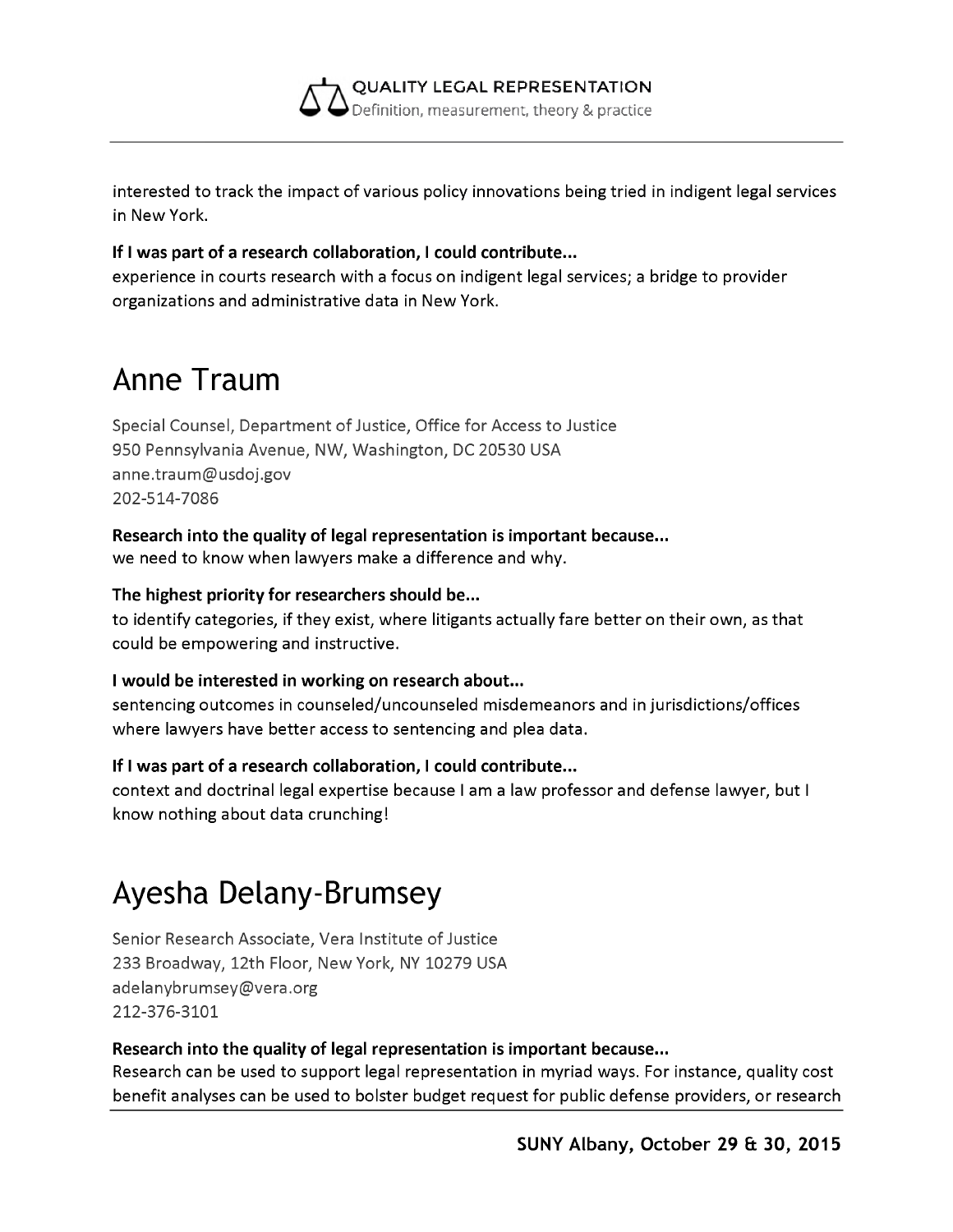

interested to track the impact of various policy innovations being tried in indigent legal services in New York.

#### **If I was part of a research collaboration, I could contribute...**

experience in courts research with a focus on indigent legal services; a bridge to provider organizations and administrative data in New York.

### **Anne Traum**

Special Counsel, Department of Justice, Office for Access to Justice 950 Pennsylvania Avenue, NW, Washington, DC 20530 USA [anne.traum@usdoj.gov](mailto:anne.traum@usdoj.gov) 202-514-7086

### **Research into the quality of legal representation is important because...**

we need to know when lawyers make a difference and why.

#### **The highest priority for researchers should be...**

to identify categories, if they exist, where litigants actually fare better on their own, as that could be empowering and instructive.

#### **I would be interested in working on research about...**

sentencing outcomes in counseled/uncounseled misdemeanors and in jurisdictions/offices where lawyers have better access to sentencing and plea data.

#### **If I was part of a research collaboration, I could contribute...**

context and doctrinal legal expertise because I am a law professor and defense lawyer, but I know nothing about data crunching!

### **Ayesha Delany-Brumsey**

Senior Research Associate, Vera Institute of Justice 233 Broadway, 12th Floor, New York, NY 10279 USA [adelanybrumsey@vera.org](mailto:adelanybrumsey@vera.org) 212-376-3101

#### **Research into the quality of legal representation is important because...**

Research can be used to support legal representation in myriad ways. For instance, quality cost benefit analyses can be used to bolster budget request for public defense providers, or research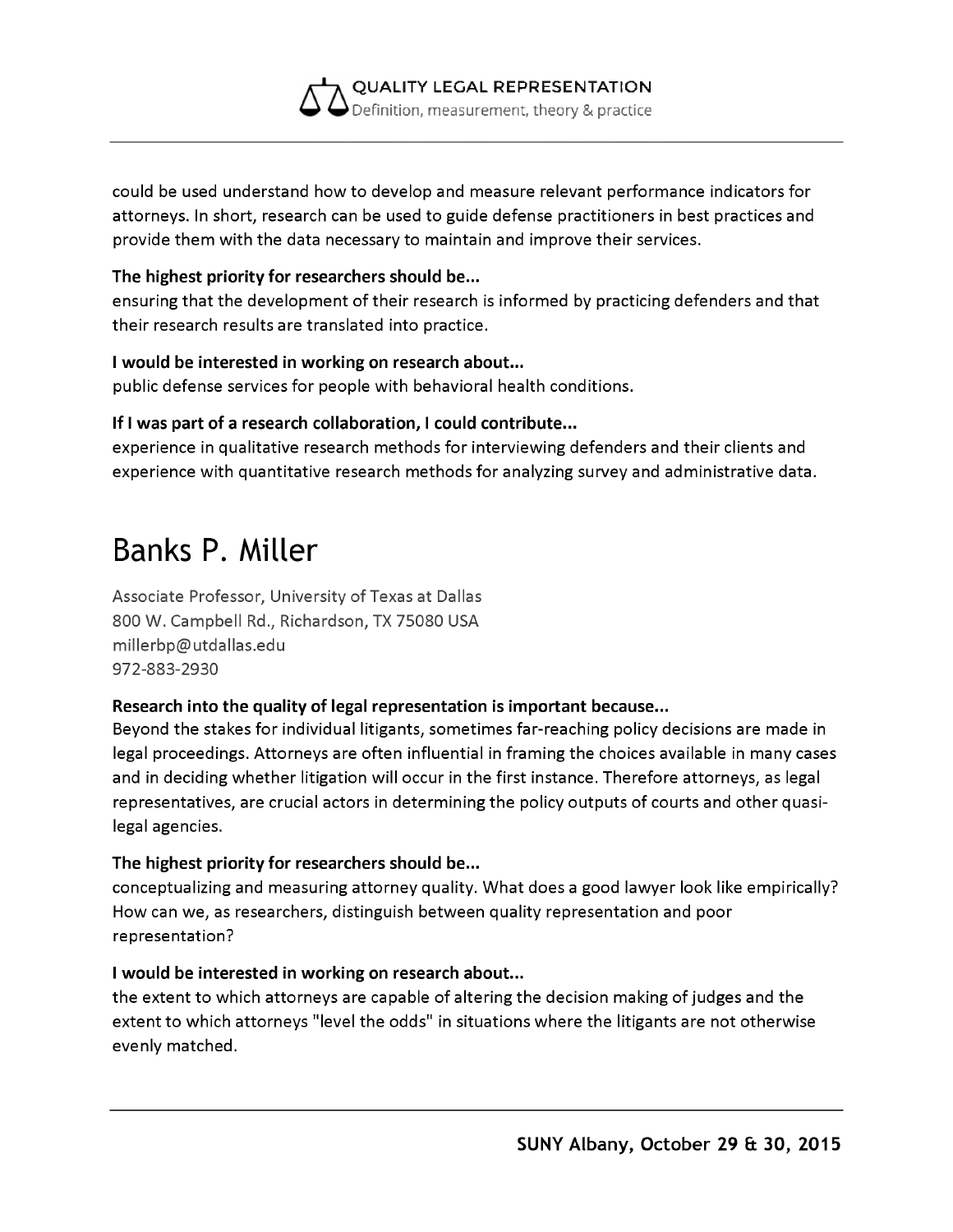

could be used understand how to develop and measure relevant performance indicators for attorneys. In short, research can be used to guide defense practitioners in best practices and provide them with the data necessary to maintain and improve their services.

#### **The highest priority for researchers should be...**

ensuring that the development of their research is informed by practicing defenders and that their research results are translated into practice.

#### **I would be interested in working on research about...**

public defense services for people with behavioral health conditions.

#### **If I was part of a research collaboration, I could contribute...**

experience in qualitative research methods for interviewing defenders and their clients and experience with quantitative research methods for analyzing survey and administrative data.

## **Banks P. Miller**

Associate Professor, University of Texas at Dallas 800 W. Campbell Rd., Richardson, TX 75080 USA [millerbp@utdallas.edu](mailto:millerbp@utdallas.edu) 972-883-2930

#### **Research into the quality of legal representation is important because...**

Beyond the stakes for individual litigants, sometimes far-reaching policy decisions are made in legal proceedings. Attorneys are often influential in framing the choices available in many cases and in deciding whether litigation will occur in the first instance. Therefore attorneys, as legal representatives, are crucial actors in determining the policy outputs of courts and other quasilegal agencies.

#### **The highest priority for researchers should be...**

conceptualizing and measuring attorney quality. What does a good lawyer look like empirically? How can we, as researchers, distinguish between quality representation and poor representation?

#### **I would be interested in working on research about...**

the extent to which attorneys are capable of altering the decision making of judges and the extent to which attorneys "level the odds" in situations where the litigants are not otherwise evenly matched.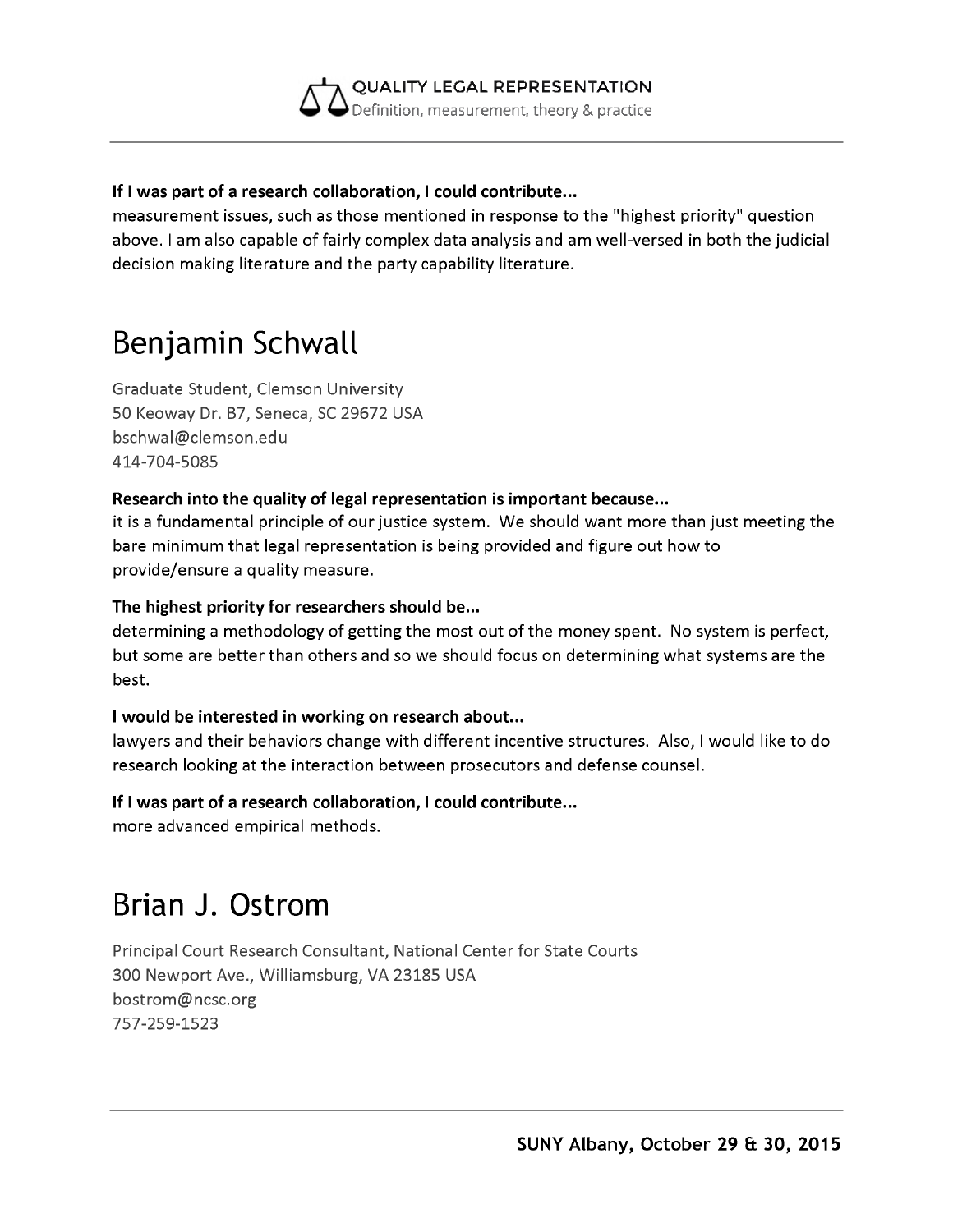

#### **If I was part of a research collaboration, I could contribute...**

measurement issues, such as those mentioned in response to the "highest priority" question above. I am also capable of fairly complex data analysis and am well-versed in both the judicial decision making literature and the party capability literature.

# **Benjamin Schwall**

Graduate Student, Clemson University 50 Keoway Dr. B7, Seneca, SC 29672 USA [bschwal@clemson.edu](mailto:bschwal@clemson.edu) 414-704-5085

#### **Research into the quality of legal representation is important because...**

it is a fundamental principle of our justice system. We should want more than just meeting the bare minimum that legal representation is being provided and figure out how to provide/ensure a quality measure.

#### **The highest priority for researchers should be...**

determining a methodology of getting the most out of the money spent. No system is perfect, but some are better than others and so we should focus on determining what systems are the best.

#### **I would be interested in working on research about...**

lawyers and their behaviors change with different incentive structures. Also, I would like to do research looking at the interaction between prosecutors and defense counsel.

#### **If I was part of a research collaboration, I could contribute...**

more advanced empirical methods.

## **Brian J. Ostrom**

Principal Court Research Consultant, National Center for State Courts 300 Newport Ave., Williamsburg, VA 23185 USA [bostrom@ncsc.org](mailto:bostrom@ncsc.org) 757-259-1523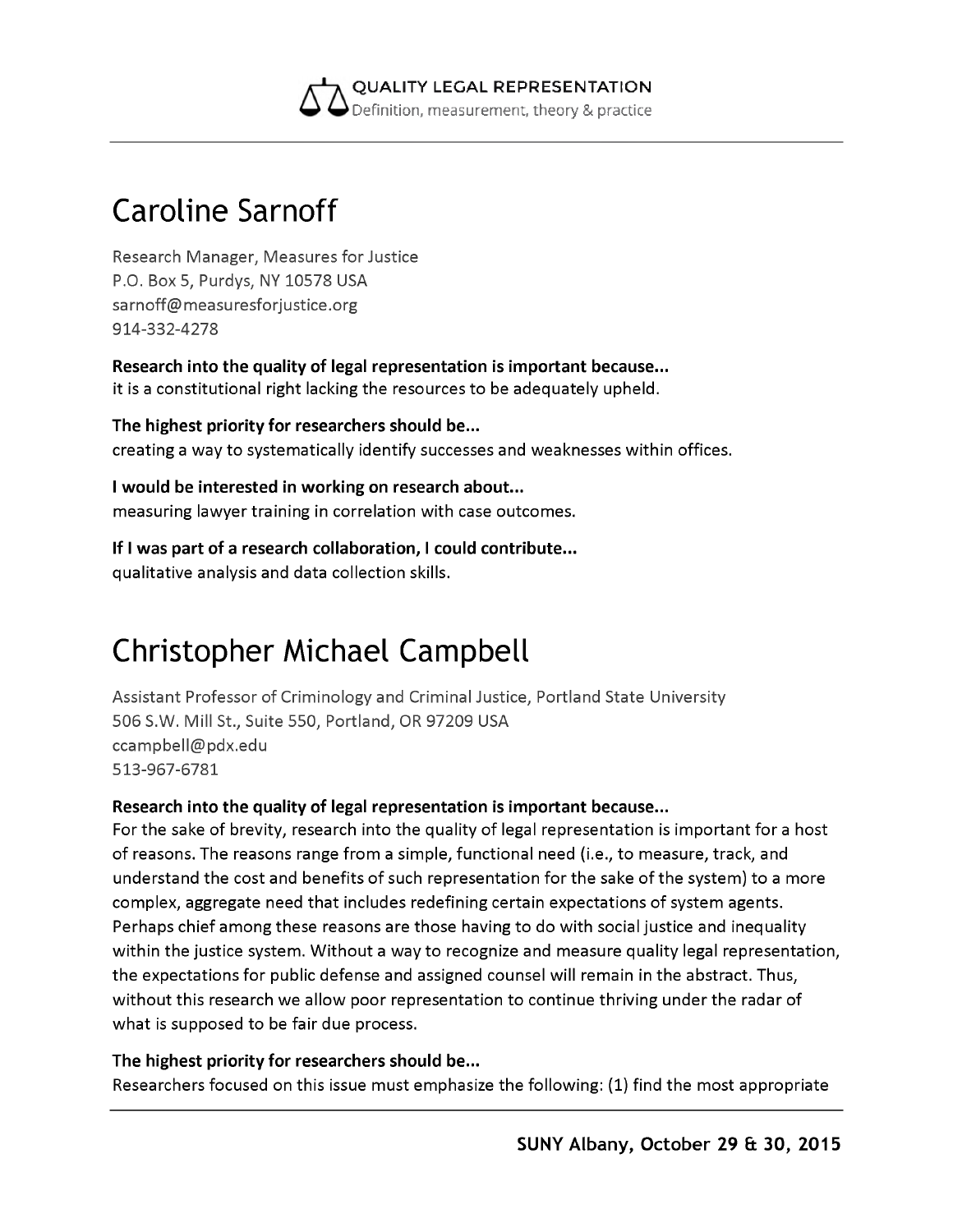

# **Caroline Sarnoff**

Research Manager, Measures for Justice P.O. Box 5, Purdys, NY 10578 USA [sarnoff@measuresforjustice.org](mailto:sarnoff@measuresforjustice.org) 914-332-4278

**Research into the quality of legal representation is important because...** it is a constitutional right lacking the resources to be adequately upheld.

**The highest priority for researchers should be...** creating a way to systematically identify successes and weaknesses within offices.

**I would be interested in working on research about...** measuring lawyer training in correlation with case outcomes.

#### **If I was part of a research collaboration, I could contribute...**

qualitative analysis and data collection skills.

# **Christopher Michael Campbell**

Assistant Professor of Criminology and Criminal Justice, Portland State University 506 S.W. Mill St., Suite 550, Portland, OR 97209 USA [ccampbell@pdx.edu](mailto:ccampbell@pdx.edu) 513-967-6781

#### **Research into the quality of legal representation is important because...**

For the sake of brevity, research into the quality of legal representation is important for a host of reasons. The reasons range from a simple, functional need (i.e., to measure, track, and understand the cost and benefits of such representation for the sake of the system) to a more complex, aggregate need that includes redefining certain expectations of system agents. Perhaps chief among these reasons are those having to do with social justice and inequality within the justice system. Without a way to recognize and measure quality legal representation, the expectations for public defense and assigned counsel will remain in the abstract. Thus, without this research we allow poor representation to continue thriving under the radar of what is supposed to be fair due process.

#### **The highest priority for researchers should be...**

Researchers focused on this issue must emphasize the following: (1) find the most appropriate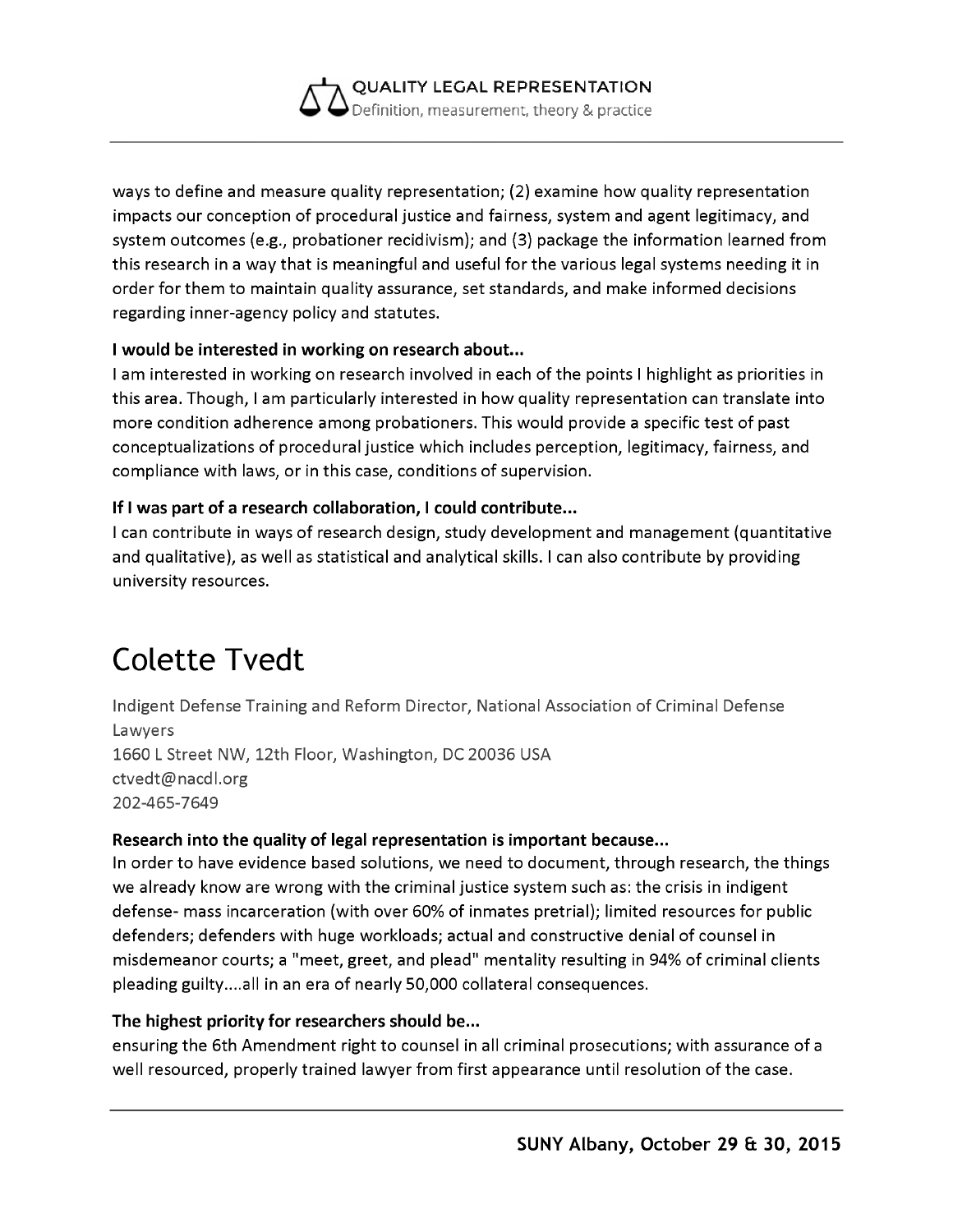

ways to define and measure quality representation; (2) examine how quality representation impacts our conception of procedural justice and fairness, system and agent legitimacy, and system outcomes (e.g., probationer recidivism); and (3) package the information learned from this research in a way that is meaningful and useful for the various legal systems needing it in order for them to maintain quality assurance, set standards, and make informed decisions regarding inner-agency policy and statutes.

#### **I would be interested in working on research about...**

I am interested in working on research involved in each of the points I highlight as priorities in this area. Though, I am particularly interested in how quality representation can translate into more condition adherence among probationers. This would provide a specific test of past conceptualizations of procedural justice which includes perception, legitimacy, fairness, and compliance with laws, or in this case, conditions of supervision.

#### **If I was part of a research collaboration, I could contribute...**

I can contribute in ways of research design, study development and management (quantitative and qualitative), as well as statistical and analytical skills. I can also contribute by providing university resources.

## **Colette Tvedt**

Indigent Defense Training and Reform Director, National Association of Criminal Defense Lawyers 1660 L Street NW, 12th Floor, Washington, DC 20036 USA [ctvedt@nacdl.org](mailto:ctvedt@nacdl.org) 202-465-7649

#### **Research into the quality of legal representation is important because...**

In order to have evidence based solutions, we need to document, through research, the things we already know are wrong with the criminal justice system such as: the crisis in indigent defense- mass incarceration (with over 60% of inmates pretrial); limited resources for public defenders; defenders with huge workloads; actual and constructive denial of counsel in misdemeanor courts; a "meet, greet, and plead" mentality resulting in 94% of criminal clients pleading guilty....all in an era of nearly 50,000 collateral consequences.

#### **The highest priority for researchers should be...**

ensuring the 6th Amendment right to counsel in all criminal prosecutions; with assurance of a well resourced, properly trained lawyer from first appearance until resolution of the case.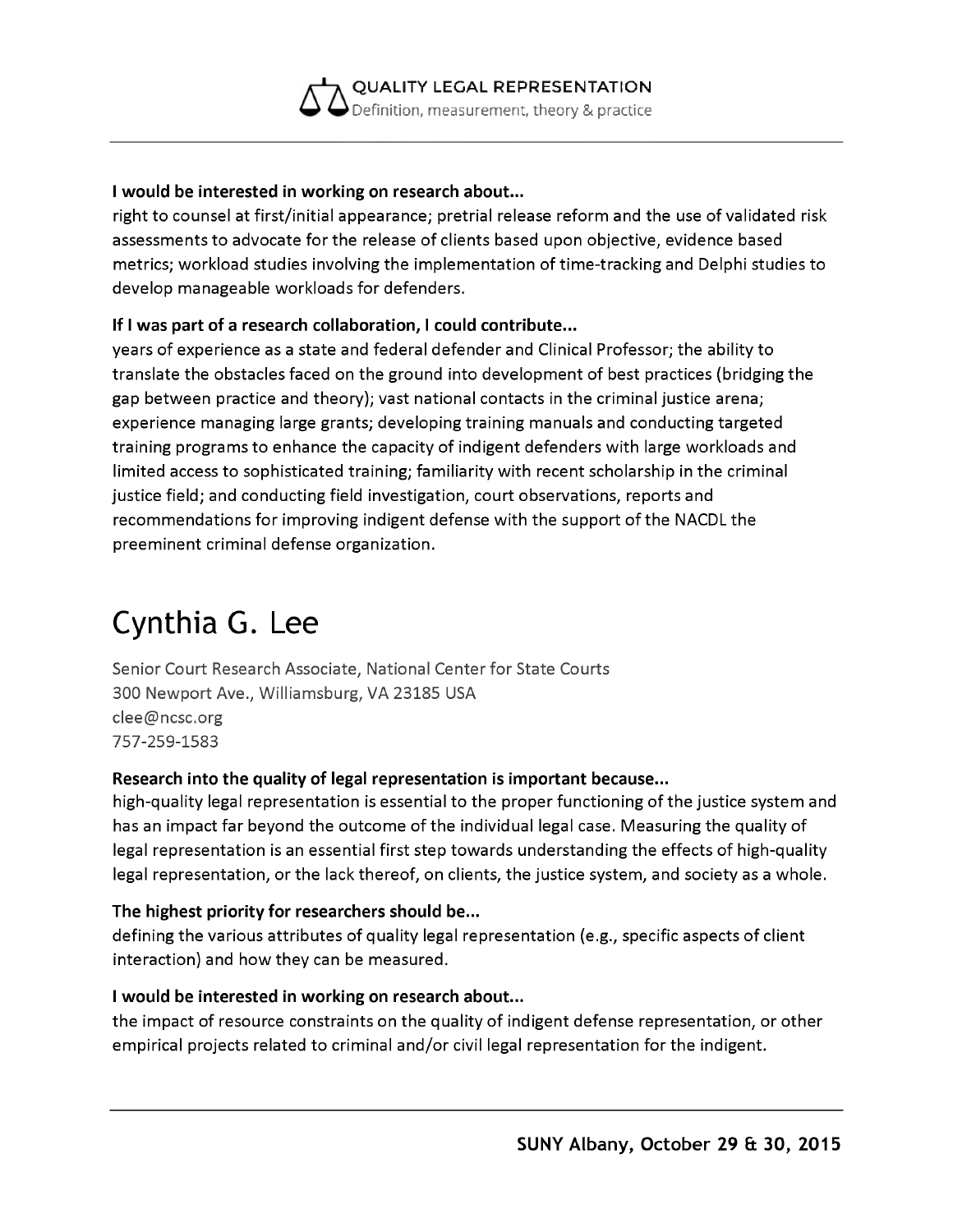

#### **I would be interested in working on research about...**

right to counsel at first/initial appearance; pretrial release reform and the use of validated risk assessments to advocate for the release of clients based upon objective, evidence based metrics; workload studies involving the implementation of time-tracking and Delphi studies to develop manageable workloads for defenders.

#### **If I was part of a research collaboration, I could contribute...**

years of experience as a state and federal defender and Clinical Professor; the ability to translate the obstacles faced on the ground into development of best practices (bridging the gap between practice and theory); vast national contacts in the criminal justice arena; experience managing large grants; developing training manuals and conducting targeted training programs to enhance the capacity of indigent defenders with large workloads and limited access to sophisticated training; familiarity with recent scholarship in the criminal justice field; and conducting field investigation, court observations, reports and recommendations for improving indigent defense with the support of the NACDL the preeminent criminal defense organization.

## **Cynthia G. Lee**

Senior Court Research Associate, National Center for State Courts 300 Newport Ave., Williamsburg, VA 23185 USA [clee@ncsc.org](mailto:clee@ncsc.org) 757-259-1583

#### **Research into the quality of legal representation is important because...**

high-quality legal representation is essential to the proper functioning of the justice system and has an impact far beyond the outcome of the individual legal case. Measuring the quality of legal representation is an essential first step towards understanding the effects of high-quality legal representation, or the lack thereof, on clients, the justice system, and society as a whole.

#### **The highest priority for researchers should be...**

defining the various attributes of quality legal representation (e.g., specific aspects of client interaction) and how they can be measured.

#### **I would be interested in working on research about...**

the impact of resource constraints on the quality of indigent defense representation, or other empirical projects related to criminal and/or civil legal representation for the indigent.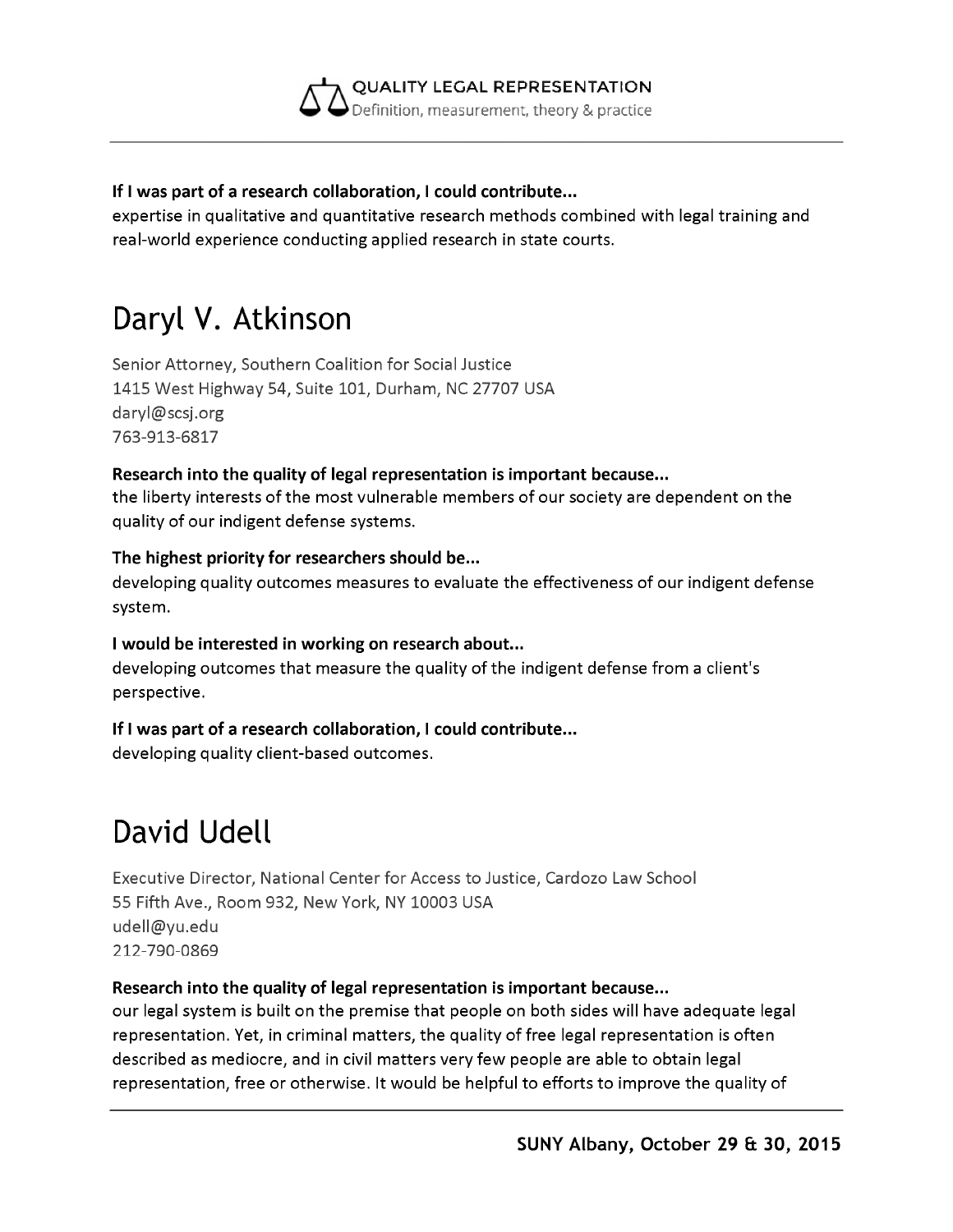

#### **If I was part of a research collaboration, I could contribute...**

expertise in qualitative and quantitative research methods combined with legal training and real-world experience conducting applied research in state courts.

# **Daryl V. Atkinson**

Senior Attorney, Southern Coalition for Social Justice 1415 West Highway 54, Suite 101, Durham, NC 27707 USA [daryl@scsj.org](mailto:daryl@scsj.org) 763-913-6817

#### **Research into the quality of legal representation is important because...**

the liberty interests of the most vulnerable members of our society are dependent on the quality of our indigent defense systems.

#### **The highest priority for researchers should be...**

developing quality outcomes measures to evaluate the effectiveness of our indigent defense system.

#### **I would be interested in working on research about...**

developing outcomes that measure the quality of the indigent defense from a client's perspective.

#### **If I was part of a research collaboration, I could contribute...**

developing quality client-based outcomes.

# **David Udell**

Executive Director, National Center for Access to Justice, Cardozo Law School 55 Fifth Ave., Room 932, New York, NY 10003 USA [udell@yu.edu](mailto:udell@yu.edu) 212-790-0869

#### **Research into the quality of legal representation is important because...**

our legal system is built on the premise that people on both sides will have adequate legal representation. Yet, in criminal matters, the quality of free legal representation is often described as mediocre, and in civil matters very few people are able to obtain legal representation, free or otherwise. It would be helpful to efforts to improve the quality of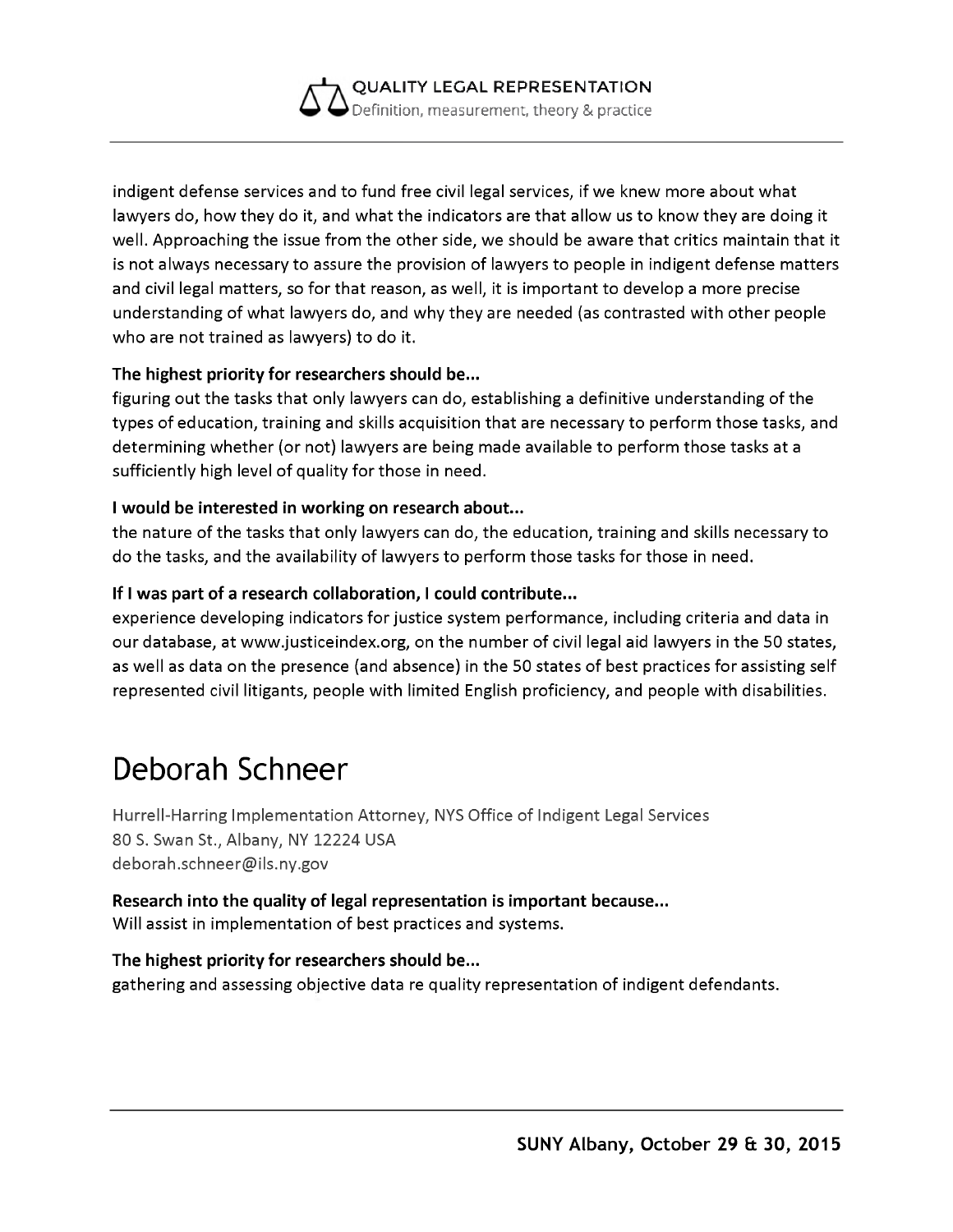

indigent defense services and to fund free civil legal services, if we knew more about what lawyers do, how they do it, and what the indicators are that allow us to know they are doing it well. Approaching the issue from the other side, we should be aware that critics maintain that it is not always necessary to assure the provision of lawyers to people in indigent defense matters and civil legal matters, so for that reason, as well, it is important to develop a more precise understanding of what lawyers do, and why they are needed (as contrasted with other people who are not trained as lawyers) to do it.

#### **The highest priority for researchers should be...**

figuring out the tasks that only lawyers can do, establishing a definitive understanding of the types of education, training and skills acquisition that are necessary to perform those tasks, and determining whether (or not) lawyers are being made available to perform those tasks at a sufficiently high level of quality for those in need.

#### **I would be interested in working on research about...**

the nature of the tasks that only lawyers can do, the education, training and skills necessary to do the tasks, and the availability of lawyers to perform those tasks for those in need.

#### **If I was part of a research collaboration, I could contribute...**

experience developing indicators for justice system performance, including criteria and data in our database, at [www.justiceindex.org,](http://www.justiceindex.org) on the number of civil legal aid lawyers in the 50 states, as well as data on the presence (and absence) in the 50 states of best practices for assisting self represented civil litigants, people with limited English proficiency, and people with disabilities.

# **Deborah Schneer**

Hurrell-Harring Implementation Attorney, NYS Office of Indigent Legal Services 80 S. Swan St., Albany, NY 12224 USA [deborah.schneer@ils.ny.gov](mailto:deborah.schneer@ils.ny.gov)

**Research into the quality of legal representation is important because...** Will assist in implementation of best practices and systems.

#### **The highest priority for researchers should be...** gathering and assessing objective data re quality representation of indigent defendants.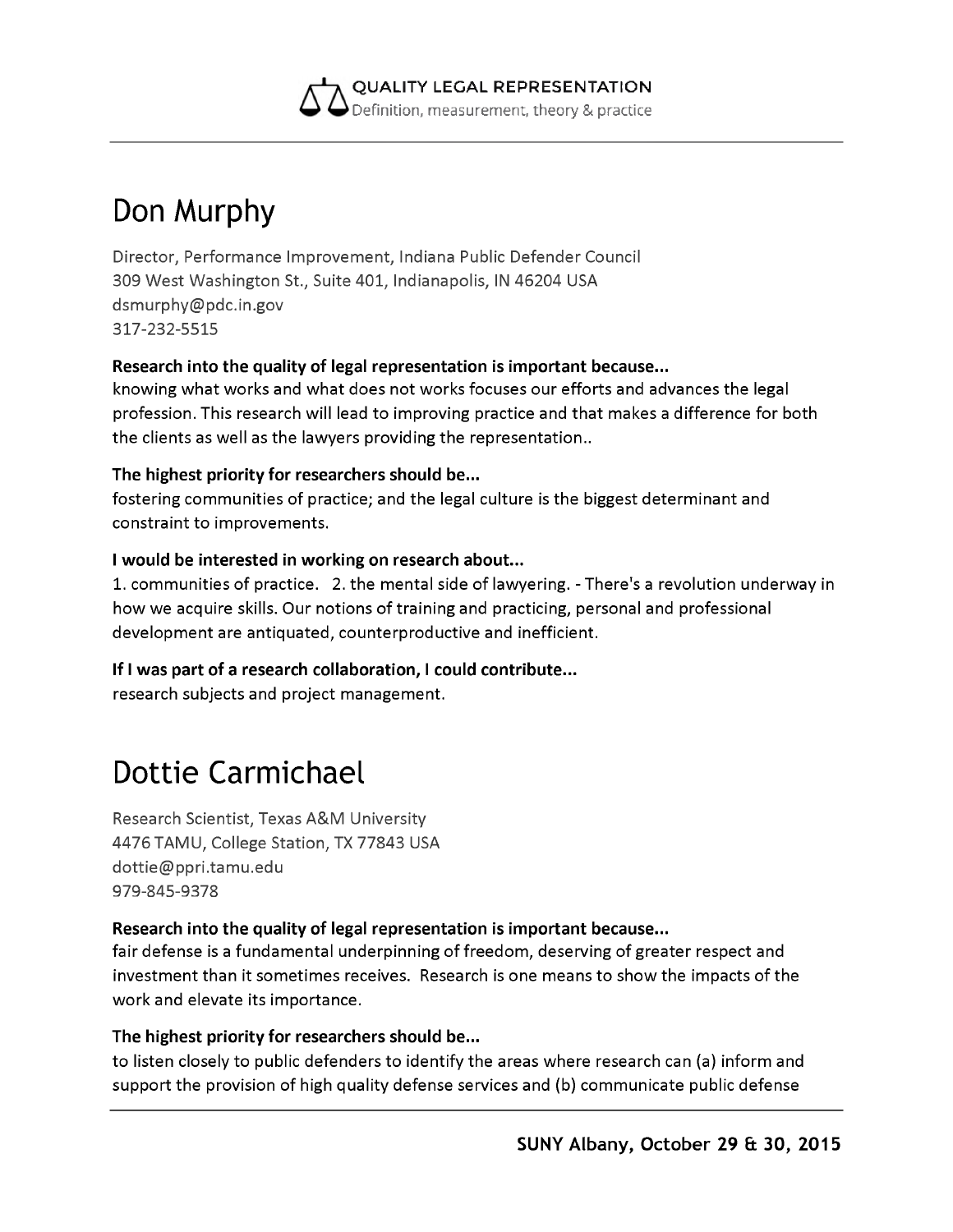

# **Don Murphy**

Director, Performance Improvement, Indiana Public Defender Council 309 West Washington St., Suite 401, Indianapolis, IN 46204 USA [dsmurphy@pdc.in.gov](mailto:dsmurphy@pdc.in.gov) 317-232-5515

#### **Research into the quality of legal representation is important because...**

knowing what works and what does not works focuses our efforts and advances the legal profession. This research will lead to improving practice and that makes a difference for both the clients as well as the lawyers providing the representation..

#### **The highest priority for researchers should be...**

fostering communities of practice; and the legal culture is the biggest determinant and constraint to improvements.

#### **I would be interested in working on research about...**

1. communities of practice. 2. the mental side of lawyering. - There's a revolution underway in how we acquire skills. Our notions of training and practicing, personal and professional development are antiquated, counterproductive and inefficient.

#### **If I was part of a research collaboration, I could contribute...**

research subjects and project management.

# **Dottie Carmichael**

Research Scientist, Texas A&M University 4476 TAMU, College Station, TX 77843 USA [dottie@ppri.tamu.edu](mailto:dottie@ppri.tamu.edu) 979-845-9378

#### **Research into the quality of legal representation is important because...**

fair defense is a fundamental underpinning of freedom, deserving of greater respect and investment than it sometimes receives. Research is one means to show the impacts of the work and elevate its importance.

#### **The highest priority for researchers should be...**

to listen closely to public defenders to identify the areas where research can (a) inform and support the provision of high quality defense services and (b) communicate public defense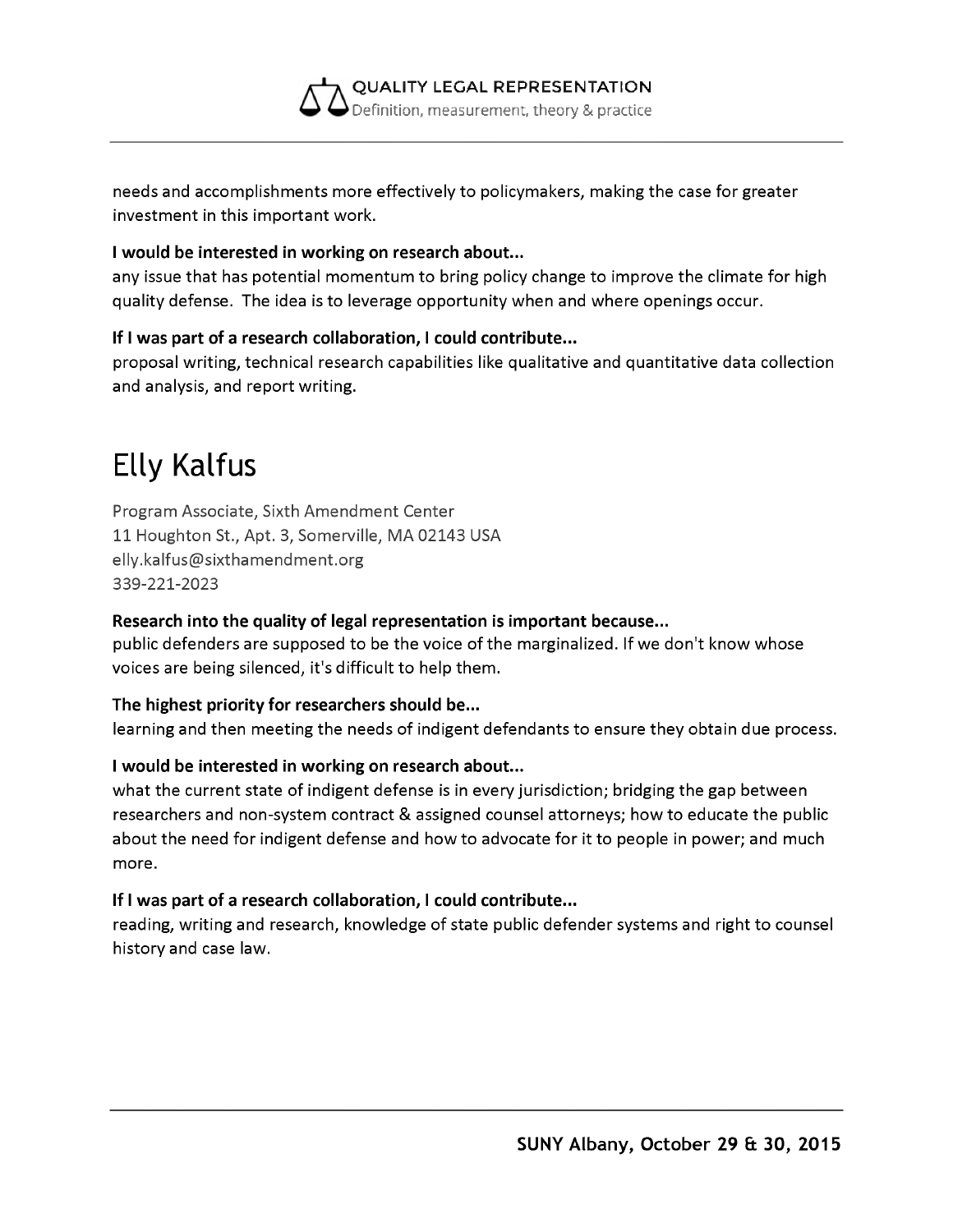

needs and accomplishments more effectively to policymakers, making the case for greater investment in this important work.

#### **I would be interested in working on research about...**

any issue that has potential momentum to bring policy change to improve the climate for high quality defense. The idea is to leverage opportunity when and where openings occur.

#### **If I was part of a research collaboration, I could contribute...**

proposal writing, technical research capabilities like qualitative and quantitative data collection and analysis, and report writing.

## **Elly Kalfus**

Program Associate, Sixth Amendment Center 11 Houghton St., Apt. 3, Somerville, MA 02143 USA [elly.kalfus@sixthamendment.org](mailto:elly.kalfus@sixthamendment.org) 339-221-2023

#### **Research into the quality of legal representation is important because...**

public defenders are supposed to be the voice of the marginalized. If we don't know whose voices are being silenced, it's difficult to help them.

#### **The highest priority for researchers should be...**

learning and then meeting the needs of indigent defendants to ensure they obtain due process.

#### **I would be interested in working on research about...**

what the current state of indigent defense is in every jurisdiction; bridging the gap between researchers and non-system contract & assigned counsel attorneys; how to educate the public about the need for indigent defense and how to advocate for it to people in power; and much more.

#### **If I was part of a research collaboration, I could contribute...**

reading, writing and research, knowledge of state public defender systems and right to counsel history and case law.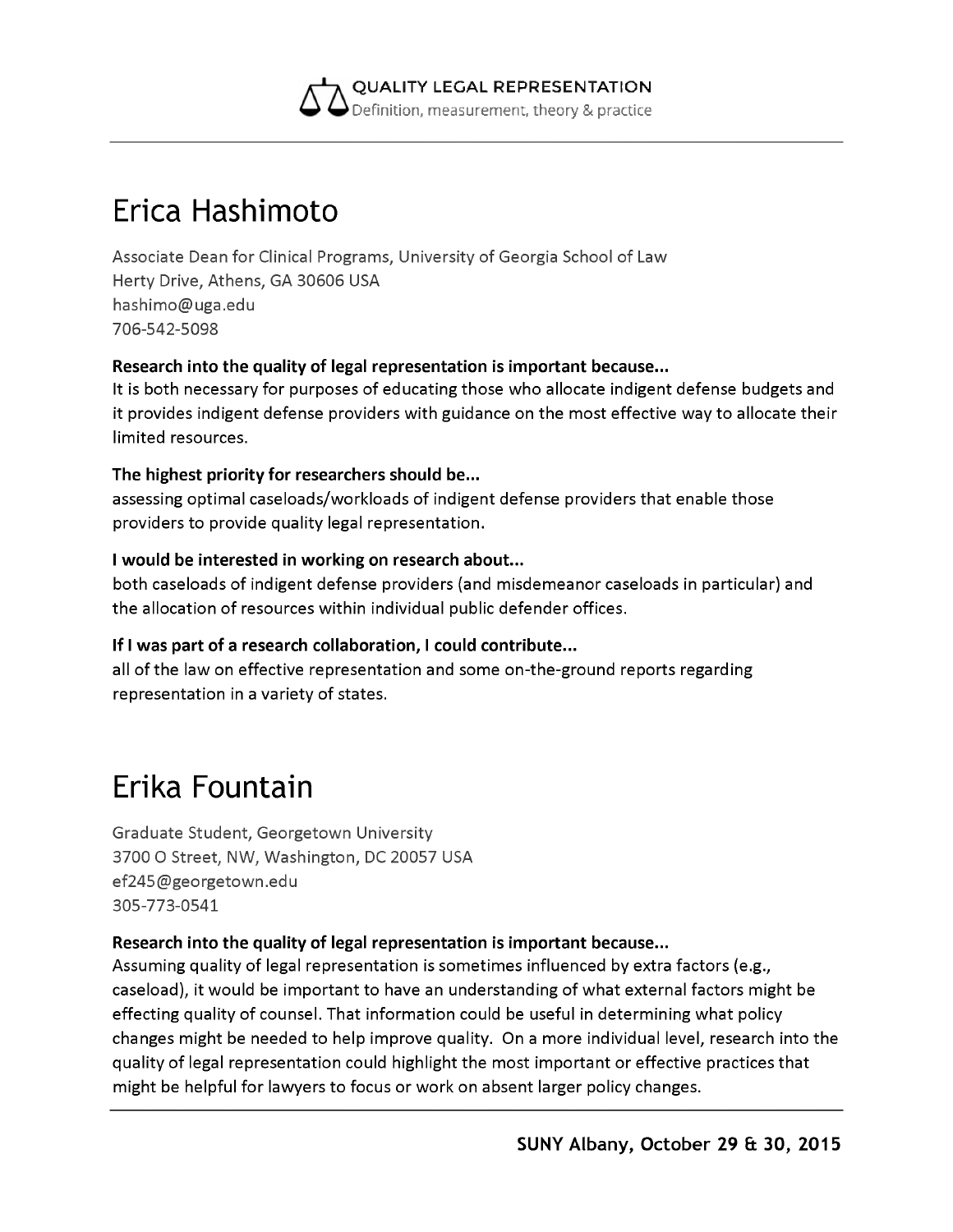

## **Erica Hashimoto**

Associate Dean for Clinical Programs, University of Georgia School of Law Herty Drive, Athens, GA 30606 USA [hashimo@uga.edu](mailto:hashimo@uga.edu) 706-542-5098

#### **Research into the quality of legal representation is important because...**

It is both necessary for purposes of educating those who allocate indigent defense budgets and it provides indigent defense providers with guidance on the most effective way to allocate their limited resources.

#### **The highest priority for researchers should be...**

assessing optimal caseloads/workloads of indigent defense providers that enable those providers to provide quality legal representation.

#### **I would be interested in working on research about...**

both caseloads of indigent defense providers (and misdemeanor caseloads in particular) and the allocation of resources within individual public defender offices.

#### **If I was part of a research collaboration, I could contribute...**

all of the law on effective representation and some on-the-ground reports regarding representation in a variety of states.

## **Erika Fountain**

Graduate Student, Georgetown University 3700 O Street, NW, Washington, DC 20057 USA [ef245@georgetown.edu](mailto:ef245@georgetown.edu) 305-773-0541

#### **Research into the quality of legal representation is important because...**

Assuming quality of legal representation is sometimes influenced by extra factors (e.g., caseload), it would be important to have an understanding of what external factors might be effecting quality of counsel. That information could be useful in determining what policy changes might be needed to help improve quality. On a more individual level, research into the quality of legal representation could highlight the most important or effective practices that might be helpful for lawyers to focus or work on absent larger policy changes.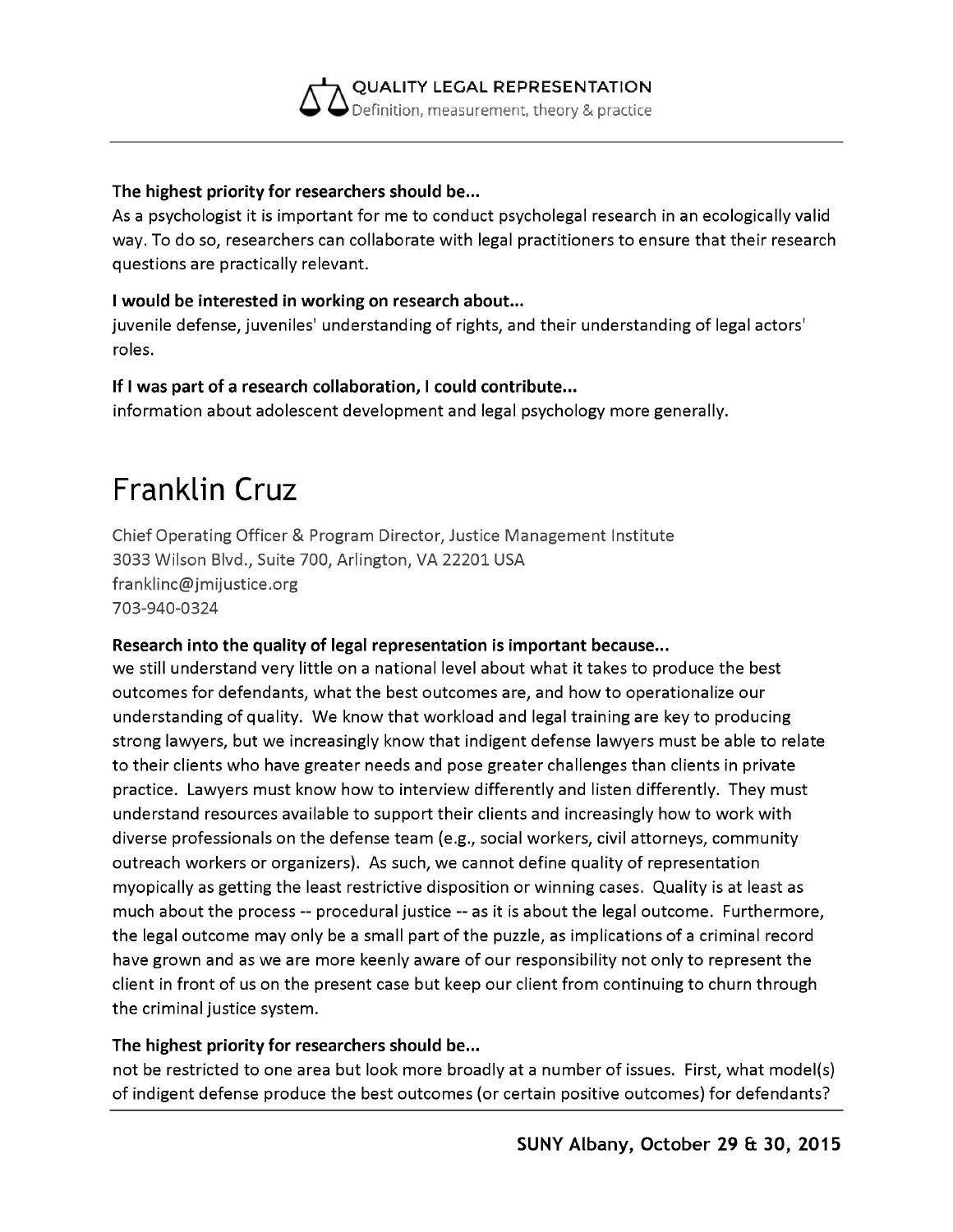

#### **The highest priority for researchers should be...**

As a psychologist it is important for me to conduct psycholegal research in an ecologically valid way. To do so, researchers can collaborate with legal practitioners to ensure that their research questions are practically relevant.

#### **I would be interested in working on research about...**

juvenile defense, juveniles' understanding of rights, and their understanding of legal actors' roles.

#### **If I was part of a research collaboration, I could contribute...**

information about adolescent development and legal psychology more generally.

### **Franklin Cruz**

Chief Operating Officer & Program Director, Justice Management Institute 3033 Wilson Blvd., Suite 700, Arlington, VA 22201 USA [franklinc@jmijustice.org](mailto:franklinc@jmijustice.org) 703-940-0324

#### **Research into the quality of legal representation is important because...**

we still understand very little on a national level about what it takes to produce the best outcomes for defendants, what the best outcomes are, and how to operationalize our understanding of quality. We know that workload and legal training are key to producing strong lawyers, but we increasingly know that indigent defense lawyers must be able to relate to their clients who have greater needs and pose greater challenges than clients in private practice. Lawyers must know how to interview differently and listen differently. They must understand resources available to support their clients and increasingly how to work with diverse professionals on the defense team (e.g., social workers, civil attorneys, community outreach workers or organizers). As such, we cannot define quality of representation myopically as getting the least restrictive disposition or winning cases. Quality is at least as much about the process -- procedural justice -- as it is about the legal outcome. Furthermore, the legal outcome may only be a small part of the puzzle, as implications of a criminal record have grown and as we are more keenly aware of our responsibility not only to represent the client in front of us on the present case but keep our client from continuing to churn through the criminal justice system.

#### **The highest priority for researchers should be...**

not be restricted to one area but look more broadly at a number of issues. First, what model(s) of indigent defense produce the best outcomes (or certain positive outcomes) for defendants?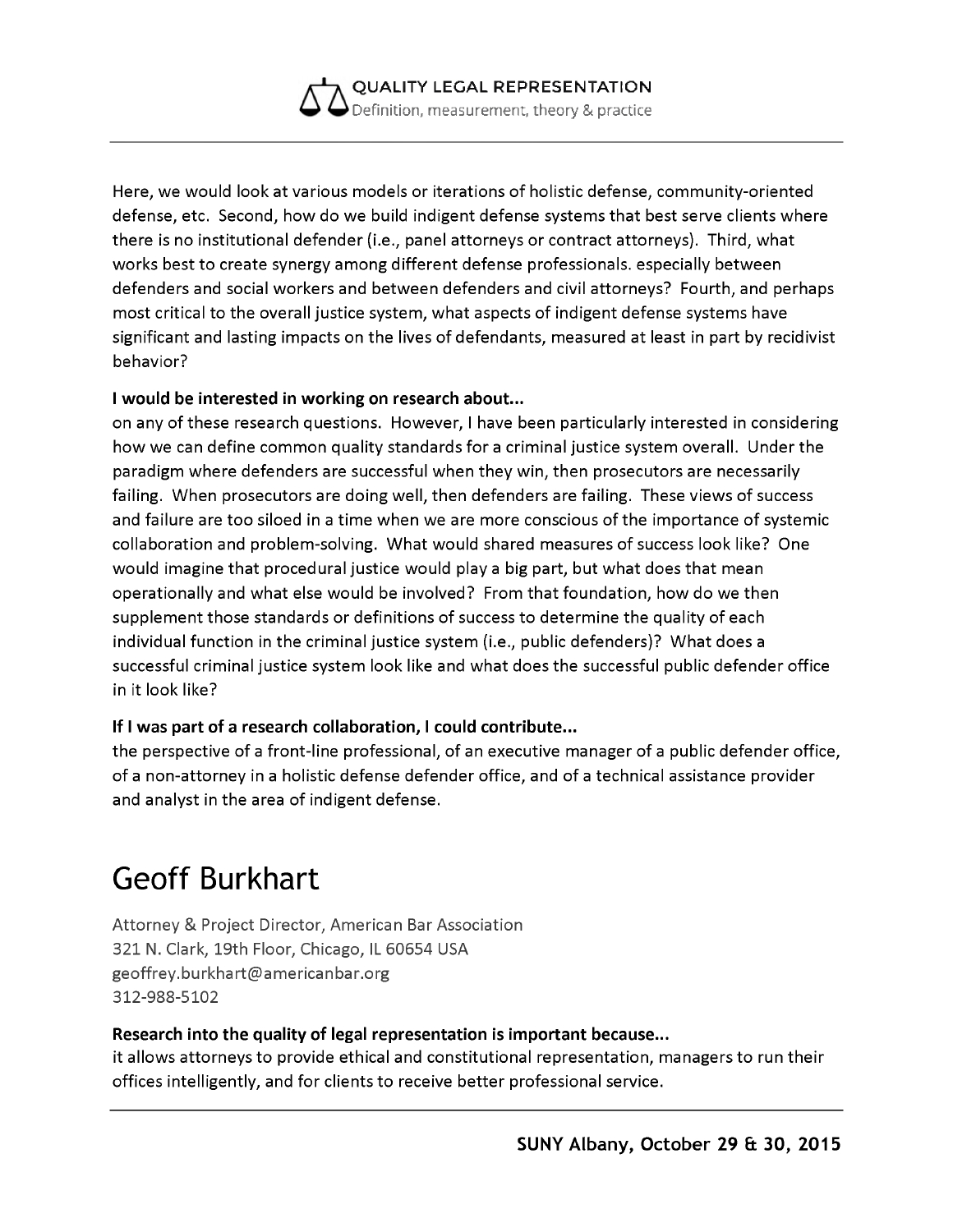

Here, we would look at various models or iterations of holistic defense, community-oriented defense, etc. Second, how do we build indigent defense systems that best serve clients where there is no institutional defender (i.e., panel attorneys or contract attorneys). Third, what works best to create synergy among different defense professionals. especially between defenders and social workers and between defenders and civil attorneys? Fourth, and perhaps most critical to the overall justice system, what aspects of indigent defense systems have significant and lasting impacts on the lives of defendants, measured at least in part by recidivist behavior?

#### **I would be interested in working on research about...**

on any of these research questions. However, I have been particularly interested in considering how we can define common quality standards for a criminal justice system overall. Under the paradigm where defenders are successful when they win, then prosecutors are necessarily failing. When prosecutors are doing well, then defenders are failing. These views of success and failure are too siloed in a time when we are more conscious of the importance of systemic collaboration and problem-solving. What would shared measures of success look like? One would imagine that procedural justice would play a big part, but what does that mean operationally and what else would be involved? From that foundation, how do we then supplement those standards or definitions of success to determine the quality of each individual function in the criminal justice system (i.e., public defenders)? What does a successful criminal justice system look like and what does the successful public defender office in it look like?

#### **If I was part of a research collaboration, I could contribute...**

the perspective of a front-line professional, of an executive manager of a public defender office, of a non-attorney in a holistic defense defender office, and of a technical assistance provider and analyst in the area of indigent defense.

### **Geoff Burkhart**

Attorney & Project Director, American Bar Association 321 N. Clark, 19th Floor, Chicago, IL 60654 USA [geoffrey.burkhart@americanbar.org](mailto:geoffrey.burkhart@americanbar.org) 312-988-5102

#### **Research into the quality of legal representation is important because...**

it allows attorneys to provide ethical and constitutional representation, managers to run their offices intelligently, and for clients to receive better professional service.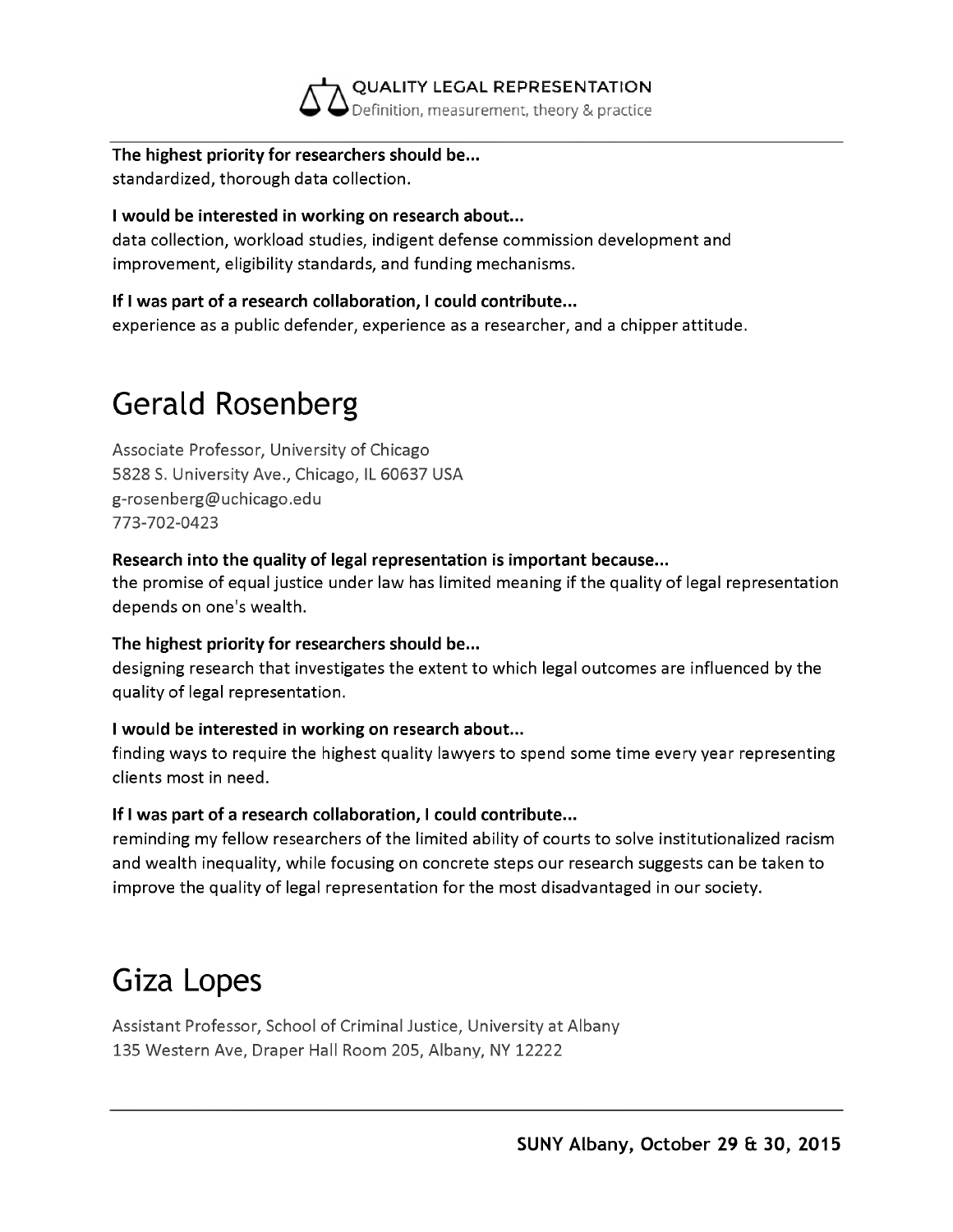

**The highest priority for researchers should be...** standardized, thorough data collection.

#### **I would be interested in working on research about...**

data collection, workload studies, indigent defense commission development and improvement, eligibility standards, and funding mechanisms.

#### **If I was part of a research collaboration, I could contribute...**

experience as a public defender, experience as a researcher, and a chipper attitude.

# **Gerald Rosenberg**

Associate Professor, University of Chicago 5828 S. University Ave., Chicago, IL 60637 USA [g-rosenberg@uchicago.edu](mailto:g-rosenberg@uchicago.edu) 773-702-0423

#### **Research into the quality of legal representation is important because...**

the promise of equal justice under law has limited meaning if the quality of legal representation depends on one's wealth.

#### **The highest priority for researchers should be...**

designing research that investigates the extent to which legal outcomes are influenced by the quality of legal representation.

#### **I would be interested in working on research about...**

finding ways to require the highest quality lawyers to spend some time every year representing clients most in need.

#### **If I was part of a research collaboration, I could contribute...**

reminding my fellow researchers of the limited ability of courts to solve institutionalized racism and wealth inequality, while focusing on concrete steps our research suggests can be taken to improve the quality of legal representation for the most disadvantaged in our society.

## **Giza Lopes**

Assistant Professor, School of Criminal Justice, University at Albany 135 Western Ave, Draper Hall Room 205, Albany, NY 12222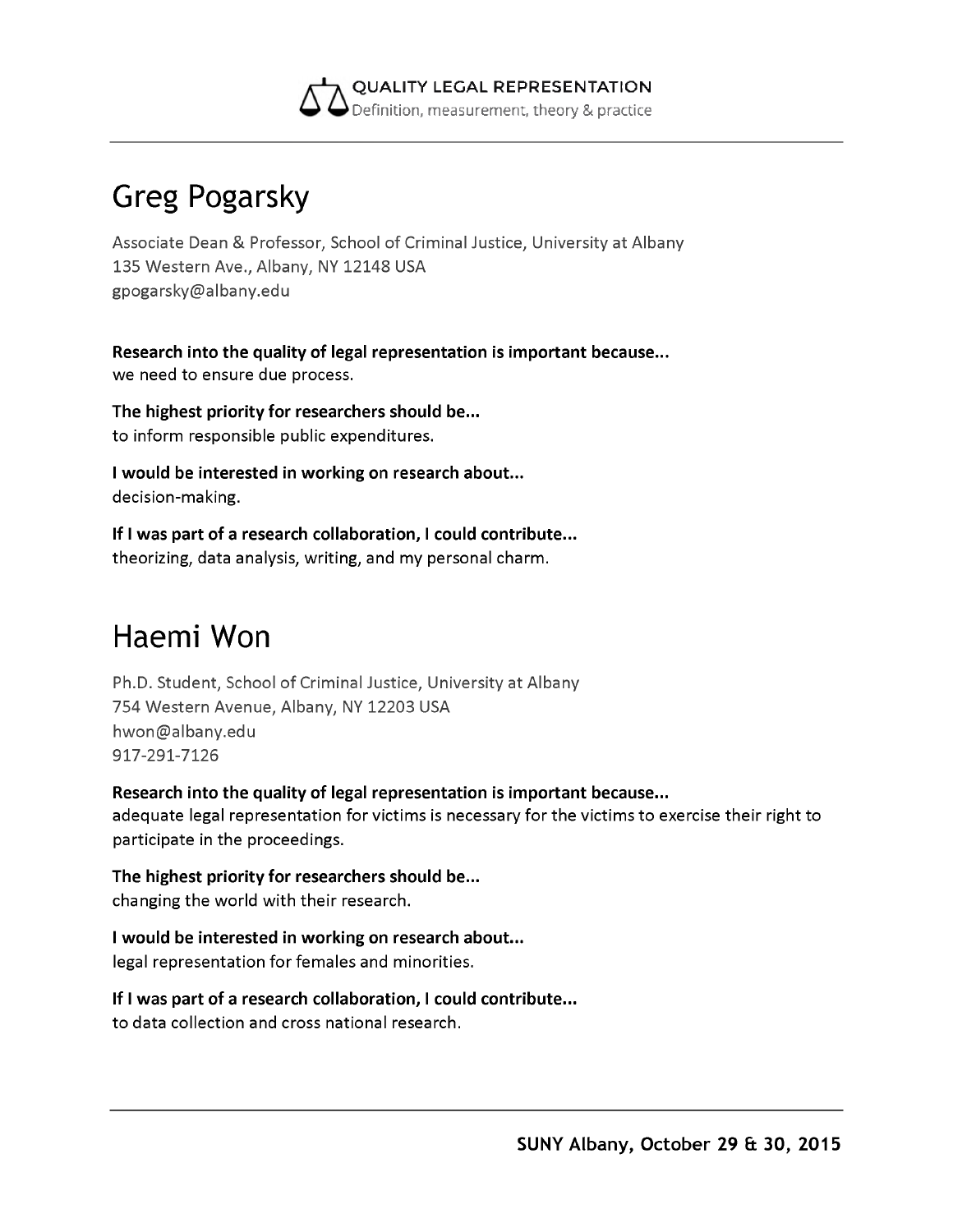

# **Greg Pogarsky**

Associate Dean & Professor, School of Criminal Justice, University at Albany 135 Western Ave., Albany, NY 12148 USA [gpogarsky@albany.edu](mailto:gpogarsky@albany.edu)

**Research into the quality of legal representation is important because...** we need to ensure due process.

**The highest priority for researchers should be...** to inform responsible public expenditures.

**I would be interested in working on research about...** decision-making.

**If I was part of a research collaboration, I could contribute...** theorizing, data analysis, writing, and my personal charm.

# **Haemi Won**

Ph.D. Student, School of Criminal Justice, University at Albany 754 Western Avenue, Albany, NY 12203 USA [hwon@albany.edu](mailto:hwon@albany.edu) 917-291-7126

**Research into the quality of legal representation is important because...** adequate legal representation for victims is necessary for the victims to exercise their right to participate in the proceedings.

**The highest priority for researchers should be...** changing the world with their research.

**I would be interested in working on research about...** legal representation for females and minorities.

**If I was part of a research collaboration, I could contribute...** to data collection and cross national research.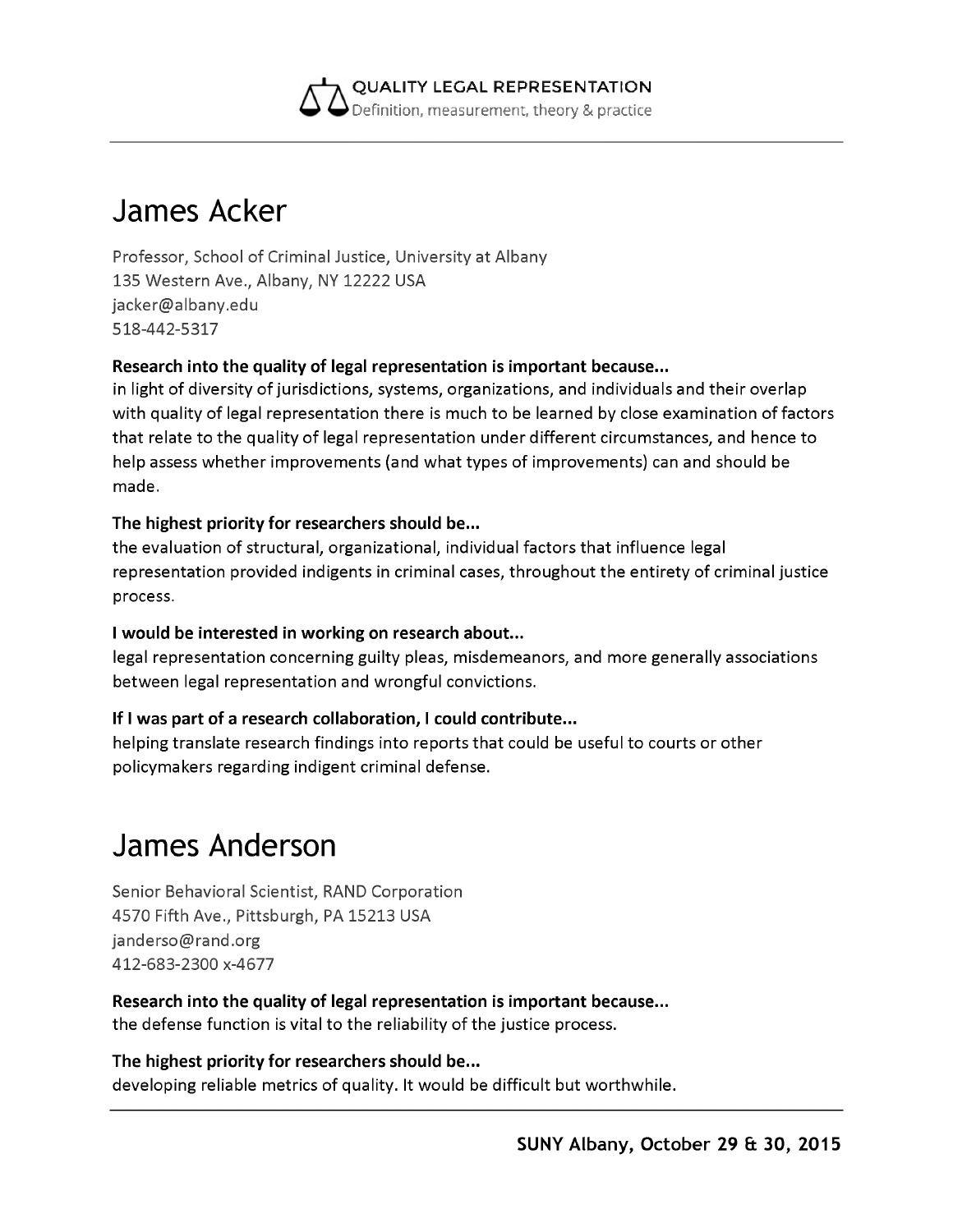

### **James Acker**

Professor, School of Criminal Justice, University at Albany 135 Western Ave., Albany, NY 12222 USA [jacker@albany.edu](mailto:jacker@albany.edu) 518-442-5317

#### **Research into the quality of legal representation is important because...**

in light of diversity of jurisdictions, systems, organizations, and individuals and their overlap with quality of legal representation there is much to be learned by close examination of factors that relate to the quality of legal representation under different circumstances, and hence to help assess whether improvements (and what types of improvements) can and should be made.

#### **The highest priority for researchers should be...**

the evaluation of structural, organizational, individual factors that influence legal representation provided indigents in criminal cases, throughout the entirety of criminal justice process.

#### **I would be interested in working on research about...**

legal representation concerning guilty pleas, misdemeanors, and more generally associations between legal representation and wrongful convictions.

#### **If I was part of a research collaboration, I could contribute...**

helping translate research findings into reports that could be useful to courts or other policymakers regarding indigent criminal defense.

### **James Anderson**

Senior Behavioral Scientist, RAND Corporation 4570 Fifth Ave., Pittsburgh, PA 15213 USA [janderso@rand.org](mailto:janderso@rand.org) 412-683-2300 x-4677

**Research into the quality of legal representation is important because...** the defense function is vital to the reliability of the justice process.

**The highest priority for researchers should be...** developing reliable metrics of quality. It would be difficult but worthwhile.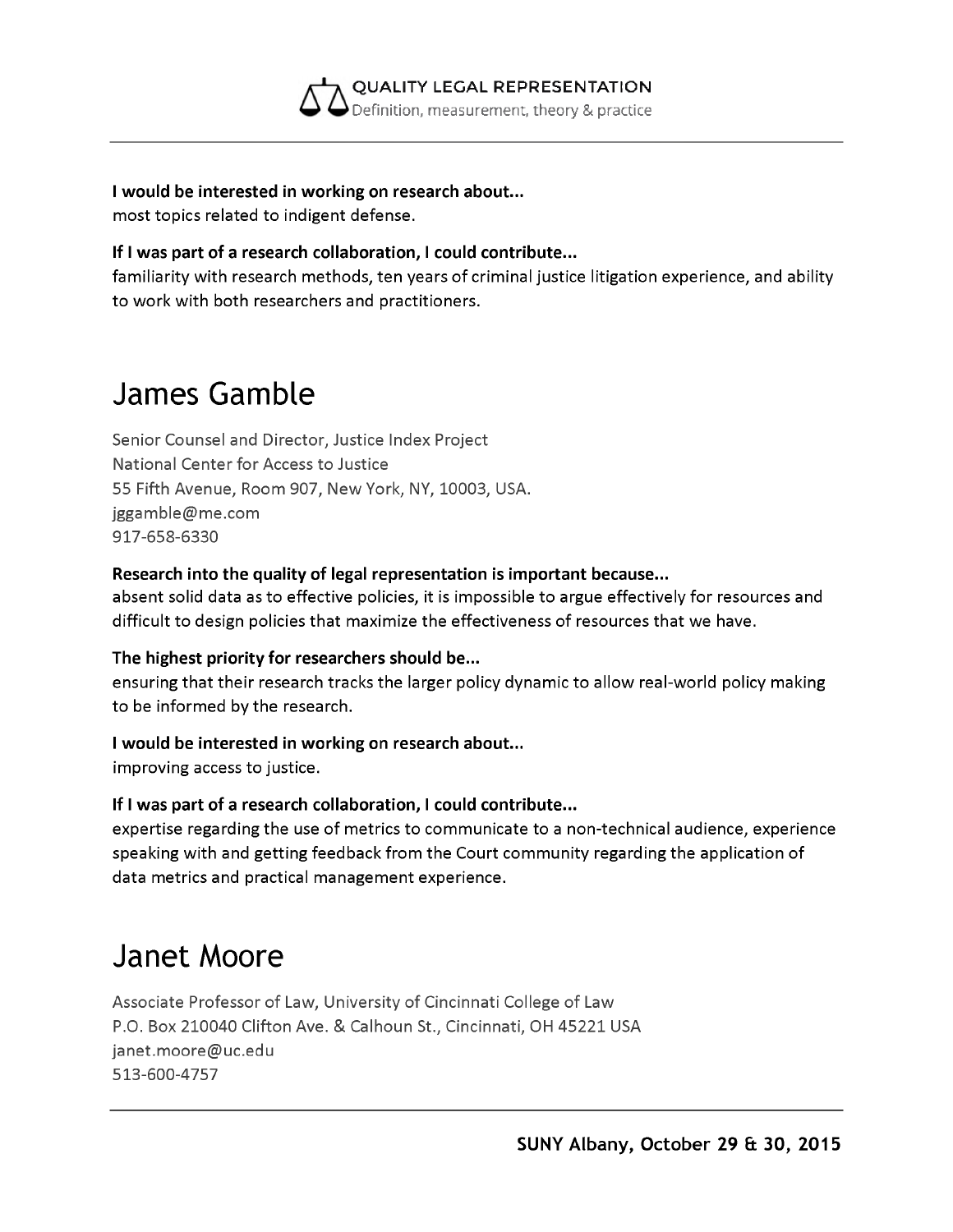

**I would be interested in working on research about...**

most topics related to indigent defense.

#### **If I was part of a research collaboration, I could contribute...**

familiarity with research methods, ten years of criminal justice litigation experience, and ability to work with both researchers and practitioners.

### **James Gamble**

Senior Counsel and Director, Justice Index Project National Center for Access to Justice 55 Fifth Avenue, Room 907, New York, NY, 10003, USA. [jggamble@me.com](mailto:jggamble@me.com) 917-658-6330

#### **Research into the quality of legal representation is important because...**

absent solid data as to effective policies, it is impossible to argue effectively for resources and difficult to design policies that maximize the effectiveness of resources that we have.

#### **The highest priority for researchers should be...**

ensuring that their research tracks the larger policy dynamic to allow real-world policy making to be informed by the research.

#### **I would be interested in working on research about...**

improving access to justice.

#### **If I was part of a research collaboration, I could contribute...**

expertise regarding the use of metrics to communicate to a non-technical audience, experience speaking with and getting feedback from the Court community regarding the application of data metrics and practical management experience.

### **Janet Moore**

Associate Professor of Law, University of Cincinnati College of Law P.O. Box 210040 Clifton Ave. & Calhoun St., Cincinnati, OH 45221 USA [janet.moore@uc.edu](mailto:janet.moore@uc.edu) 513-600-4757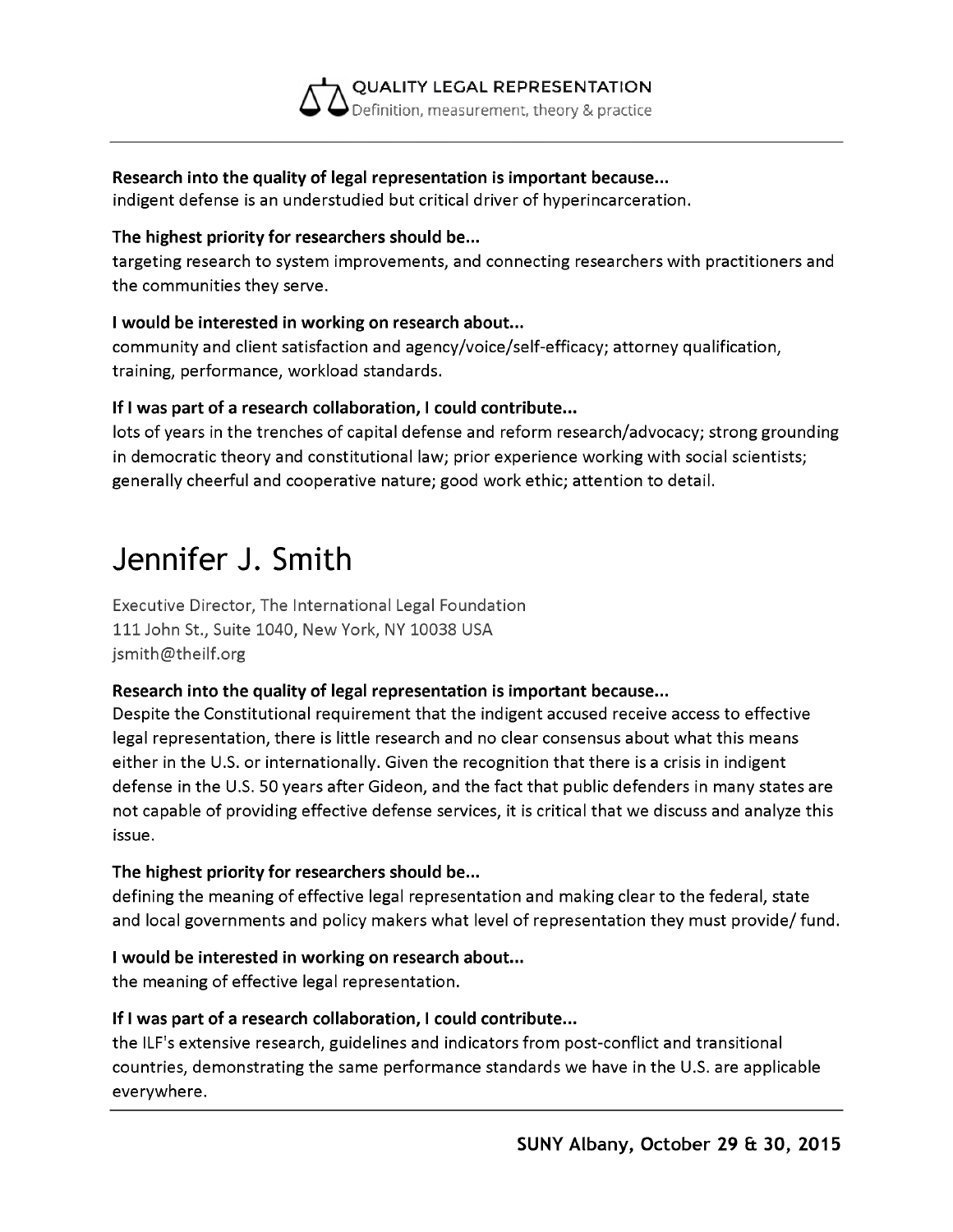

#### **Research into the quality of legal representation is important because...**

indigent defense is an understudied but critical driver of hyperincarceration.

#### **The highest priority for researchers should be...**

targeting research to system improvements, and connecting researchers with practitioners and the communities they serve.

#### **I would be interested in working on research about...**

community and client satisfaction and agency/voice/self-efficacy; attorney qualification, training, performance, workload standards.

#### **If I was part of a research collaboration, I could contribute...**

lots of years in the trenches of capital defense and reform research/advocacy; strong grounding in democratic theory and constitutional law; prior experience working with social scientists; generally cheerful and cooperative nature; good work ethic; attention to detail.

## **Jennifer J. Smith**

Executive Director, The International Legal Foundation 111 John St., Suite 1040, New York, NY 10038 USA [jsmith@theilf.org](mailto:jsmith@theilf.org)

#### **Research into the quality of legal representation is important because...**

Despite the Constitutional requirement that the indigent accused receive access to effective legal representation, there is little research and no clear consensus about what this means either in the U.S. or internationally. Given the recognition that there is a crisis in indigent defense in the U.S. 50 years after Gideon, and the fact that public defenders in many states are not capable of providing effective defense services, it is critical that we discuss and analyze this issue.

#### **The highest priority for researchers should be...**

defining the meaning of effective legal representation and making clear to the federal, state and local governments and policy makers what level of representation they must provide/ fund.

#### **I would be interested in working on research about...**

the meaning of effective legal representation.

#### **If I was part of a research collaboration, I could contribute...**

the ILF's extensive research, guidelines and indicators from post-conflict and transitional countries, demonstrating the same performance standards we have in the U.S. are applicable everywhere.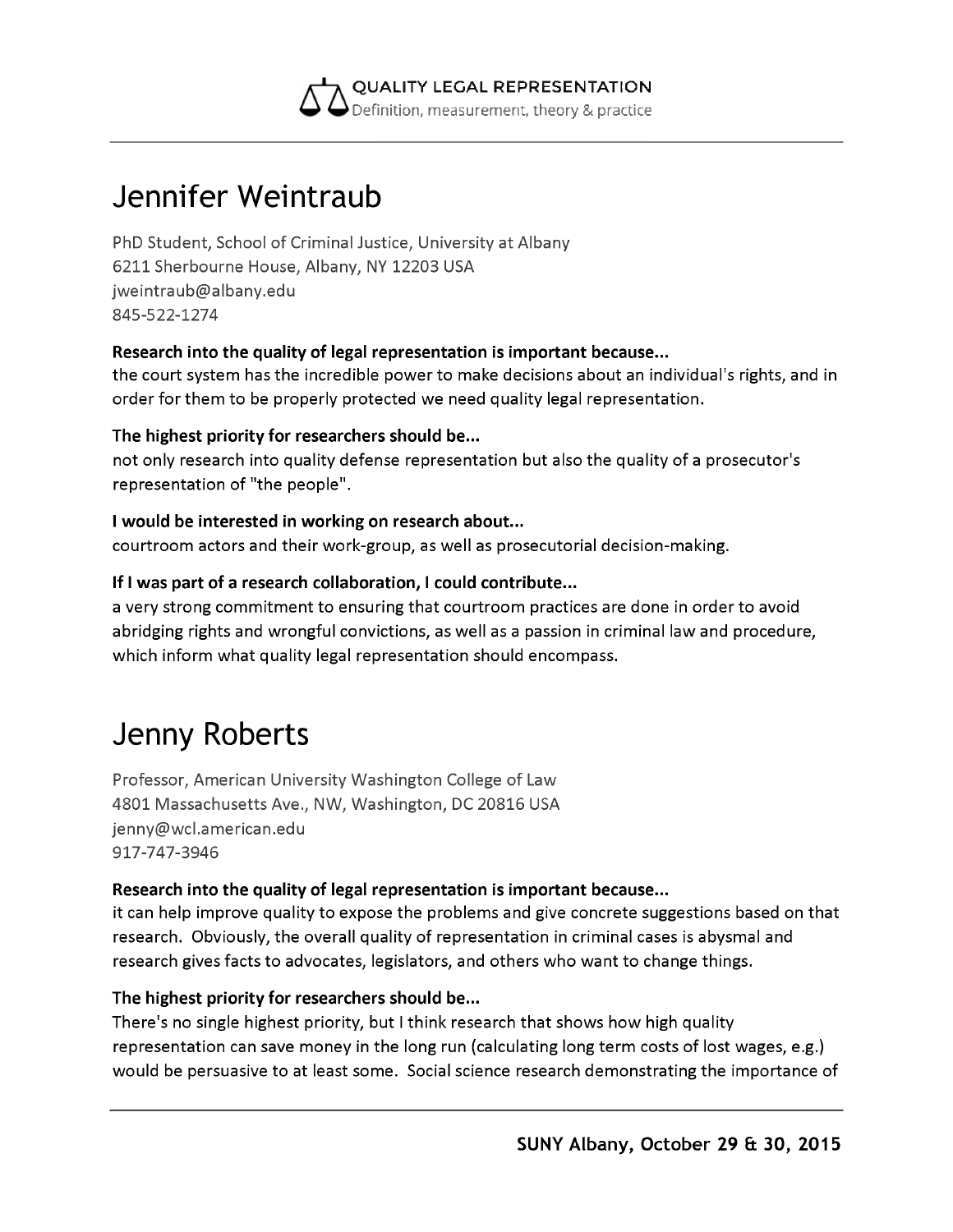

## **Jennifer Weintraub**

PhD Student, School of Criminal Justice, University at Albany 6211 Sherbourne House, Albany, NY 12203 USA [jweintraub@albany.edu](mailto:jweintraub@albany.edu) 845-522-1274

#### **Research into the quality of legal representation is important because...**

the court system has the incredible power to make decisions about an individual's rights, and in order for them to be properly protected we need quality legal representation.

#### **The highest priority for researchers should be...**

not only research into quality defense representation but also the quality of a prosecutor's representation of "the people".

#### **I would be interested in working on research about...**

courtroom actors and their work-group, as well as prosecutorial decision-making.

#### **If I was part of a research collaboration, I could contribute...**

a very strong commitment to ensuring that courtroom practices are done in order to avoid abridging rights and wrongful convictions, as well as a passion in criminal law and procedure, which inform what quality legal representation should encompass.

### **Jenny Roberts**

Professor, American University Washington College of Law 4801 Massachusetts Ave., NW, Washington, DC 20816 USA [jenny@wcl.american.edu](mailto:jenny@wcl.american.edu) 917-747-3946

#### **Research into the quality of legal representation is important because...**

it can help improve quality to expose the problems and give concrete suggestions based on that research. Obviously, the overall quality of representation in criminal cases is abysmal and research gives facts to advocates, legislators, and others who want to change things.

#### **The highest priority for researchers should be...**

There's no single highest priority, but I think research that shows how high quality representation can save money in the long run (calculating long term costs of lost wages, e.g.) would be persuasive to at least some. Social science research demonstrating the importance of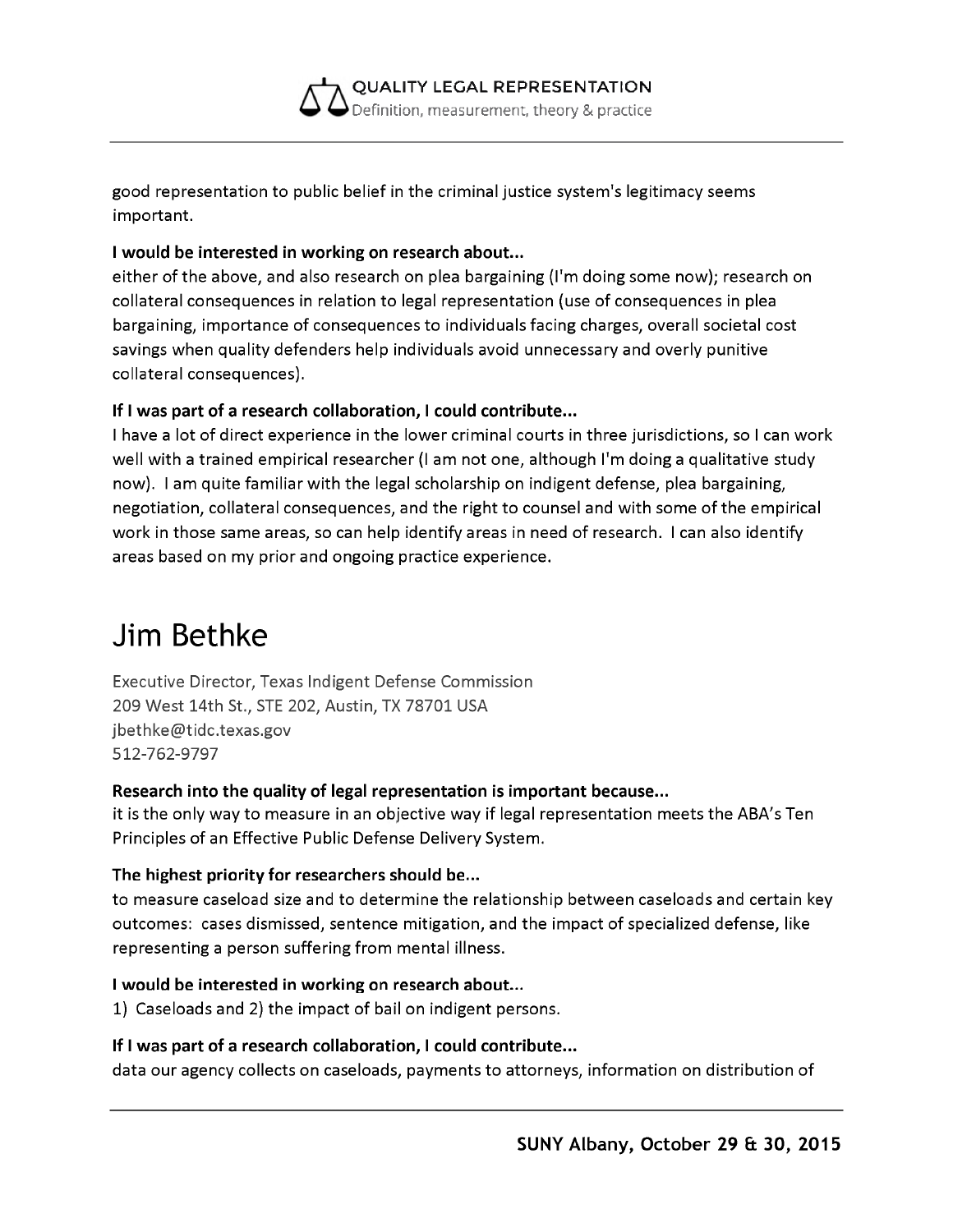

good representation to public belief in the criminal justice system's legitimacy seems important.

#### **I would be interested in working on research about...**

either of the above, and also research on plea bargaining (I'm doing some now); research on collateral consequences in relation to legal representation (use of consequences in plea bargaining, importance of consequences to individuals facing charges, overall societal cost savings when quality defenders help individuals avoid unnecessary and overly punitive collateral consequences).

#### **If I was part of a research collaboration, I could contribute...**

I have a lot of direct experience in the lower criminal courts in three jurisdictions, so I can work well with a trained empirical researcher (I am not one, although I'm doing a qualitative study now). I am quite familiar with the legal scholarship on indigent defense, plea bargaining, negotiation, collateral consequences, and the right to counsel and with some of the empirical work in those same areas, so can help identify areas in need of research. I can also identify areas based on my prior and ongoing practice experience.

### **Jim Bethke**

Executive Director, Texas Indigent Defense Commission 209 West 14th St., STE 202, Austin, TX 78701 USA [jbethke@tidc.texas.gov](mailto:jbethke@tidc.texas.gov) 512-762-9797

#### **Research into the quality of legal representation is important because...**

it is the only way to measure in an objective way if legal representation meets the ABA's Ten Principles of an Effective Public Defense Delivery System.

#### **The highest priority for researchers should be...**

to measure caseload size and to determine the relationship between caseloads and certain key outcomes: cases dismissed, sentence mitigation, and the impact of specialized defense, like representing a person suffering from mental illness.

#### **I would be interested in working on research about...**

1) Caseloads and 2) the impact of bail on indigent persons.

#### **If I was part of a research collaboration, I could contribute...**

data our agency collects on caseloads, payments to attorneys, information on distribution of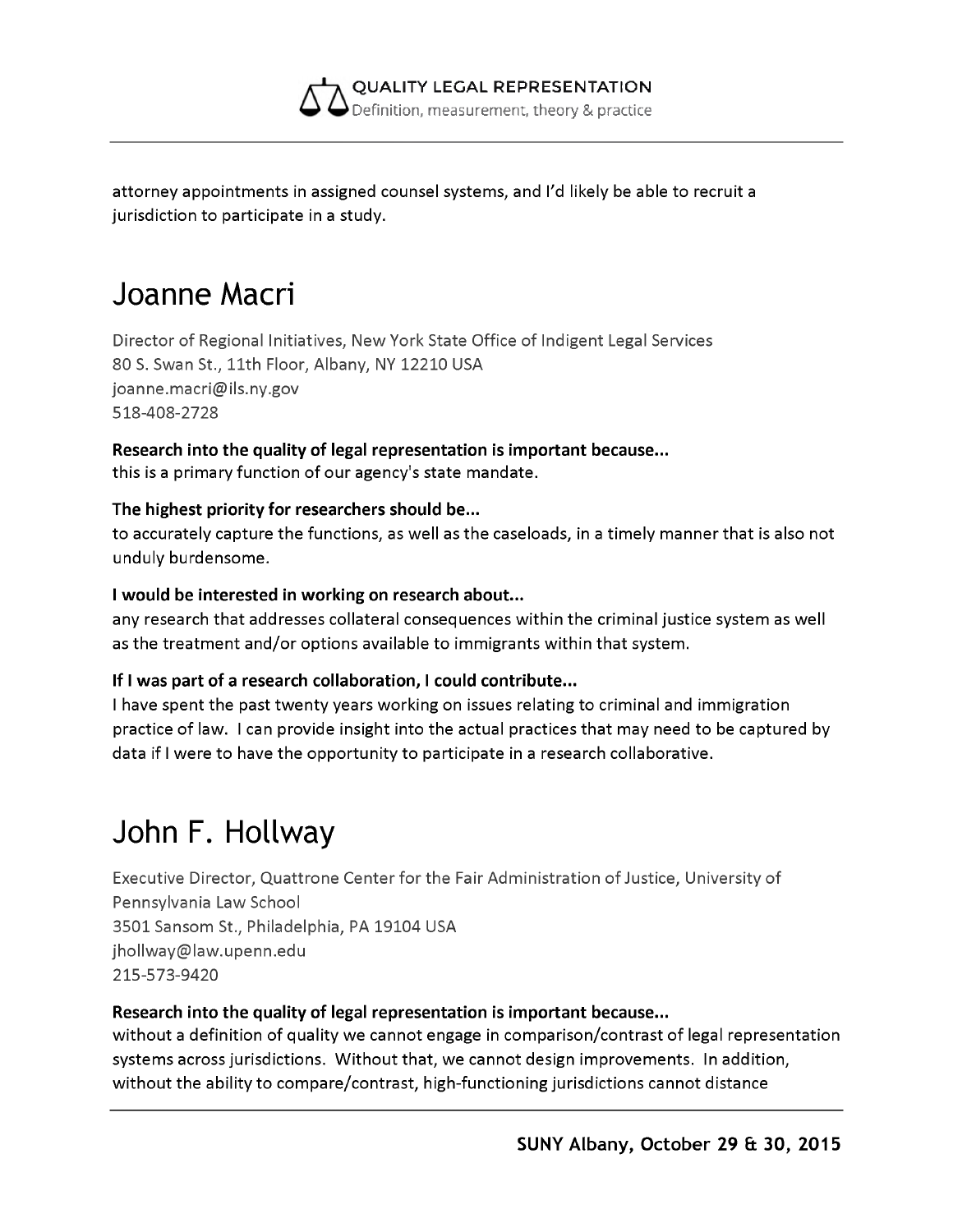

attorney appointments in assigned counsel systems, and I'd likely be able to recruit a jurisdiction to participate in a study.

### **Joanne Macri**

Director of Regional Initiatives, New York State Office of Indigent Legal Services 80 S. Swan St., 11th Floor, Albany, NY 12210 USA [joanne.macri@ils.ny.gov](mailto:joanne.macri@ils.ny.gov) 518-408-2728

**Research into the quality of legal representation is important because...** this is a primary function of our agency's state mandate.

#### **The highest priority for researchers should be...**

to accurately capture the functions, as well as the caseloads, in a timely manner that is also not unduly burdensome.

#### **I would be interested in working on research about...**

any research that addresses collateral consequences within the criminal justice system as well as the treatment and/or options available to immigrants within that system.

#### **If I was part of a research collaboration, I could contribute...**

I have spent the past twenty years working on issues relating to criminal and immigration practice of law. I can provide insight into the actual practices that may need to be captured by data if I were to have the opportunity to participate in a research collaborative.

# **John F. Hollway**

Executive Director, Quattrone Center for the Fair Administration of Justice, University of Pennsylvania Law School 3501 Sansom St., Philadelphia, PA 19104 USA [jhollway@law.upenn.edu](mailto:jhollway@law.upenn.edu) 215-573-9420

#### **Research into the quality of legal representation is important because...**

without a definition of quality we cannot engage in comparison/contrast of legal representation systems across jurisdictions. Without that, we cannot design improvements. In addition, without the ability to compare/contrast, high-functioning jurisdictions cannot distance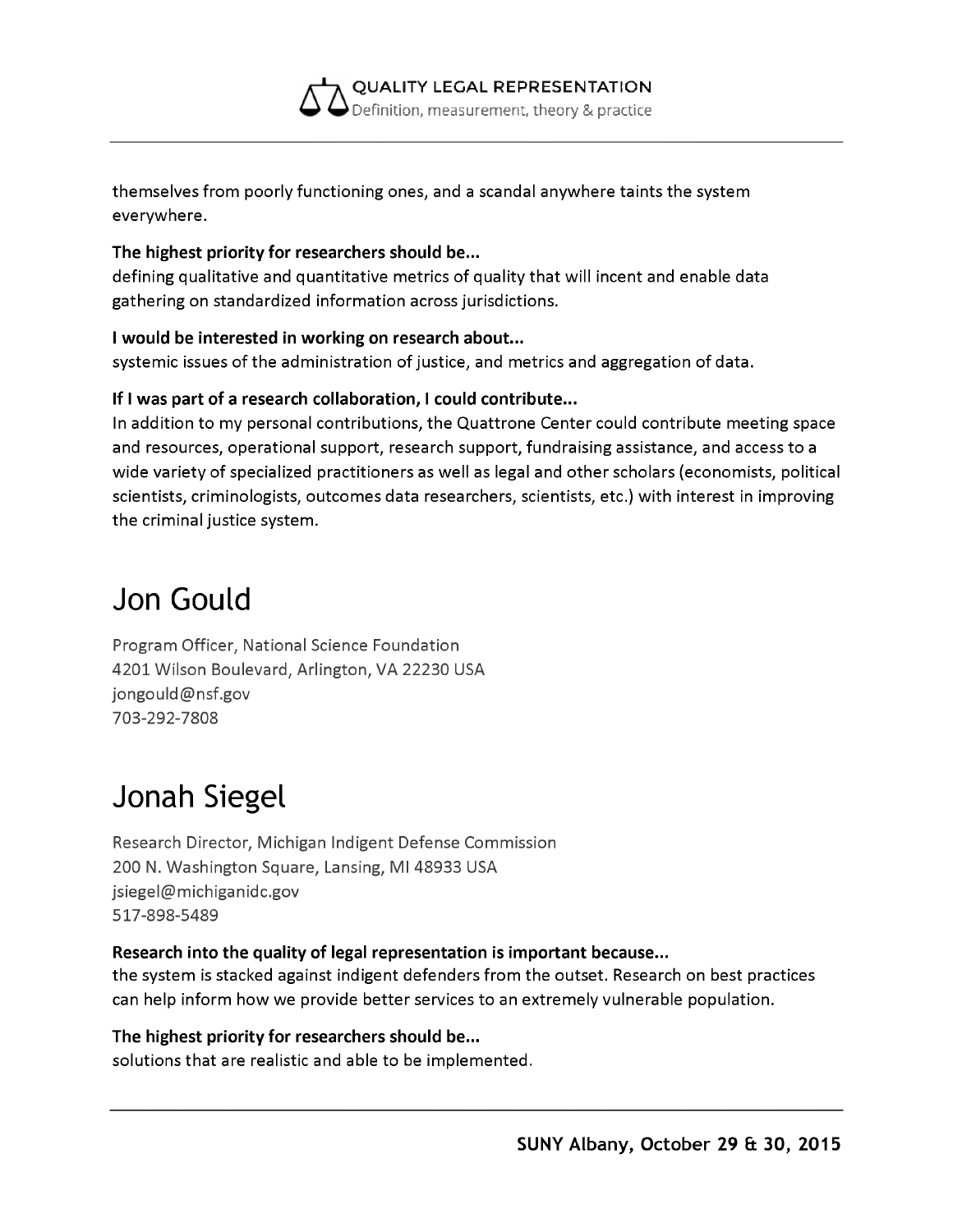**QUALITY LEGAL REPRESENTATION** Definition, measurement, theory & practice

themselves from poorly functioning ones, and a scandal anywhere taints the system everywhere.

#### **The highest priority for researchers should be...**

defining qualitative and quantitative metrics of quality that will incent and enable data gathering on standardized information across jurisdictions.

#### **I would be interested in working on research about...**

systemic issues of the administration of justice, and metrics and aggregation of data.

#### **If I was part of a research collaboration, I could contribute...**

In addition to my personal contributions, the Quattrone Center could contribute meeting space and resources, operational support, research support, fundraising assistance, and access to a wide variety of specialized practitioners as well as legal and other scholars (economists, political scientists, criminologists, outcomes data researchers, scientists, etc.) with interest in improving the criminal justice system.

### **Jon Gould**

Program Officer, National Science Foundation 4201 Wilson Boulevard, Arlington, VA 22230 USA [jongould@nsf.gov](mailto:jongould@nsf.gov) 703-292-7808

## **Jonah Siegel**

Research Director, Michigan Indigent Defense Commission 200 N. Washington Square, Lansing, MI 48933 USA [jsiegel@michiganidc.gov](mailto:jsiegel@michiganidc.gov) 517-898-5489

#### **Research into the quality of legal representation is important because...**

the system is stacked against indigent defenders from the outset. Research on best practices can help inform how we provide better services to an extremely vulnerable population.

#### **The highest priority for researchers should be...**

solutions that are realistic and able to be implemented.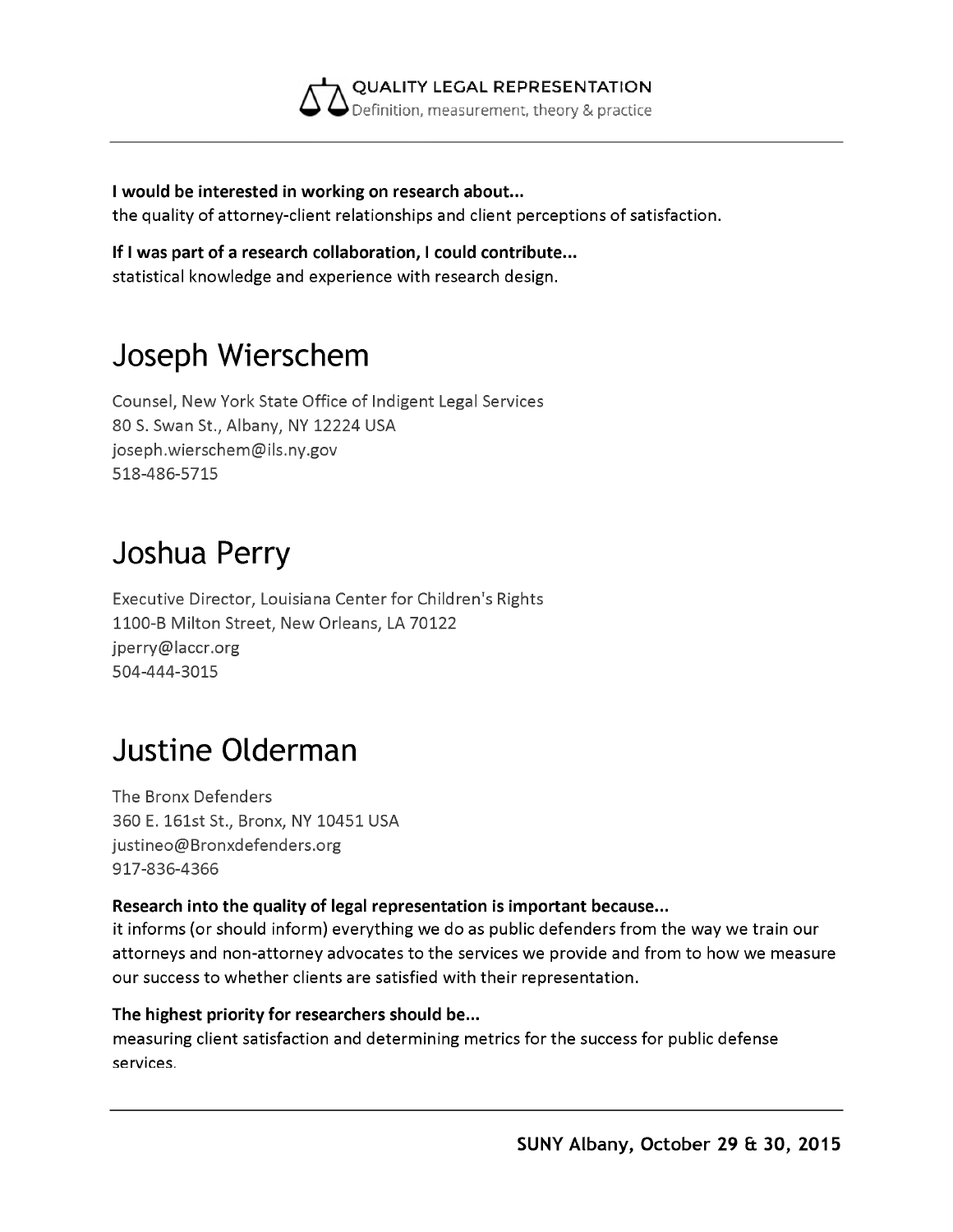

**I would be interested in working on research about...** the quality of attorney-client relationships and client perceptions of satisfaction.

**If I was part of a research collaboration, I could contribute...** statistical knowledge and experience with research design.

# **Joseph Wierschem**

Counsel, New York State Office of Indigent Legal Services 80 S. Swan St., Albany, NY 12224 USA [joseph.wierschem@ils.ny.gov](mailto:joseph.wierschem@ils.ny.gov) 518-486-5715

### **Joshua Perry**

Executive Director, Louisiana Center for Children's Rights 1100-B Milton Street, New Orleans, LA 70122 [jperry@laccr.org](mailto:jperry@laccr.org) 504-444-3015

## **Justine Olderman**

The Bronx Defenders 360 E. 161st St., Bronx, NY 10451 USA [justineo@Bronxdefenders.org](mailto:justineo@Bronxdefenders.org) 917-836-4366

#### **Research into the quality of legal representation is important because...**

it informs (or should inform) everything we do as public defenders from the way we train our attorneys and non-attorney advocates to the services we provide and from to how we measure our success to whether clients are satisfied with their representation.

#### **The highest priority for researchers should be...** measuring client satisfaction and determining metrics for the success for public defense services.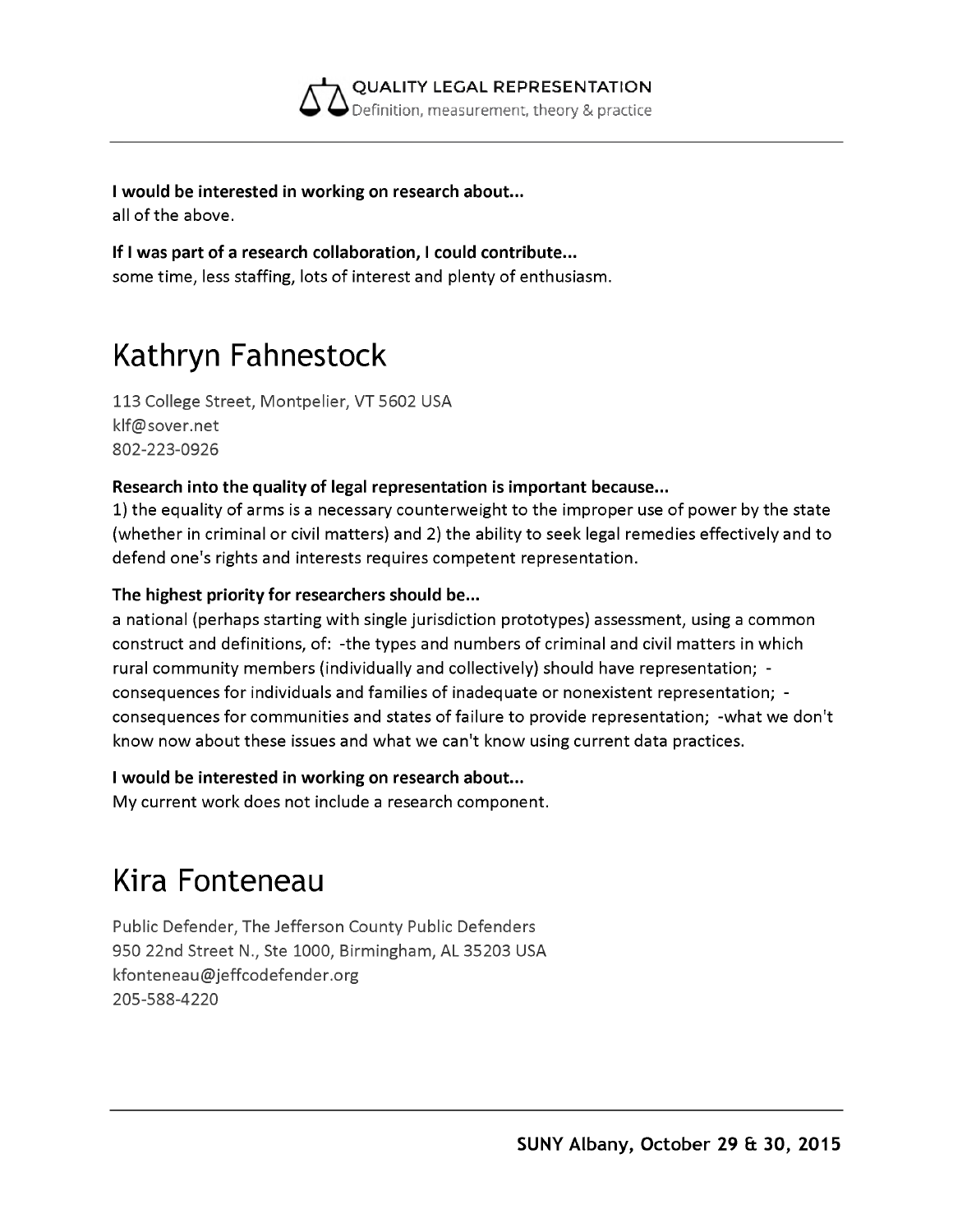

**I would be interested in working on research about...** all of the above.

**If I was part of a research collaboration, I could contribute...** some time, less staffing, lots of interest and plenty of enthusiasm.

# **Kathryn Fahnestock**

113 College Street, Montpelier, VT 5602 USA [klf@sover.net](mailto:klf@sover.net) 802-223-0926

#### **Research into the quality of legal representation is important because...**

1) the equality of arms is a necessary counterweight to the improper use of power by the state (whether in criminal or civil matters) and 2) the ability to seek legal remedies effectively and to defend one's rights and interests requires competent representation.

#### **The highest priority for researchers should be...**

a national (perhaps starting with single jurisdiction prototypes) assessment, using a common construct and definitions, of: -the types and numbers of criminal and civil matters in which rural community members (individually and collectively) should have representation; consequences for individuals and families of inadequate or nonexistent representation; consequences for communities and states of failure to provide representation; -what we don't know now about these issues and what we can't know using current data practices.

#### **I would be interested in working on research about...**

My current work does not include a research component.

## **Kira Fonteneau**

Public Defender, The Jefferson County Public Defenders 950 22nd Street N., Ste 1000, Birmingham, AL 35203 USA [kfonteneau@jeffcodefender.org](mailto:kfonteneau@jeffcodefender.org) 205-588-4220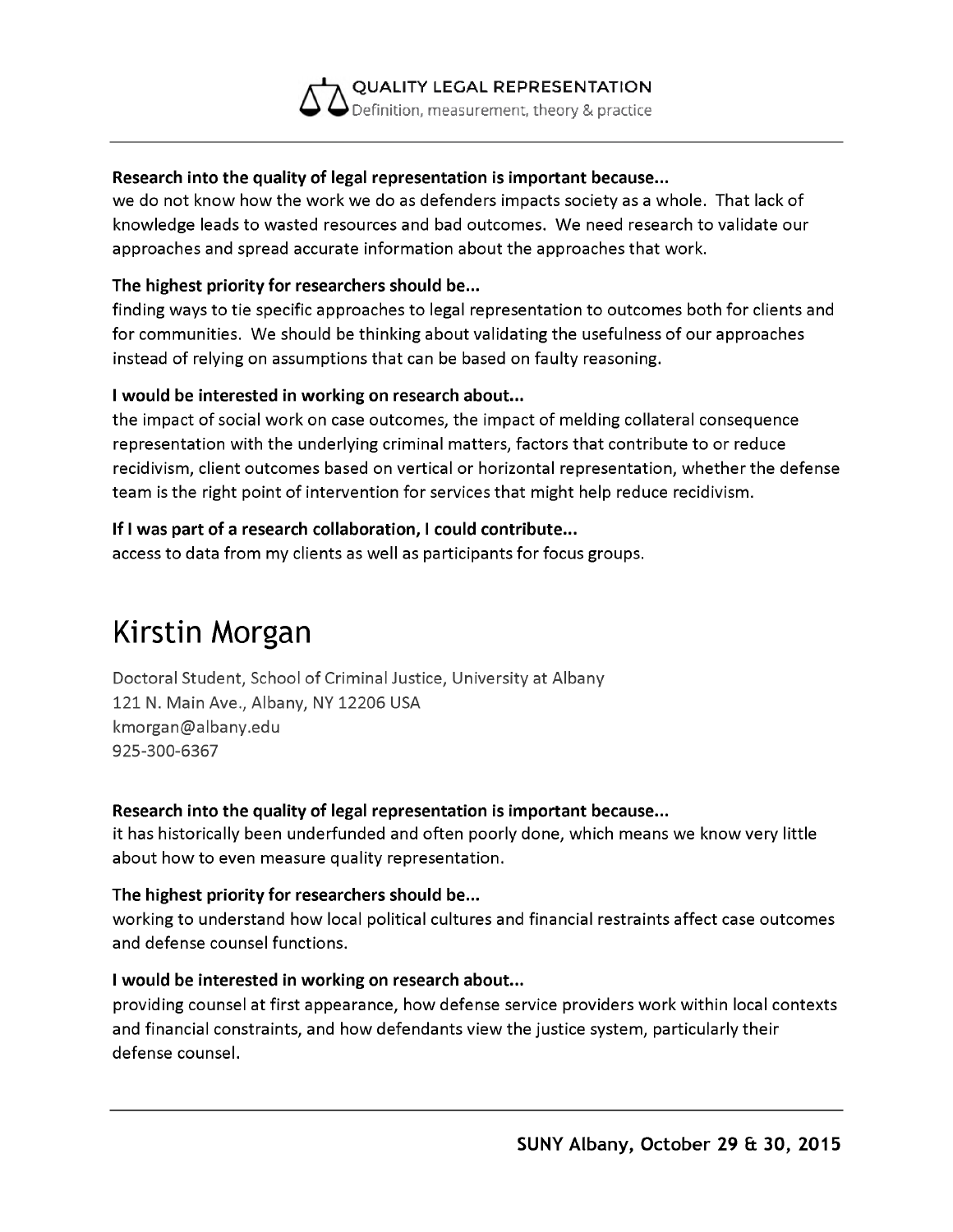#### **QUALITY LEGAL REPRESENTATION** Definition, measurement, theory & practice

#### **Research into the quality of legal representation is important because...**

we do not know how the work we do as defenders impacts society as a whole. That lack of knowledge leads to wasted resources and bad outcomes. We need research to validate our approaches and spread accurate information about the approaches that work.

#### **The highest priority for researchers should be...**

finding ways to tie specific approaches to legal representation to outcomes both for clients and for communities. We should be thinking about validating the usefulness of our approaches instead of relying on assumptions that can be based on faulty reasoning.

#### **I would be interested in working on research about...**

the impact of social work on case outcomes, the impact of melding collateral consequence representation with the underlying criminal matters, factors that contribute to or reduce recidivism, client outcomes based on vertical or horizontal representation, whether the defense team is the right point of intervention for services that might help reduce recidivism.

#### **If I was part of a research collaboration, I could contribute...**

access to data from my clients as well as participants for focus groups.

## **Kirstin Morgan**

Doctoral Student, School of Criminal Justice, University at Albany 121 N. Main Ave., Albany, NY 12206 USA [kmorgan@albany.edu](mailto:kmorgan@albany.edu) 925-300-6367

#### **Research into the quality of legal representation is important because...**

it has historically been underfunded and often poorly done, which means we know very little about how to even measure quality representation.

#### **The highest priority for researchers should be...**

working to understand how local political cultures and financial restraints affect case outcomes and defense counsel functions.

#### **I would be interested in working on research about...**

providing counsel at first appearance, how defense service providers work within local contexts and financial constraints, and how defendants view the justice system, particularly their defense counsel.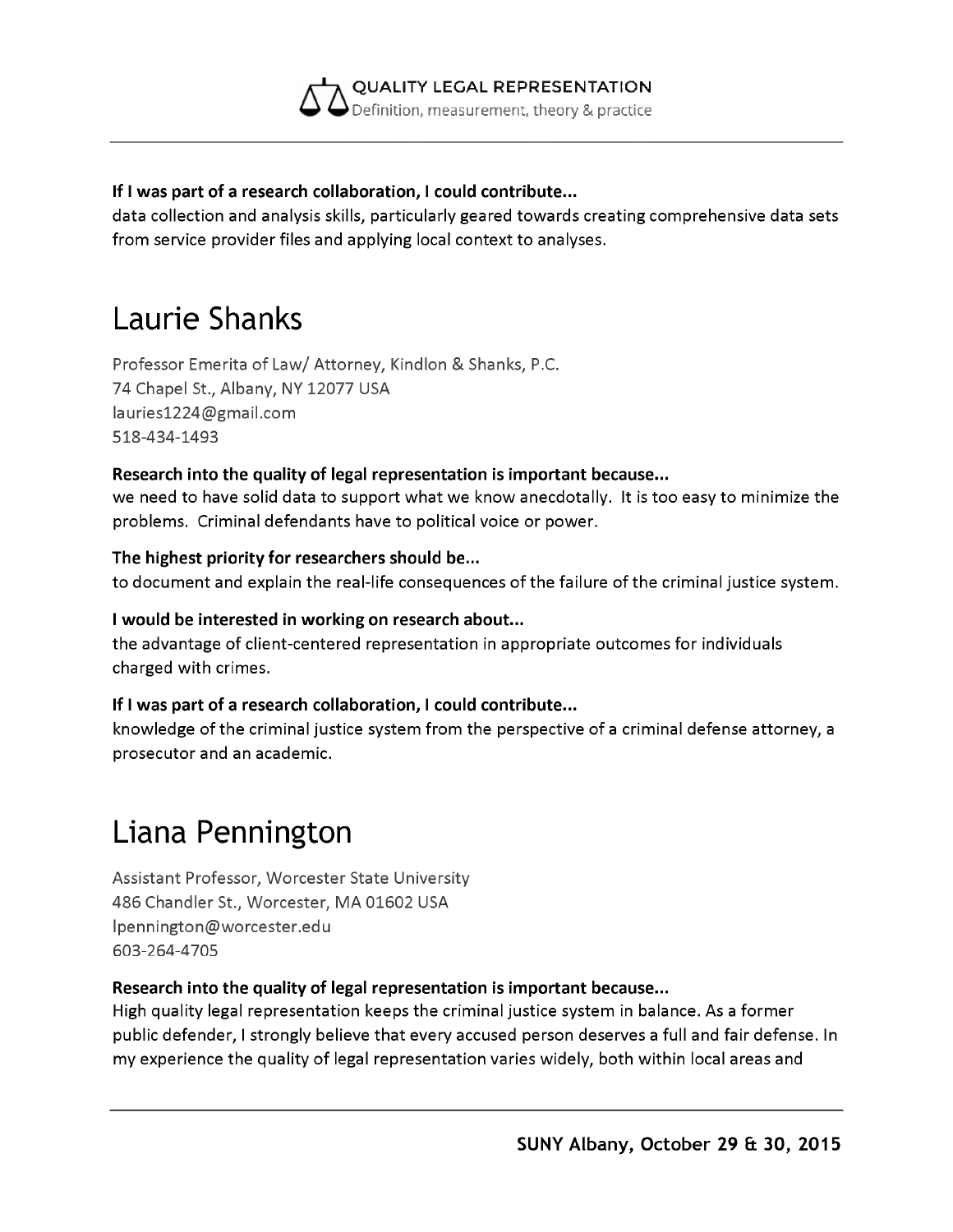

#### **If I was part of a research collaboration, I could contribute...**

data collection and analysis skills, particularly geared towards creating comprehensive data sets from service provider files and applying local context to analyses.

### **Laurie Shanks**

Professor Emerita of Law/ Attorney, Kindlon & Shanks, P.C. 74 Chapel St., Albany, NY 12077 USA [lauries1224@gmail.com](mailto:lauries1224@gmail.com) 518-434-1493

#### **Research into the quality of legal representation is important because...**

we need to have solid data to support what we know anecdotally. It is too easy to minimize the problems. Criminal defendants have to political voice or power.

#### **The highest priority for researchers should be...**

to document and explain the real-life consequences of the failure of the criminal justice system.

#### **I would be interested in working on research about...**

the advantage of client-centered representation in appropriate outcomes for individuals charged with crimes.

#### **If I was part of a research collaboration, I could contribute...**

knowledge of the criminal justice system from the perspective of a criminal defense attorney, a prosecutor and an academic.

# **Liana Pennington**

Assistant Professor, Worcester State University 486 Chandler St., Worcester, MA 01602 USA [lpennington@worcester.edu](mailto:lpennington@worcester.edu) 603-264-4705

#### **Research into the quality of legal representation is important because...**

High quality legal representation keeps the criminal justice system in balance. As a former public defender, I strongly believe that every accused person deserves a full and fair defense. In my experience the quality of legal representation varies widely, both within local areas and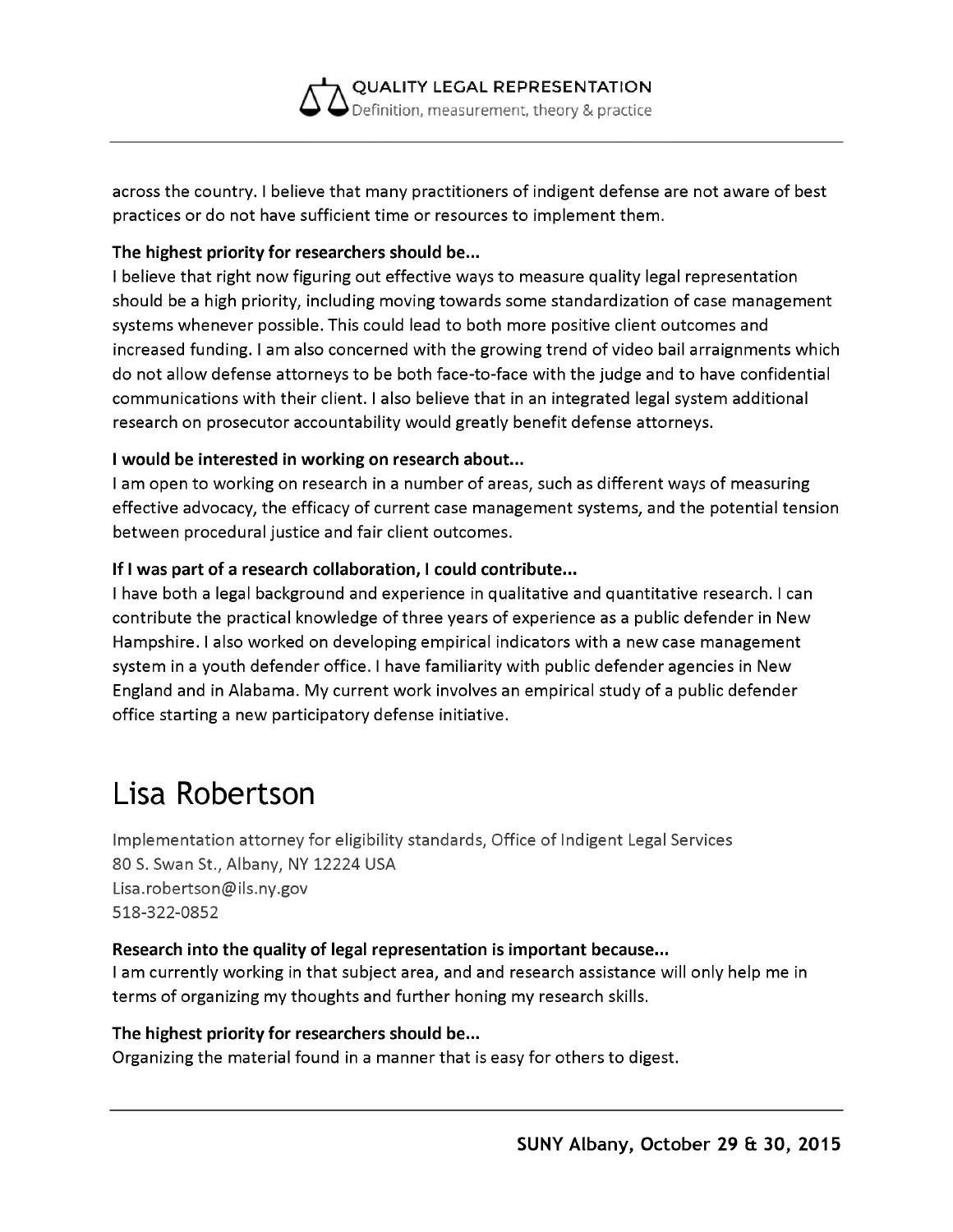

across the country. I believe that many practitioners of indigent defense are not aware of best practices or do not have sufficient time or resources to implement them.

#### **The highest priority for researchers should be...**

I believe that right now figuring out effective ways to measure quality legal representation should be a high priority, including moving towards some standardization of case management systems whenever possible. This could lead to both more positive client outcomes and increased funding. I am also concerned with the growing trend of video bail arraignments which do not allow defense attorneys to be both face-to-face with the judge and to have confidential communications with their client. I also believe that in an integrated legal system additional research on prosecutor accountability would greatly benefit defense attorneys.

#### **I would be interested in working on research about...**

I am open to working on research in a number of areas, such as different ways of measuring effective advocacy, the efficacy of current case management systems, and the potential tension between procedural justice and fair client outcomes.

#### **If I was part of a research collaboration, I could contribute...**

I have both a legal background and experience in qualitative and quantitative research. I can contribute the practical knowledge of three years of experience as a public defender in New Hampshire. I also worked on developing empirical indicators with a new case management system in a youth defender office. I have familiarity with public defender agencies in New England and in Alabama. My current work involves an empirical study of a public defender office starting a new participatory defense initiative.

### **Lisa Robertson**

Implementation attorney for eligibility standards, Office of Indigent Legal Services 80 S. Swan St., Albany, NY 12224 USA [Lisa.robertson@ils.ny.gov](mailto:Lisa.robertson@ils.ny.gov) 518-322-0852

#### **Research into the quality of legal representation is important because...**

I am currently working in that subject area, and and research assistance will only help me in terms of organizing my thoughts and further honing my research skills.

#### **The highest priority for researchers should be...**

Organizing the material found in a manner that is easy for others to digest.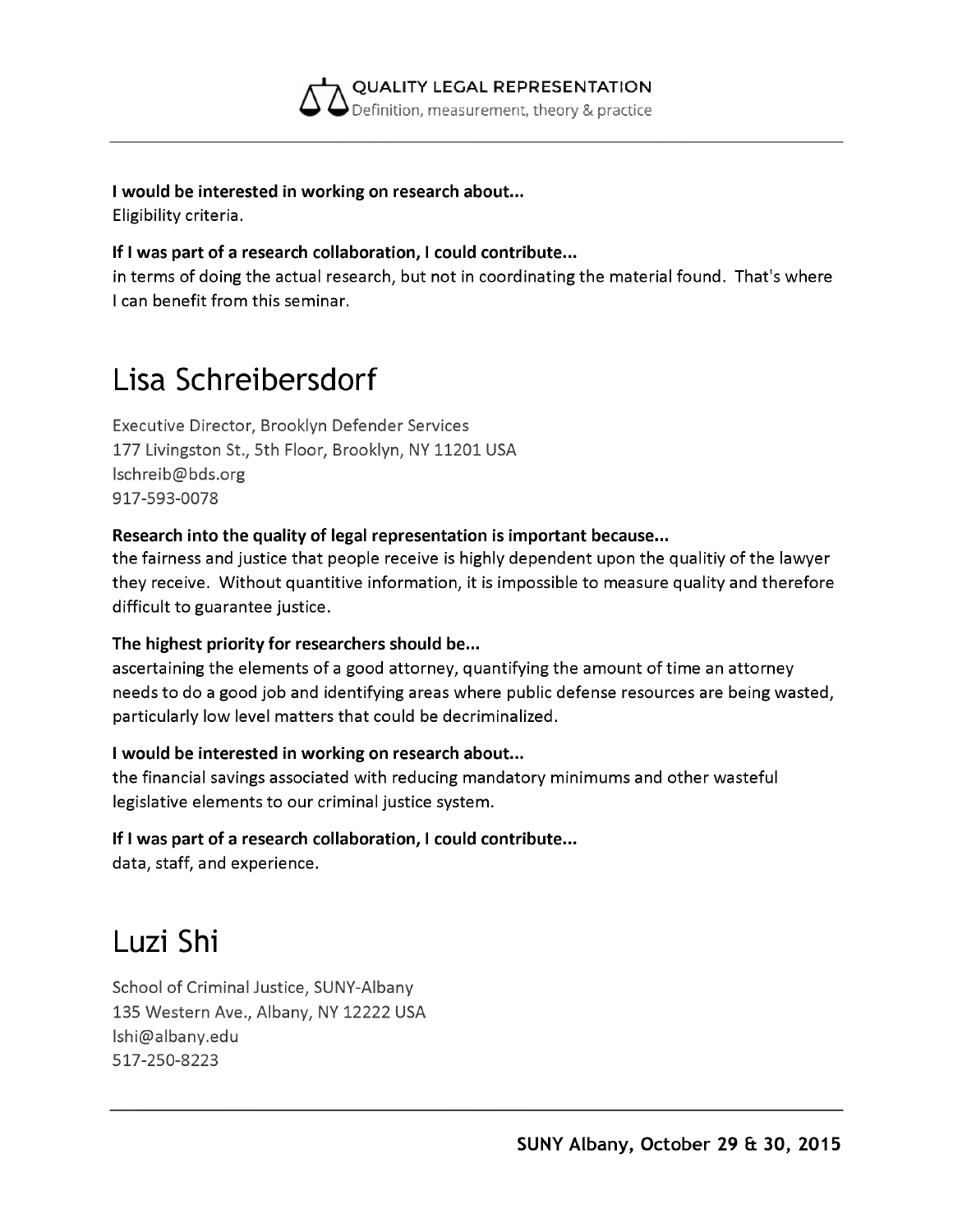

**I would be interested in working on research about...**

Eligibility criteria.

#### **If I was part of a research collaboration, I could contribute...**

in terms of doing the actual research, but not in coordinating the material found. That's where I can benefit from this seminar.

### **Lisa Schreibersdorf**

Executive Director, Brooklyn Defender Services 177 Livingston St., 5th Floor, Brooklyn, NY 11201 USA [lschreib@bds.org](mailto:lschreib@bds.org) 917-593-0078

#### **Research into the quality of legal representation is important because...**

the fairness and justice that people receive is highly dependent upon the qualitiy of the lawyer they receive. Without quantitive information, it is impossible to measure quality and therefore difficult to guarantee justice.

#### **The highest priority for researchers should be...**

ascertaining the elements of a good attorney, quantifying the amount of time an attorney needs to do a good job and identifying areas where public defense resources are being wasted, particularly low level matters that could be decriminalized.

#### **I would be interested in working on research about...**

the financial savings associated with reducing mandatory minimums and other wasteful legislative elements to our criminal justice system.

### **If I was part of a research collaboration, I could contribute...**

data, staff, and experience.

### **Luzi Shi**

School of Criminal Justice, SUNY-Albany 135 Western Ave., Albany, NY 12222 USA [lshi@albany.edu](mailto:lshi@albany.edu) 517-250-8223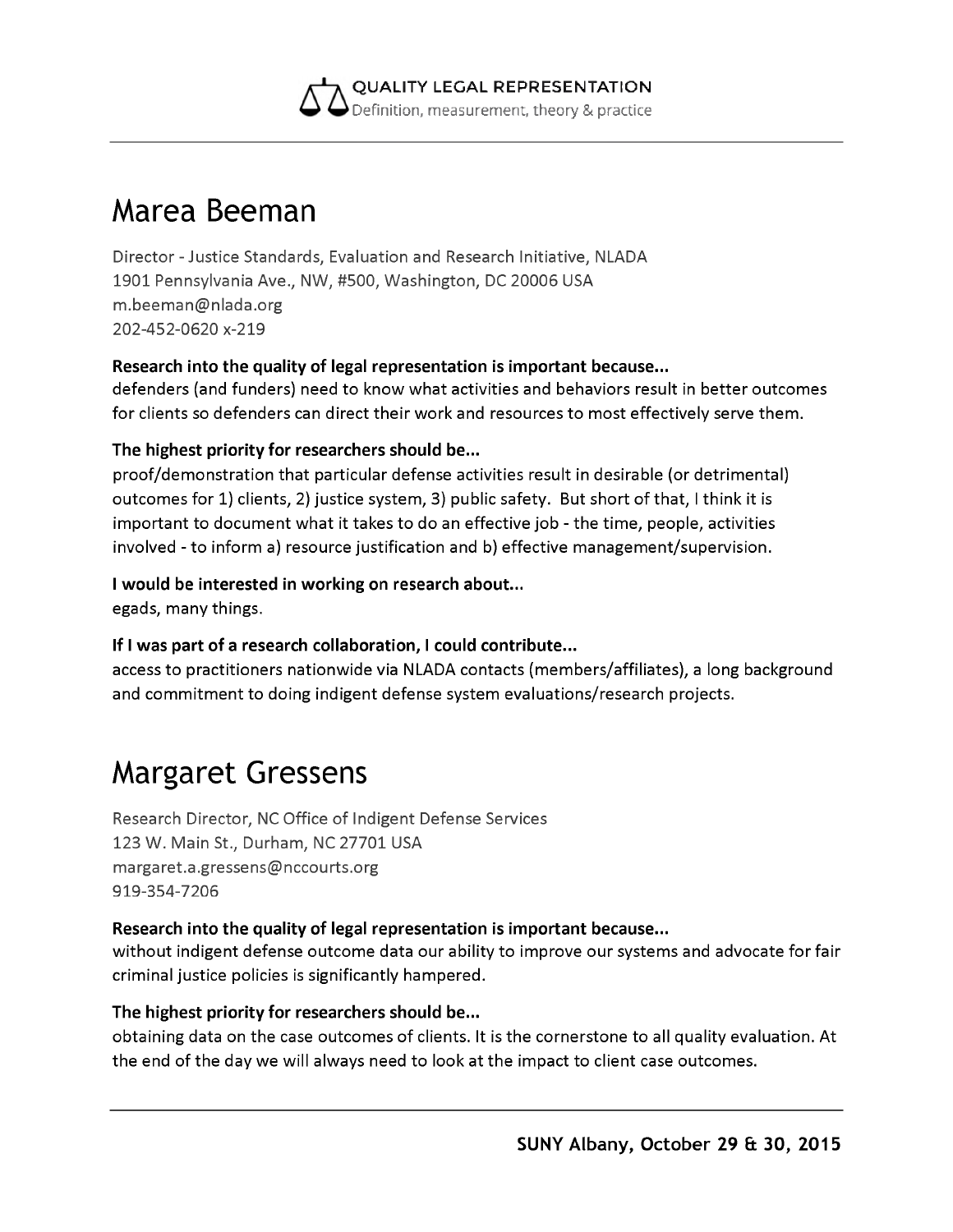

### **Marea Beeman**

Director - Justice Standards, Evaluation and Research Initiative, NLADA 1901 Pennsylvania Ave., NW, #500, Washington, DC 20006 USA [m.beeman@nlada.org](mailto:m.beeman@nlada.org) 202-452-0620 x-219

#### **Research into the quality of legal representation is important because...**

defenders (and funders) need to know what activities and behaviors result in better outcomes for clients so defenders can direct their work and resources to most effectively serve them.

#### **The highest priority for researchers should be...**

proof/demonstration that particular defense activities result in desirable (or detrimental) outcomes for 1) clients, 2) justice system, 3) public safety. But short of that, I think it is important to document what it takes to do an effective job - the time, people, activities involved - to inform a) resource justification and b) effective management/supervision.

#### **I would be interested in working on research about...**

egads, many things.

#### **If I was part of a research collaboration, I could contribute...**

access to practitioners nationwide via NLADA contacts (members/affiliates), a long background and commitment to doing indigent defense system evaluations/research projects.

### **Margaret Gressens**

Research Director, NC Office of Indigent Defense Services 123 W. Main St., Durham, NC 27701 USA [margaret.a.gressens@nccourts.org](mailto:margaret.a.gressens@nccourts.org) 919-354-7206

#### **Research into the quality of legal representation is important because...**

without indigent defense outcome data our ability to improve our systems and advocate for fair criminal justice policies is significantly hampered.

#### **The highest priority for researchers should be...**

obtaining data on the case outcomes of clients. It is the cornerstone to all quality evaluation. At the end of the day we will always need to look at the impact to client case outcomes.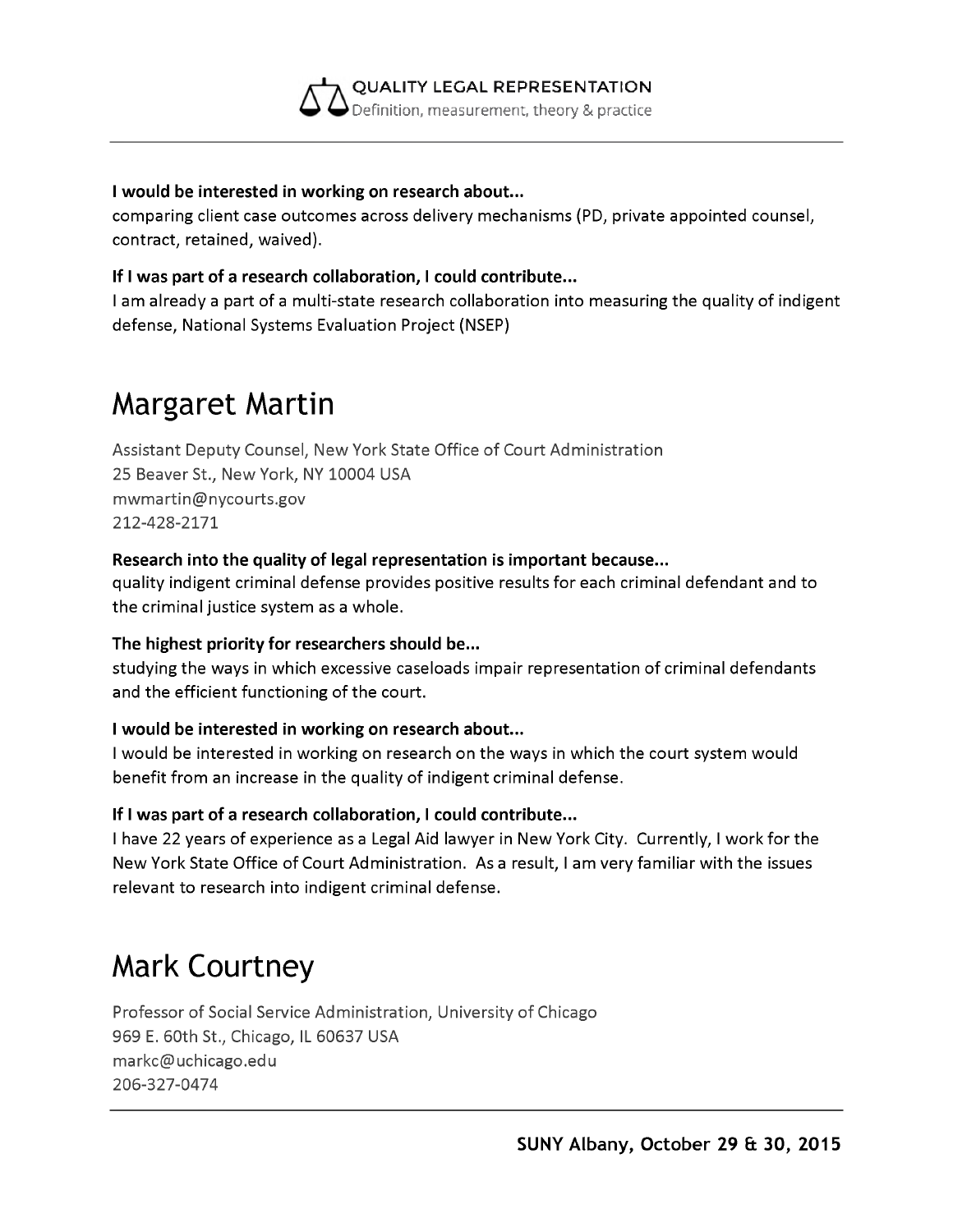

#### **I would be interested in working on research about...**

comparing client case outcomes across delivery mechanisms (PD, private appointed counsel, contract, retained, waived).

#### **If I was part of a research collaboration, I could contribute...**

I am already a part of a multi-state research collaboration into measuring the quality of indigent defense, National Systems Evaluation Project (NSEP)

## **Margaret Martin**

Assistant Deputy Counsel, New York State Office of Court Administration 25 Beaver St., New York, NY 10004 USA [mwmartin@nycourts.gov](mailto:mwmartin@nycourts.gov) 212-428-2171

#### **Research into the quality of legal representation is important because...**

quality indigent criminal defense provides positive results for each criminal defendant and to the criminal justice system as a whole.

#### **The highest priority for researchers should be...**

studying the ways in which excessive caseloads impair representation of criminal defendants and the efficient functioning of the court.

#### **I would be interested in working on research about...**

I would be interested in working on research on the ways in which the court system would benefit from an increase in the quality of indigent criminal defense.

#### **If I was part of a research collaboration, I could contribute...**

I have 22 years of experience as a Legal Aid lawyer in New York City. Currently, I work for the New York State Office of Court Administration. As a result, I am very familiar with the issues relevant to research into indigent criminal defense.

### **Mark Courtney**

Professor of Social Service Administration, University of Chicago 969 E. 60th St., Chicago, IL 60637 USA [markc@uchicago.edu](mailto:markc@uchicago.edu) 206-327-0474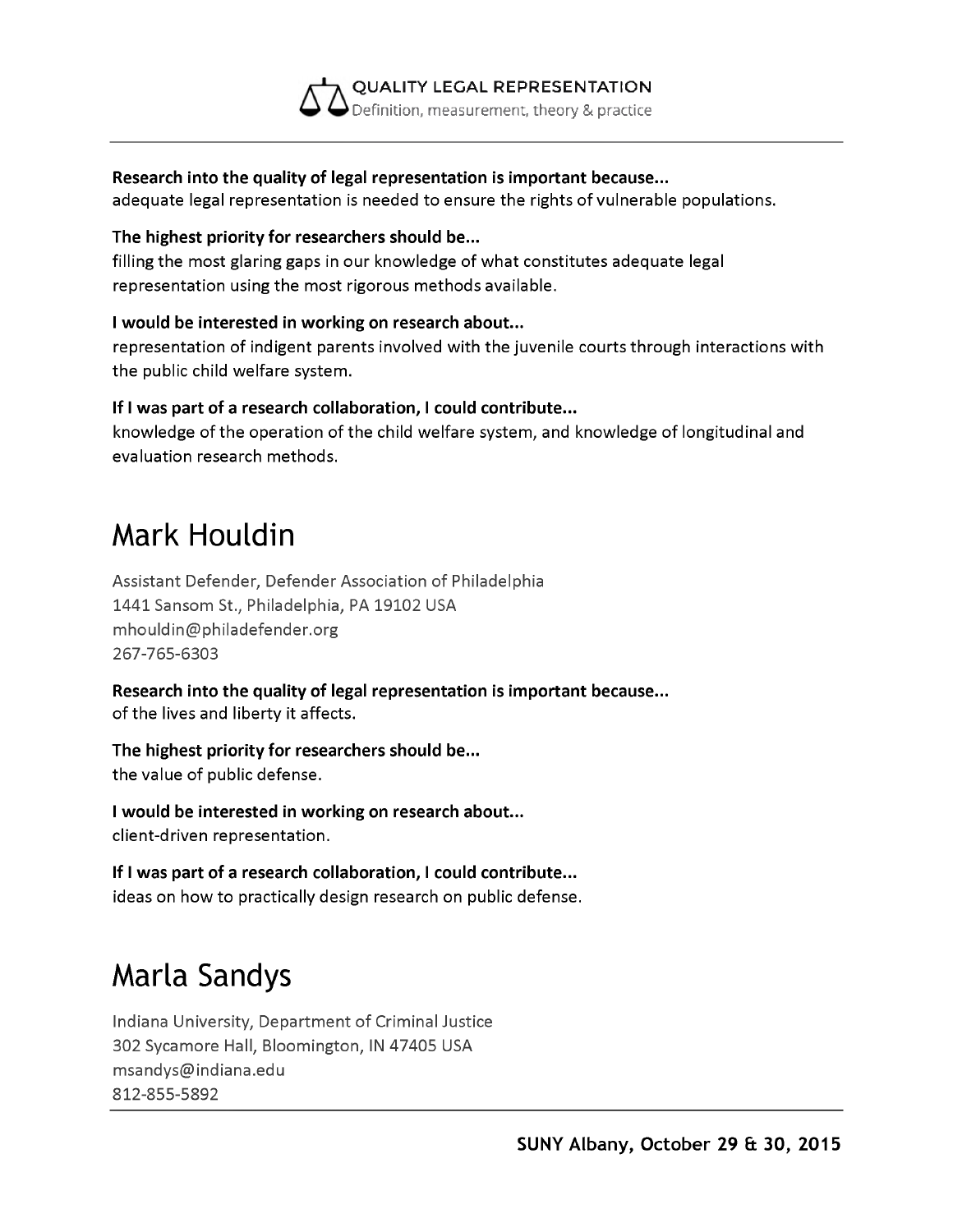**QUALITY LEGAL REPRESENTATION** Definition, measurement, theory & practice

#### **Research into the quality of legal representation is important because...**

adequate legal representation is needed to ensure the rights of vulnerable populations.

#### **The highest priority for researchers should be...**

filling the most glaring gaps in our knowledge of what constitutes adequate legal representation using the most rigorous methods available.

#### **I would be interested in working on research about...**

representation of indigent parents involved with the juvenile courts through interactions with the public child welfare system.

#### **If I was part of a research collaboration, I could contribute...**

knowledge of the operation of the child welfare system, and knowledge of longitudinal and evaluation research methods.

### **Mark Houldin**

Assistant Defender, Defender Association of Philadelphia 1441 Sansom St., Philadelphia, PA 19102 USA [mhouldin@philadefender.org](mailto:mhouldin@philadefender.org) 267-765-6303

**Research into the quality of legal representation is important because...** of the lives and liberty it affects.

**The highest priority for researchers should be...** the value of public defense.

**I would be interested in working on research about...** client-driven representation.

**If I was part of a research collaboration, I could contribute...** ideas on how to practically design research on public defense.

## **Marla Sandys**

Indiana University, Department of Criminal Justice 302 Sycamore Hall, Bloomington, IN 47405 USA [msandys@indiana.edu](mailto:msandys@indiana.edu) 812-855-5892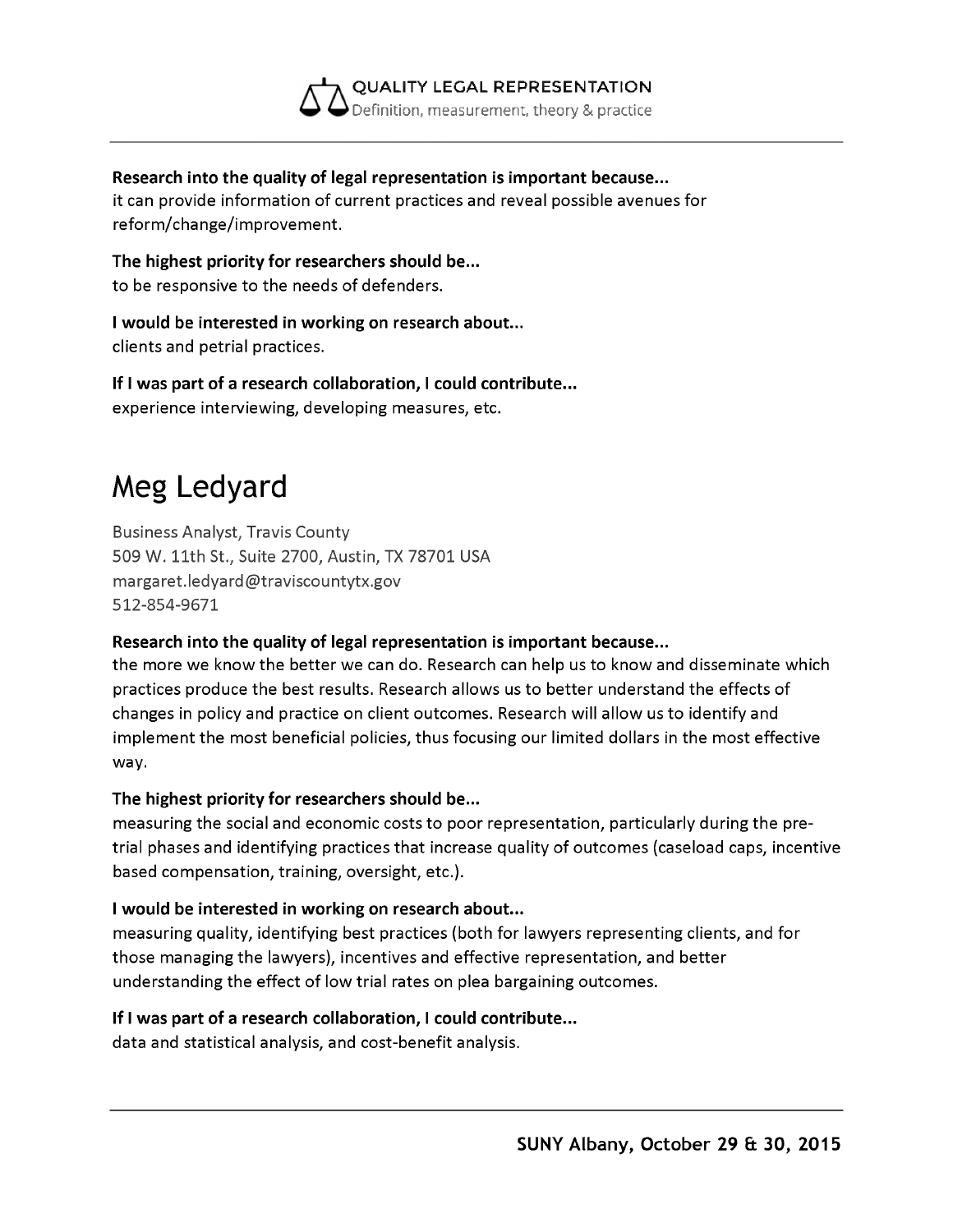

#### **Research into the quality of legal representation is important because...**

it can provide information of current practices and reveal possible avenues for reform/change/improvement.

**The highest priority for researchers should be...** to be responsive to the needs of defenders.

**I would be interested in working on research about...** clients and petrial practices.

**If I was part of a research collaboration, I could contribute...** experience interviewing, developing measures, etc.

# **Meg Ledyard**

Business Analyst, Travis County 509 W. 11th St., Suite 2700, Austin, TX 78701 USA [margaret.ledyard@traviscountytx.gov](mailto:margaret.ledyard@traviscountytx.gov) 512-854-9671

#### **Research into the quality of legal representation is important because...**

the more we know the better we can do. Research can help us to know and disseminate which practices produce the best results. Research allows us to better understand the effects of changes in policy and practice on client outcomes. Research will allow us to identify and implement the most beneficial policies, thus focusing our limited dollars in the most effective way.

#### **The highest priority for researchers should be...**

measuring the social and economic costs to poor representation, particularly during the pretrial phases and identifying practices that increase quality of outcomes (caseload caps, incentive based compensation, training, oversight, etc.).

#### **I would be interested in working on research about...**

measuring quality, identifying best practices (both for lawyers representing clients, and for those managing the lawyers), incentives and effective representation, and better understanding the effect of low trial rates on plea bargaining outcomes.

#### **If I was part of a research collaboration, I could contribute...**

data and statistical analysis, and cost-benefit analysis.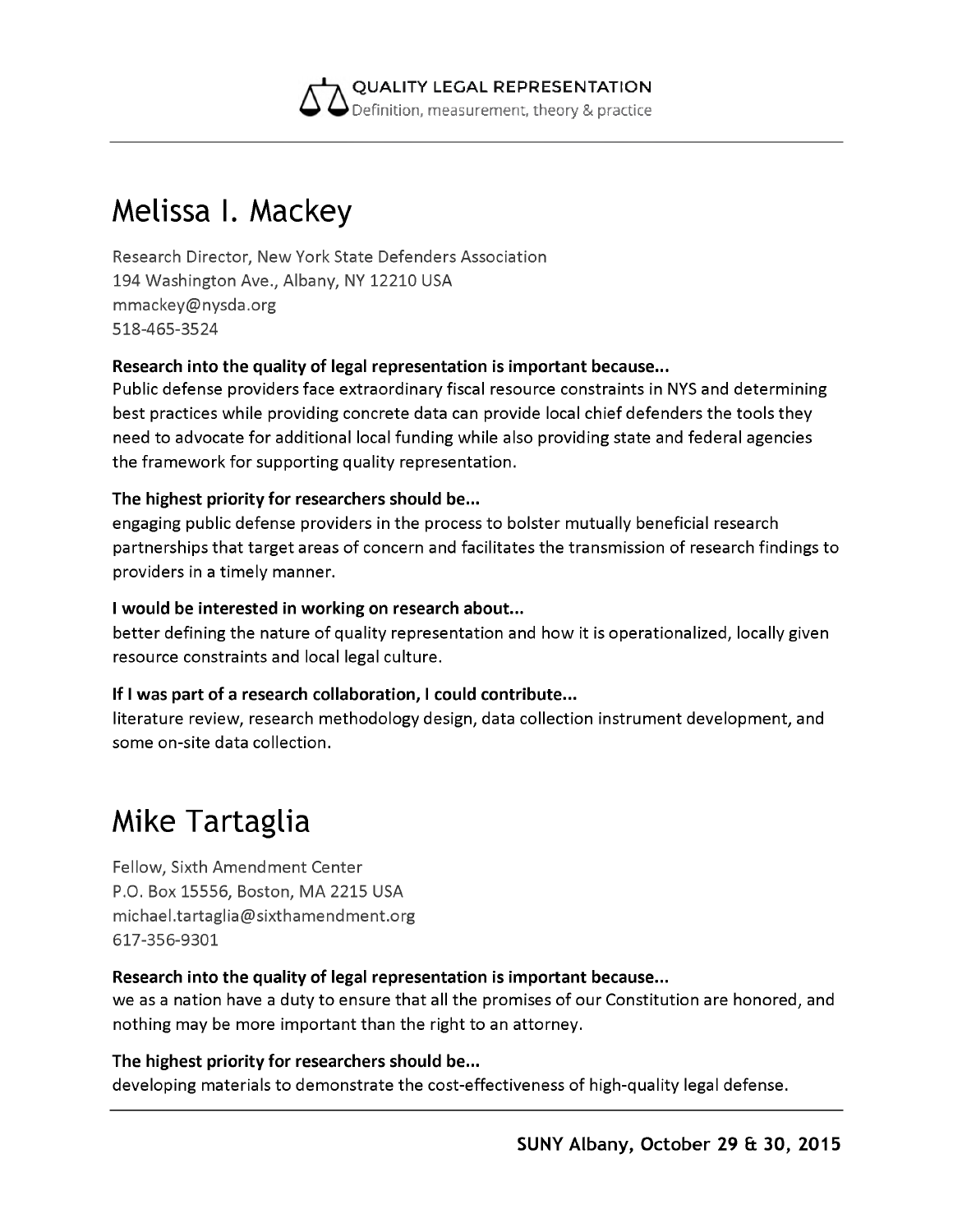

### **Melissa I. Mackey**

Research Director, New York State Defenders Association 194 Washington Ave., Albany, NY 12210 USA [mmackey@nysda.org](mailto:mmackey@nysda.org) 518-465-3524

#### **Research into the quality of legal representation is important because...**

Public defense providers face extraordinary fiscal resource constraints in NYS and determining best practices while providing concrete data can provide local chief defenders the tools they need to advocate for additional local funding while also providing state and federal agencies the framework for supporting quality representation.

#### **The highest priority for researchers should be...**

engaging public defense providers in the process to bolster mutually beneficial research partnerships that target areas of concern and facilitates the transmission of research findings to providers in a timely manner.

#### **I would be interested in working on research about...**

better defining the nature of quality representation and how it is operationalized, locally given resource constraints and local legal culture.

#### **If I was part of a research collaboration, I could contribute...**

literature review, research methodology design, data collection instrument development, and some on-site data collection.

### **Mike Tartaglia**

Fellow, Sixth Amendment Center P.O. Box 15556, Boston, MA 2215 USA [michael.tartaglia@sixthamendment.org](mailto:michael.tartaglia@sixthamendment.org) 617-356-9301

#### **Research into the quality of legal representation is important because...**

we as a nation have a duty to ensure that all the promises of our Constitution are honored, and nothing may be more important than the right to an attorney.

**The highest priority for researchers should be...** developing materials to demonstrate the cost-effectiveness of high-quality legal defense.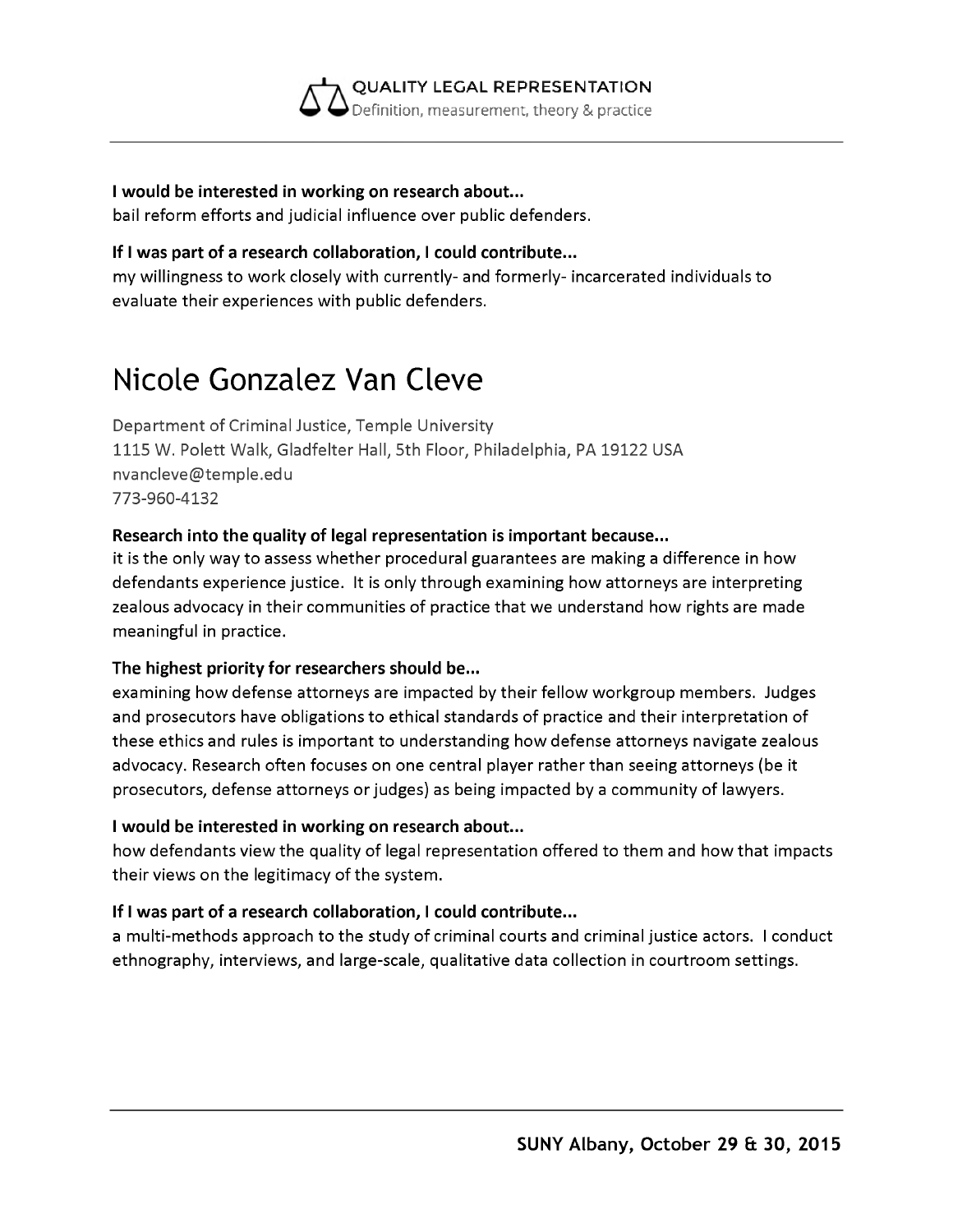

#### **I would be interested in working on research about...**

bail reform efforts and judicial influence over public defenders.

#### **If I was part of a research collaboration, I could contribute...**

my willingness to work closely with currently- and formerly- incarcerated individuals to evaluate their experiences with public defenders.

## **Nicole Gonzalez Van Cleve**

Department of Criminal Justice, Temple University 1115 W. Polett Walk, Gladfelter Hall, 5th Floor, Philadelphia, PA 19122 USA [nvancleve@temple.edu](mailto:nvancleve@temple.edu) 773-960-4132

#### **Research into the quality of legal representation is important because...**

it is the only way to assess whether procedural guarantees are making a difference in how defendants experience justice. It is only through examining how attorneys are interpreting zealous advocacy in their communities of practice that we understand how rights are made meaningful in practice.

#### **The highest priority for researchers should be...**

examining how defense attorneys are impacted by their fellow workgroup members. Judges and prosecutors have obligations to ethical standards of practice and their interpretation of these ethics and rules is important to understanding how defense attorneys navigate zealous advocacy. Research often focuses on one central player rather than seeing attorneys (be it prosecutors, defense attorneys or judges) as being impacted by a community of lawyers.

#### **I would be interested in working on research about...**

how defendants view the quality of legal representation offered to them and how that impacts their views on the legitimacy of the system.

#### **If I was part of a research collaboration, I could contribute...**

a multi-methods approach to the study of criminal courts and criminal justice actors. I conduct ethnography, interviews, and large-scale, qualitative data collection in courtroom settings.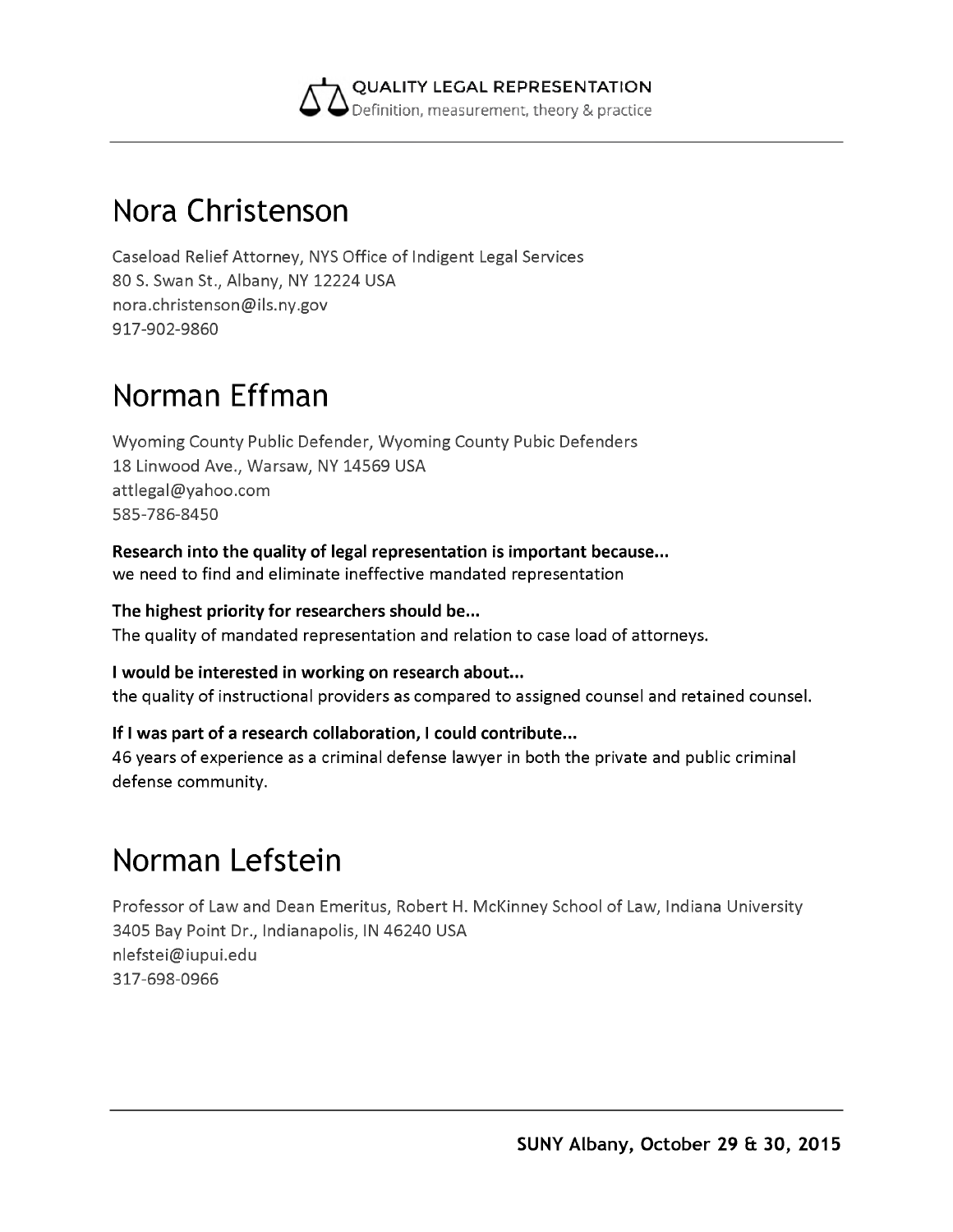

### **Nora Christenson**

Caseload Relief Attorney, NYS Office of Indigent Legal Services 80 S. Swan St., Albany, NY 12224 USA [nora.christenson@ils.ny.gov](mailto:nora.christenson@ils.ny.gov) 917-902-9860

## **Norman Effman**

Wyoming County Public Defender, Wyoming County Pubic Defenders 18 Linwood Ave., Warsaw, NY 14569 USA [attlegal@yahoo.com](mailto:attlegal@yahoo.com) 585-786-8450

**Research into the quality of legal representation is important because...** we need to find and eliminate ineffective mandated representation

**The highest priority for researchers should be...** The quality of mandated representation and relation to case load of attorneys.

**I would be interested in working on research about...** the quality of instructional providers as compared to assigned counsel and retained counsel.

#### **If I was part of a research collaboration, I could contribute...**

46 years of experience as a criminal defense lawyer in both the private and public criminal defense community.

# **Norman Lefstein**

Professor of Law and Dean Emeritus, Robert H. McKinney School of Law, Indiana University 3405 Bay Point Dr., Indianapolis, IN 46240 USA [nlefstei@iupui.edu](mailto:nlefstei@iupui.edu) 317-698-0966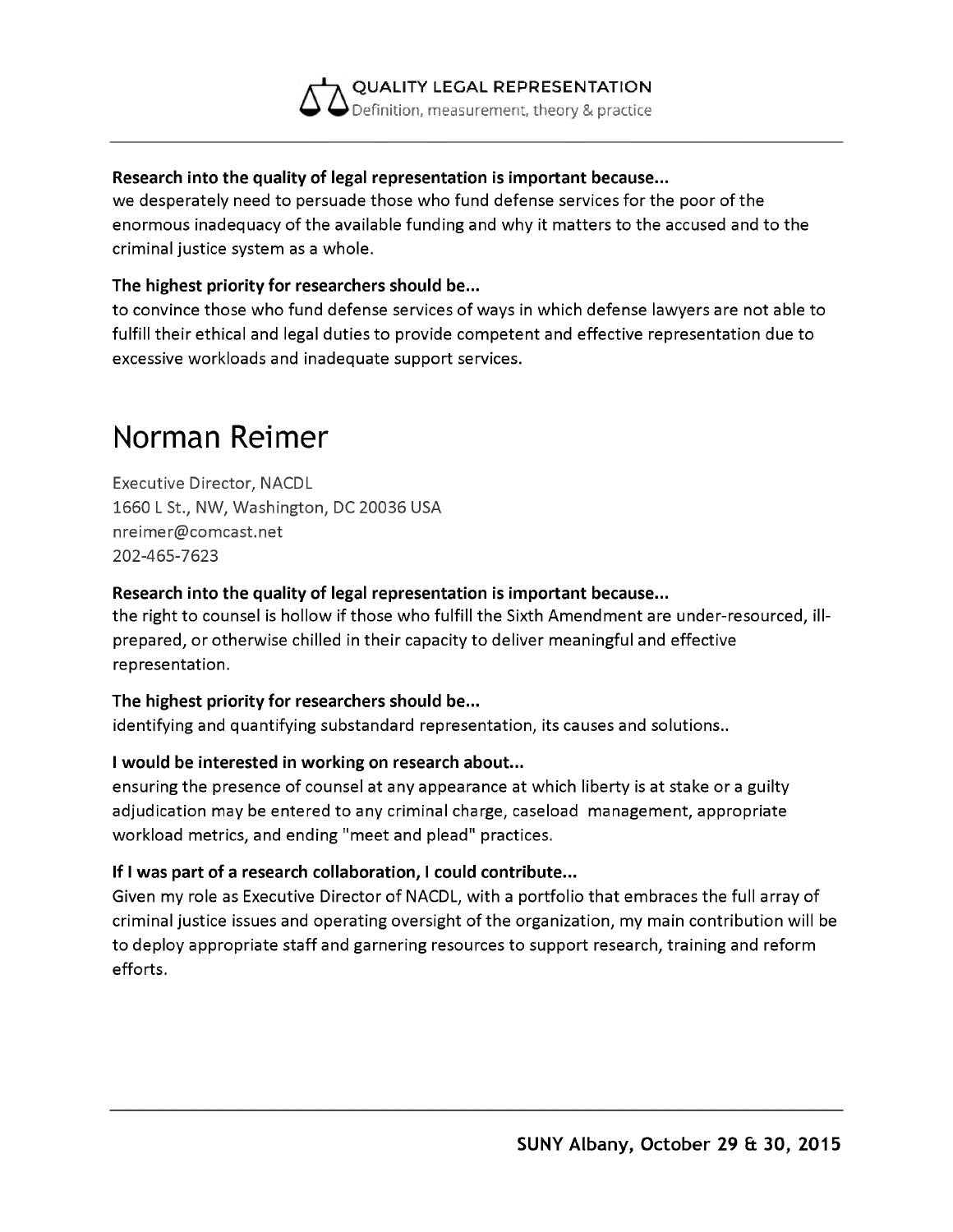#### **QUALITY LEGAL REPRESENTATION** Definition, measurement, theory & practice

#### **Research into the quality of legal representation is important because...**

we desperately need to persuade those who fund defense services for the poor of the enormous inadequacy of the available funding and why it matters to the accused and to the criminal justice system as a whole.

#### **The highest priority for researchers should be...**

to convince those who fund defense services of ways in which defense lawyers are not able to fulfill their ethical and legal duties to provide competent and effective representation due to excessive workloads and inadequate support services.

### **Norman Reimer**

Executive Director, NACDL 1660 L St., NW, Washington, DC 20036 USA [nreimer@comcast.net](mailto:nreimer@comcast.net) 202-465-7623

#### **Research into the quality of legal representation is important because...**

the right to counsel is hollow if those who fulfill the Sixth Amendment are under-resourced, illprepared, or otherwise chilled in their capacity to deliver meaningful and effective representation.

#### **The highest priority for researchers should be...**

identifying and quantifying substandard representation, its causes and solutions..

#### **I would be interested in working on research about...**

ensuring the presence of counsel at any appearance at which liberty is at stake or a guilty adjudication may be entered to any criminal charge, caseload management, appropriate workload metrics, and ending "meet and plead" practices.

#### **If I was part of a research collaboration, I could contribute...**

Given my role as Executive Director of NACDL, with a portfolio that embraces the full array of criminal justice issues and operating oversight of the organization, my main contribution will be to deploy appropriate staff and garnering resources to support research, training and reform efforts.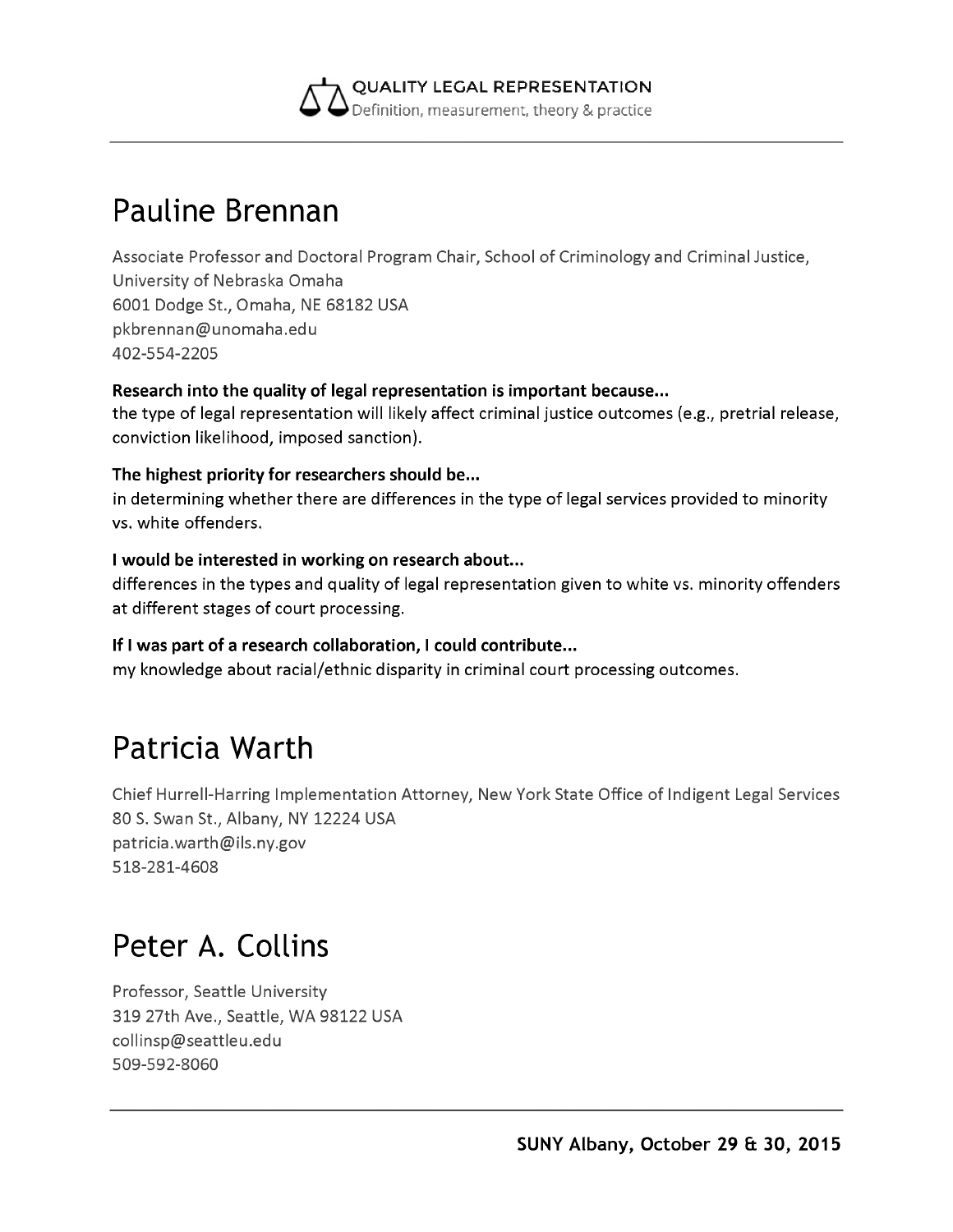

### **Pauline Brennan**

Associate Professor and Doctoral Program Chair, School of Criminology and Criminal Justice, University of Nebraska Omaha 6001 Dodge St., Omaha, NE 68182 USA [pkbrennan@unomaha.edu](mailto:pkbrennan@unomaha.edu) 402-554-2205

#### **Research into the quality of legal representation is important because...**

the type of legal representation will likely affect criminal justice outcomes (e.g., pretrial release, conviction likelihood, imposed sanction).

#### **The highest priority for researchers should be...**

in determining whether there are differences in the type of legal services provided to minority vs. white offenders.

#### **I would be interested in working on research about...**

differences in the types and quality of legal representation given to white vs. minority offenders at different stages of court processing.

#### **If I was part of a research collaboration, I could contribute...**

my knowledge about racial/ethnic disparity in criminal court processing outcomes.

### **Patricia Warth**

Chief Hurrell-Harring Implementation Attorney, New York State Office of Indigent Legal Services 80 S. Swan St., Albany, NY 12224 USA [patricia.warth@ils.ny.gov](mailto:patricia.warth@ils.ny.gov) 518-281-4608

### **Peter A. Collins**

Professor, Seattle University 319 27th Ave., Seattle, WA 98122 USA [collinsp@seattleu.edu](mailto:collinsp@seattleu.edu) 509-592-8060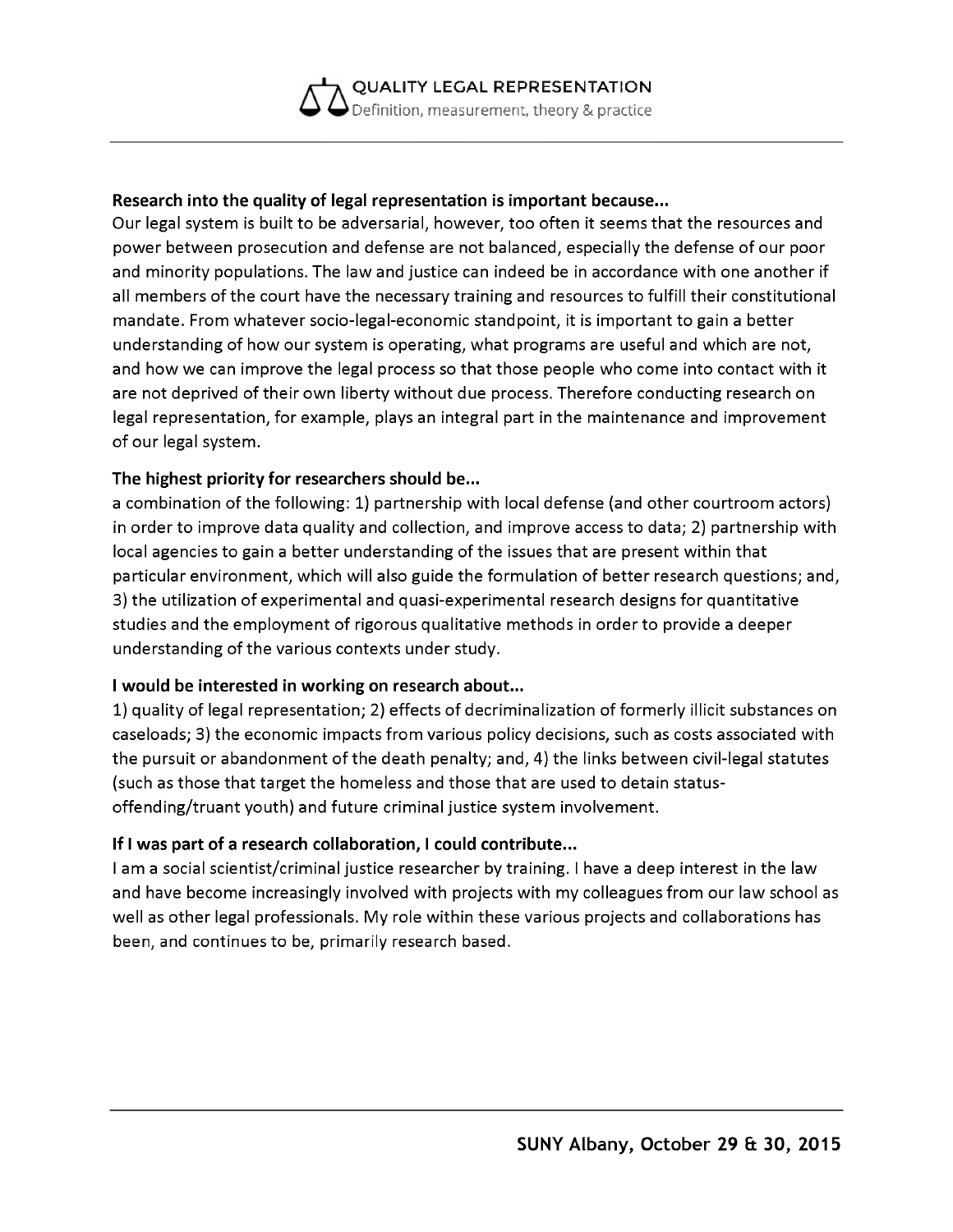#### **Research into the quality of legal representation is important because...**

Our legal system is built to be adversarial, however, too often it seems that the resources and power between prosecution and defense are not balanced, especially the defense of our poor and minority populations. The law and justice can indeed be in accordance with one another if all members of the court have the necessary training and resources to fulfill their constitutional mandate. From whatever socio-legal-economic standpoint, it is important to gain a better understanding of how our system is operating, what programs are useful and which are not, and how we can improve the legal process so that those people who come into contact with it are not deprived of their own liberty without due process. Therefore conducting research on legal representation, for example, plays an integral part in the maintenance and improvement of our legal system.

#### **The highest priority for researchers should be...**

a combination of the following: 1) partnership with local defense (and other courtroom actors) in order to improve data quality and collection, and improve access to data; 2) partnership with local agencies to gain a better understanding of the issues that are present within that particular environment, which will also guide the formulation of better research questions; and, 3) the utilization of experimental and quasi-experimental research designs for quantitative studies and the employment of rigorous qualitative methods in order to provide a deeper understanding of the various contexts under study.

#### **I would be interested in working on research about...**

1) quality of legal representation; 2) effects of decriminalization of formerly illicit substances on caseloads; 3) the economic impacts from various policy decisions, such as costs associated with the pursuit or abandonment of the death penalty; and, 4) the links between civil-legal statutes (such as those that target the homeless and those that are used to detain statusoffending/truant youth) and future criminal justice system involvement.

#### **If I was part of a research collaboration, I could contribute...**

I am a social scientist/criminal justice researcher by training. I have a deep interest in the law and have become increasingly involved with projects with my colleagues from our law school as well as other legal professionals. My role within these various projects and collaborations has been, and continues to be, primarily research based.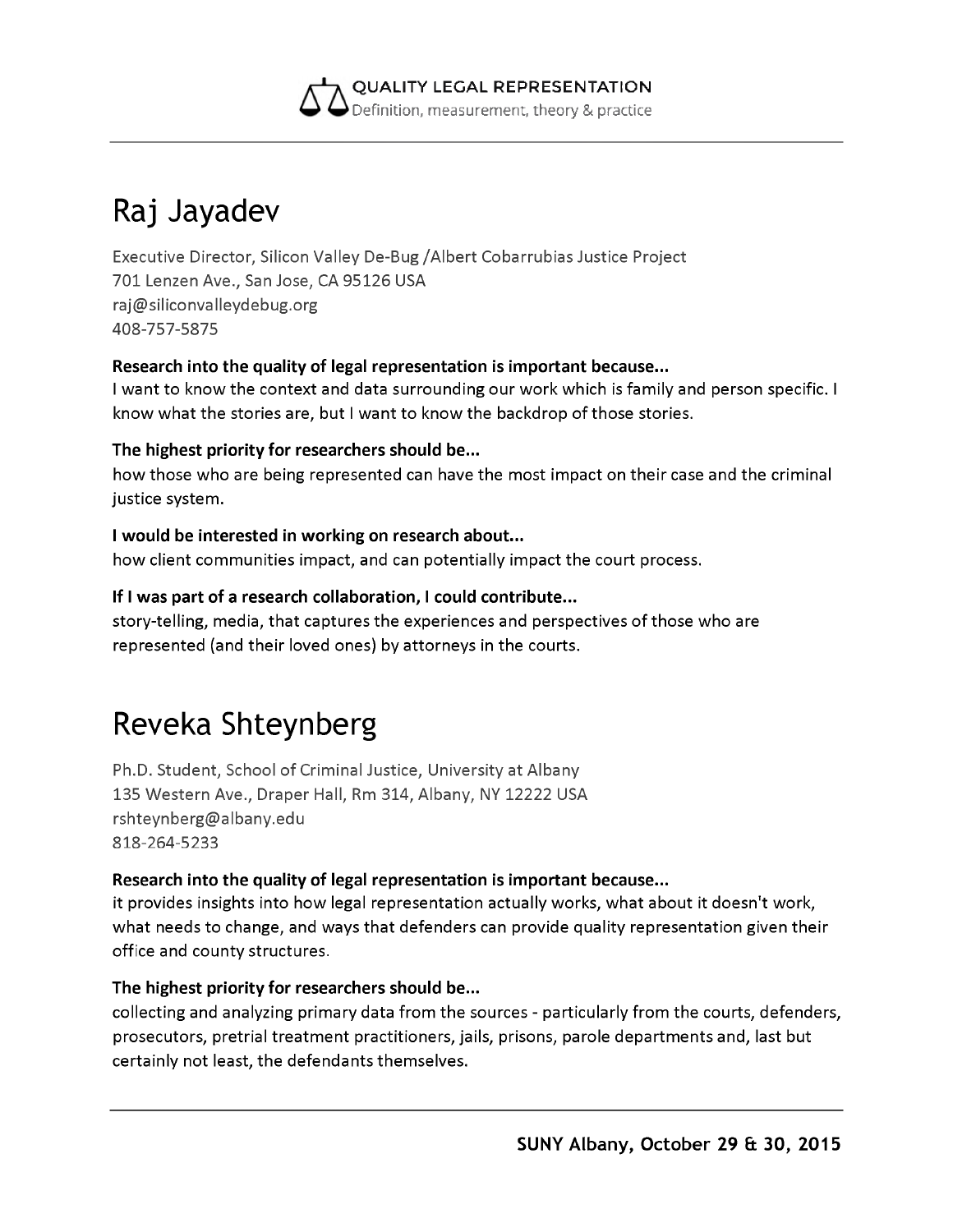

# **Raj Jayadev**

Executive Director, Silicon Valley De-Bug /Albert Cobarrubias Justice Project 701 Lenzen Ave., San Jose, CA 95126 USA [raj@siliconvalleydebug.org](mailto:raj@siliconvalleydebug.org) 408-757-5875

#### **Research into the quality of legal representation is important because...**

I want to know the context and data surrounding our work which is family and person specific. I know what the stories are, but I want to know the backdrop of those stories.

#### **The highest priority for researchers should be...**

how those who are being represented can have the most impact on their case and the criminal justice system.

#### **I would be interested in working on research about...**

how client communities impact, and can potentially impact the court process.

#### **If I was part of a research collaboration, I could contribute...**

story-telling, media, that captures the experiences and perspectives of those who are represented (and their loved ones) by attorneys in the courts.

## **Reveka Shteynberg**

Ph.D. Student, School of Criminal Justice, University at Albany 135 Western Ave., Draper Hall, Rm 314, Albany, NY 12222 USA [rshteynberg@albany.edu](mailto:rshteynberg@albany.edu) 818-264-5233

#### **Research into the quality of legal representation is important because...**

it provides insights into how legal representation actually works, what about it doesn't work, what needs to change, and ways that defenders can provide quality representation given their office and county structures.

#### **The highest priority for researchers should be...**

collecting and analyzing primary data from the sources - particularly from the courts, defenders, prosecutors, pretrial treatment practitioners, jails, prisons, parole departments and, last but certainly not least, the defendants themselves.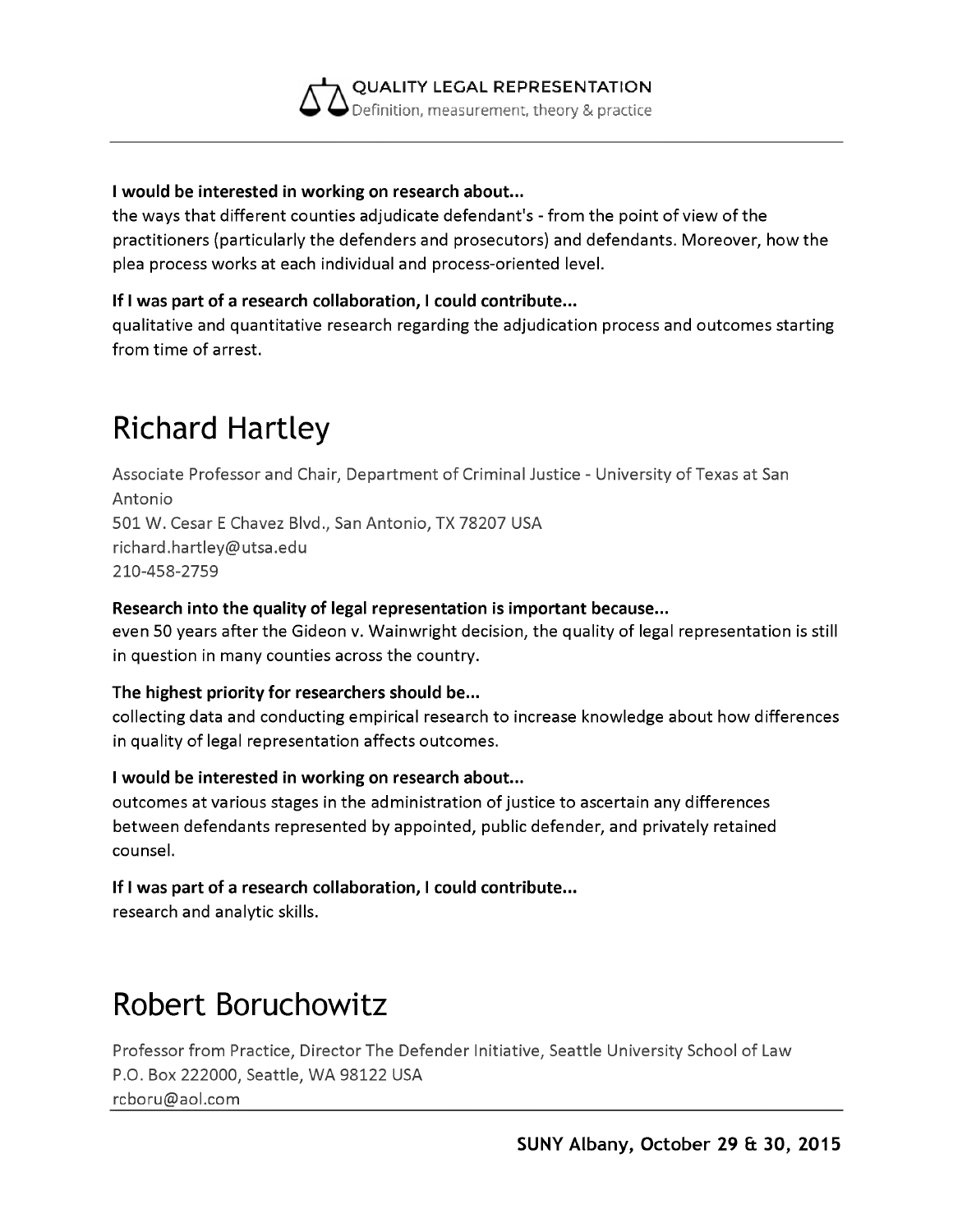

#### **I would be interested in working on research about...**

the ways that different counties adjudicate defendant's - from the point of view of the practitioners (particularly the defenders and prosecutors) and defendants. Moreover, how the plea process works at each individual and process-oriented level.

#### **If I was part of a research collaboration, I could contribute...**

qualitative and quantitative research regarding the adjudication process and outcomes starting from time of arrest.

### **Richard Hartley**

Associate Professor and Chair, Department of Criminal Justice - University of Texas at San Antonio 501 W. Cesar E Chavez Blvd., San Antonio, TX 78207 USA [richard.hartley@utsa.edu](mailto:richard.hartley@utsa.edu) 210-458-2759

#### **Research into the quality of legal representation is important because...**

even 50 years after the Gideon v. Wainwright decision, the quality of legal representation is still in question in many counties across the country.

#### **The highest priority for researchers should be...**

collecting data and conducting empirical research to increase knowledge about how differences in quality of legal representation affects outcomes.

#### **I would be interested in working on research about...**

outcomes at various stages in the administration of justice to ascertain any differences between defendants represented by appointed, public defender, and privately retained counsel.

#### **If I was part of a research collaboration, I could contribute...**

research and analytic skills.

### **Robert Boruchowitz**

Professor from Practice, Director The Defender Initiative, Seattle University School of Law P.O. Box 222000, Seattle, WA 98122 USA [rcboru@aol.com](mailto:rcboru@aol.com)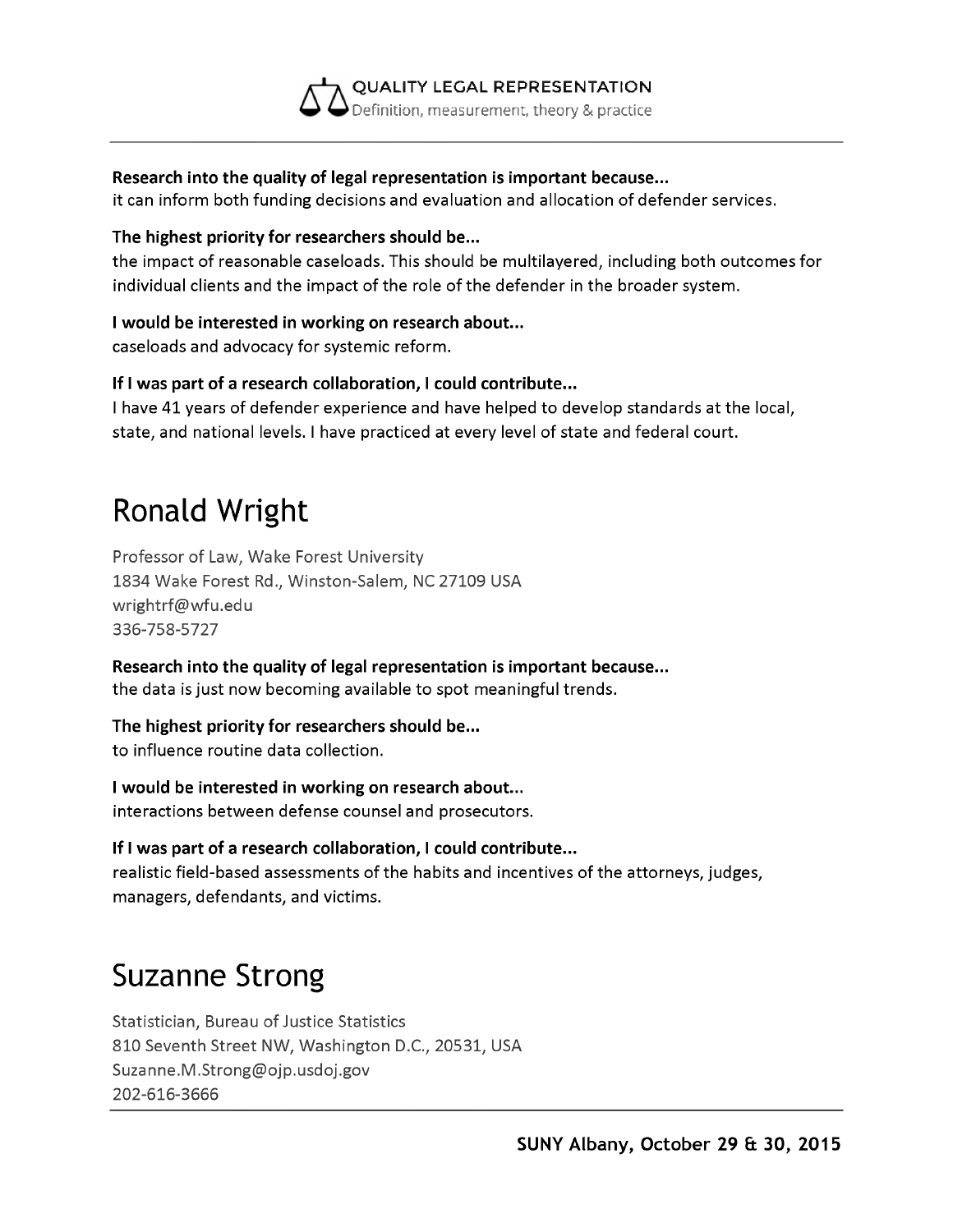

#### **Research into the quality of legal representation is important because...**

it can inform both funding decisions and evaluation and allocation of defender services.

#### **The highest priority for researchers should be...**

the impact of reasonable caseloads. This should be multilayered, including both outcomes for individual clients and the impact of the role of the defender in the broader system.

#### **I would be interested in working on research about...**

caseloads and advocacy for systemic reform.

#### **If I was part of a research collaboration, I could contribute...**

I have 41 years of defender experience and have helped to develop standards at the local, state, and national levels. I have practiced at every level of state and federal court.

# **Ronald Wright**

Professor of Law, Wake Forest University 1834 Wake Forest Rd., Winston-Salem, NC 27109 USA [wrightrf@wfu.edu](mailto:wrightrf@wfu.edu) 336-758-5727

**Research into the quality of legal representation is important because...** the data is just now becoming available to spot meaningful trends.

#### **The highest priority for researchers should be...**

to influence routine data collection.

**I would be interested in working on research about...** interactions between defense counsel and prosecutors.

#### **If I was part of a research collaboration, I could contribute...**

realistic field-based assessments of the habits and incentives of the attorneys, judges, managers, defendants, and victims.

## **Suzanne Strong**

Statistician, Bureau of Justice Statistics 810 Seventh Street NW, Washington D.C., 20531, USA [Suzanne.M.Strong@ojp.usdoj.gov](mailto:Suzanne.M.Strong@ojp.usdoj.gov) 202-616-3666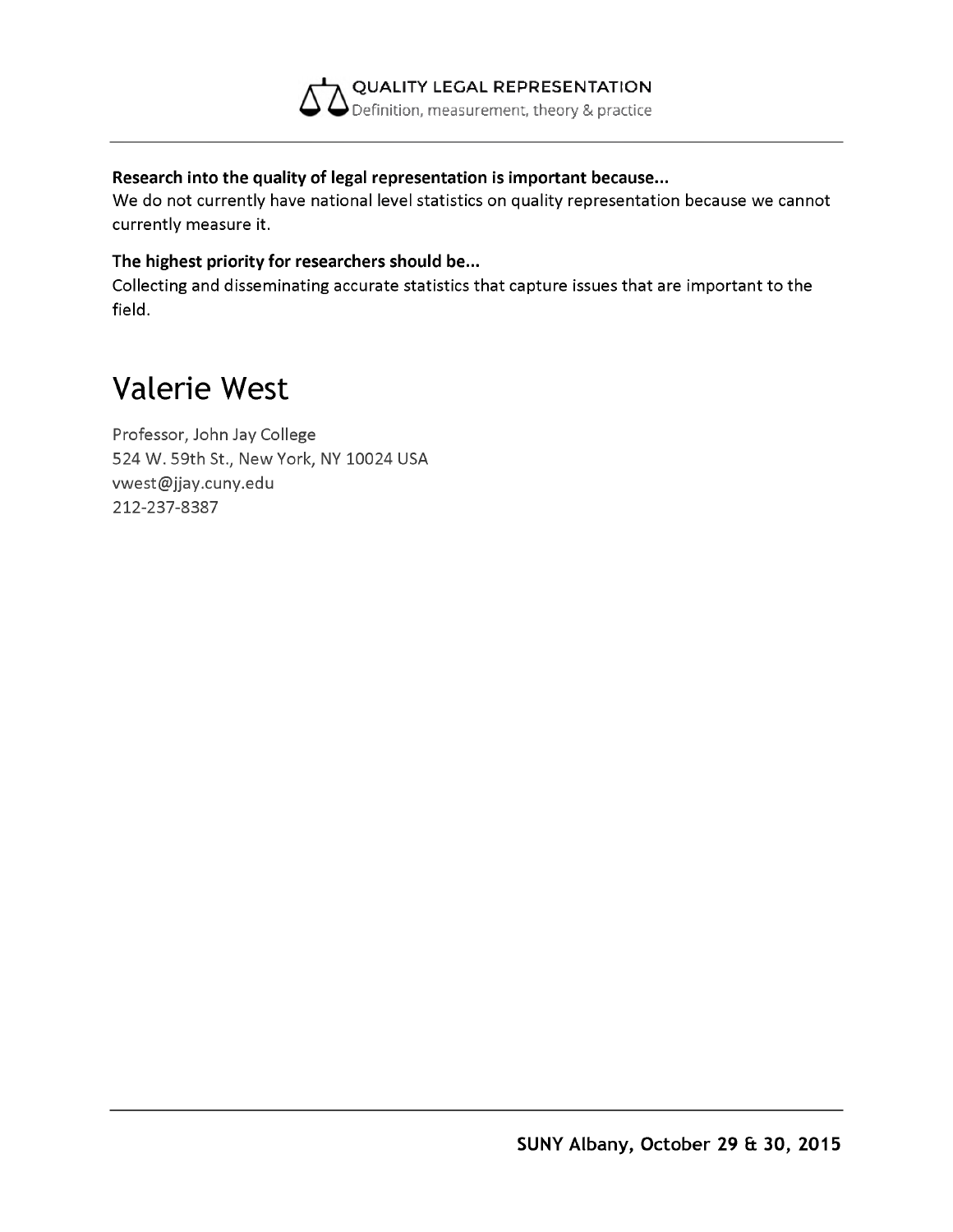

#### **Research into the quality of legal representation is important because...**

We do not currently have national level statistics on quality representation because we cannot currently measure it.

#### **The highest priority for researchers should be...**

Collecting and disseminating accurate statistics that capture issues that are important to the field.

### **Valerie West**

Professor, John Jay College 524 W. 59th St., New York, NY 10024 USA [vwest@jjay.cuny.edu](mailto:vwest@jjay.cuny.edu) 212-237-8387